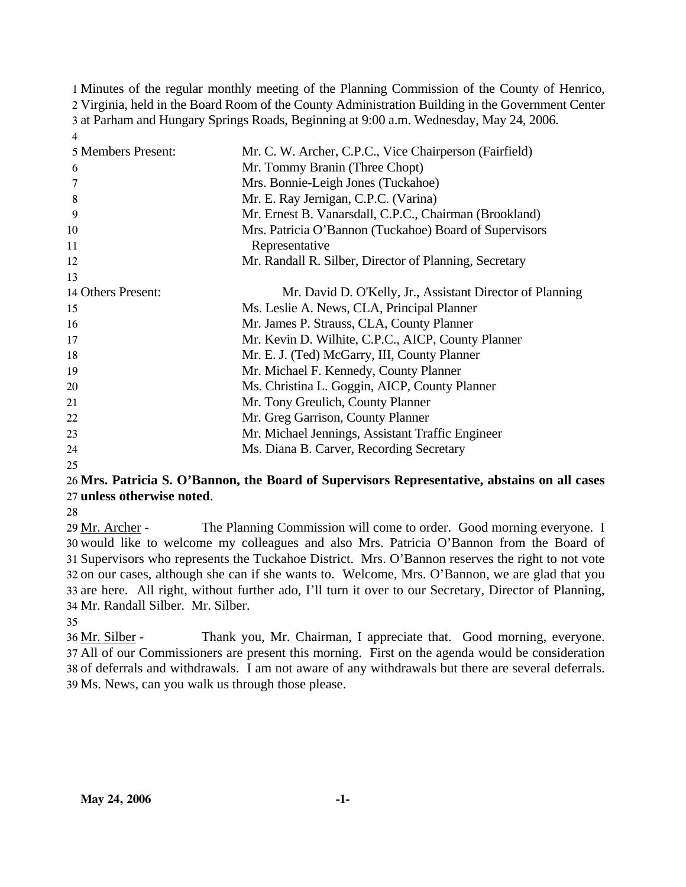Minutes of the regular monthly meeting of the Planning Commission of the County of Henrico, Virginia, held in the Board Room of the County Administration Building in the Government Center at Parham and Hungary Springs Roads, Beginning at 9:00 a.m. Wednesday, May 24, 2006. 4

| 5 Members Present: | Mr. C. W. Archer, C.P.C., Vice Chairperson (Fairfield)    |
|--------------------|-----------------------------------------------------------|
| 6                  | Mr. Tommy Branin (Three Chopt)                            |
|                    | Mrs. Bonnie-Leigh Jones (Tuckahoe)                        |
| 8                  | Mr. E. Ray Jernigan, C.P.C. (Varina)                      |
| 9                  | Mr. Ernest B. Vanarsdall, C.P.C., Chairman (Brookland)    |
| 10                 | Mrs. Patricia O'Bannon (Tuckahoe) Board of Supervisors    |
| 11                 | Representative                                            |
| 12                 | Mr. Randall R. Silber, Director of Planning, Secretary    |
| 13                 |                                                           |
| 14 Others Present: | Mr. David D. O'Kelly, Jr., Assistant Director of Planning |
| 15                 | Ms. Leslie A. News, CLA, Principal Planner                |
| 16                 | Mr. James P. Strauss, CLA, County Planner                 |
| 17                 | Mr. Kevin D. Wilhite, C.P.C., AICP, County Planner        |
| 18                 | Mr. E. J. (Ted) McGarry, III, County Planner              |
| 19                 | Mr. Michael F. Kennedy, County Planner                    |
| 20                 | Ms. Christina L. Goggin, AICP, County Planner             |
| 21                 | Mr. Tony Greulich, County Planner                         |
| 22                 | Mr. Greg Garrison, County Planner                         |
| 23                 | Mr. Michael Jennings, Assistant Traffic Engineer          |
| 24                 | Ms. Diana B. Carver, Recording Secretary                  |
|                    |                                                           |

#### 25

# 26 **Mrs. Patricia S. O'Bannon, the Board of Supervisors Representative, abstains on all cases**  27 **unless otherwise noted**.

28

The Planning Commission will come to order. Good morning everyone. I 30 would like to welcome my colleagues and also Mrs. Patricia O'Bannon from the Board of 31 Supervisors who represents the Tuckahoe District. Mrs. O'Bannon reserves the right to not vote 32 on our cases, although she can if she wants to. Welcome, Mrs. O'Bannon, we are glad that you 33 are here. All right, without further ado, I'll turn it over to our Secretary, Director of Planning, Mr. Randall Silber. Mr. Silber. 34 29 Mr. Archer -

35

Thank you, Mr. Chairman, I appreciate that. Good morning, everyone. All of our Commissioners are present this morning. First on the agenda would be consideration 37 38 of deferrals and withdrawals. I am not aware of any withdrawals but there are several deferrals. Ms. News, can you walk us through those please. 39 36 Mr. Silber -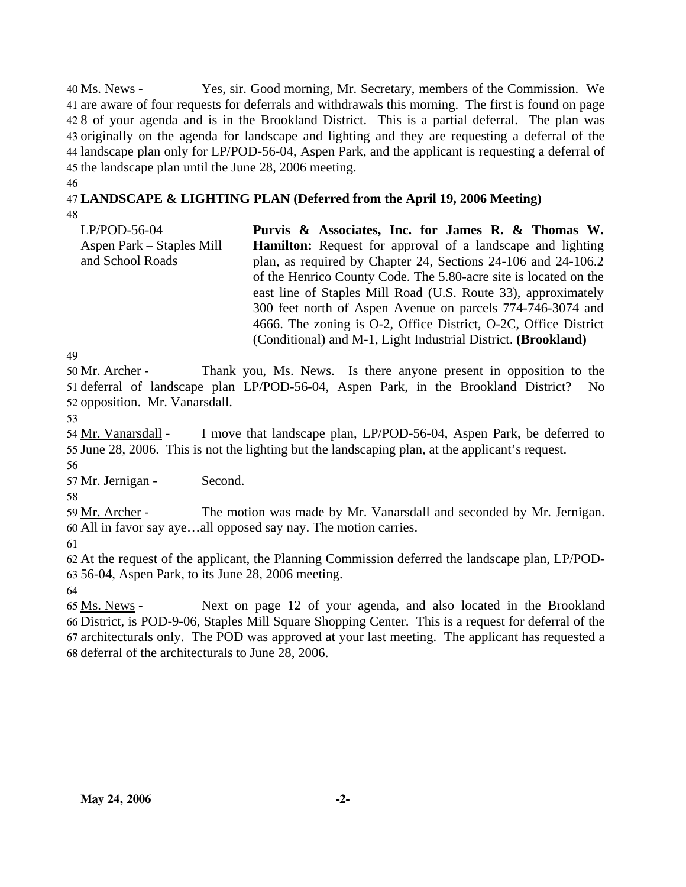Yes, sir. Good morning, Mr. Secretary, members of the Commission. We 41 are aware of four requests for deferrals and withdrawals this morning. The first is found on page 428 of your agenda and is in the Brookland District. This is a partial deferral. The plan was 43 originally on the agenda for landscape and lighting and they are requesting a deferral of the 44 landscape plan only for LP/POD-56-04, Aspen Park, and the applicant is requesting a deferral of 45 the landscape plan until the June 28, 2006 meeting. 40 Ms. News -

46

# 47 **LANDSCAPE & LIGHTING PLAN (Deferred from the April 19, 2006 Meeting)**

48

LP/POD-56-04 Aspen Park – Staples Mill and School Roads **Purvis & Associates, Inc. for James R. & Thomas W. Hamilton:** Request for approval of a landscape and lighting plan, as required by Chapter 24, Sections 24-106 and 24-106.2 of the Henrico County Code. The 5.80-acre site is located on the east line of Staples Mill Road (U.S. Route 33), approximately 300 feet north of Aspen Avenue on parcels 774-746-3074 and 4666. The zoning is O-2, Office District, O-2C, Office District (Conditional) and M-1, Light Industrial District. **(Brookland)** 

49

Thank you, Ms. News. Is there anyone present in opposition to the 51 deferral of landscape plan LP/POD-56-04, Aspen Park, in the Brookland District? No 52 opposition. Mr. Vanarsdall. 50 Mr. Archer -

53

I move that landscape plan, LP/POD-56-04, Aspen Park, be deferred to 55 June 28, 2006. This is not the lighting but the landscaping plan, at the applicant's request. 54 Mr. Vanarsdall -

56

57 Mr. Jernigan - Second.

58

The motion was made by Mr. Vanarsdall and seconded by Mr. Jernigan. All in favor say aye…all opposed say nay. The motion carries. 60 59 Mr. Archer -

61

62 At the request of the applicant, the Planning Commission deferred the landscape plan, LP/POD-63 56-04, Aspen Park, to its June 28, 2006 meeting.

64

Next on page 12 of your agenda, and also located in the Brookland 66 District, is POD-9-06, Staples Mill Square Shopping Center. This is a request for deferral of the 67 architecturals only. The POD was approved at your last meeting. The applicant has requested a 68 deferral of the architecturals to June 28, 2006. 65 Ms. News -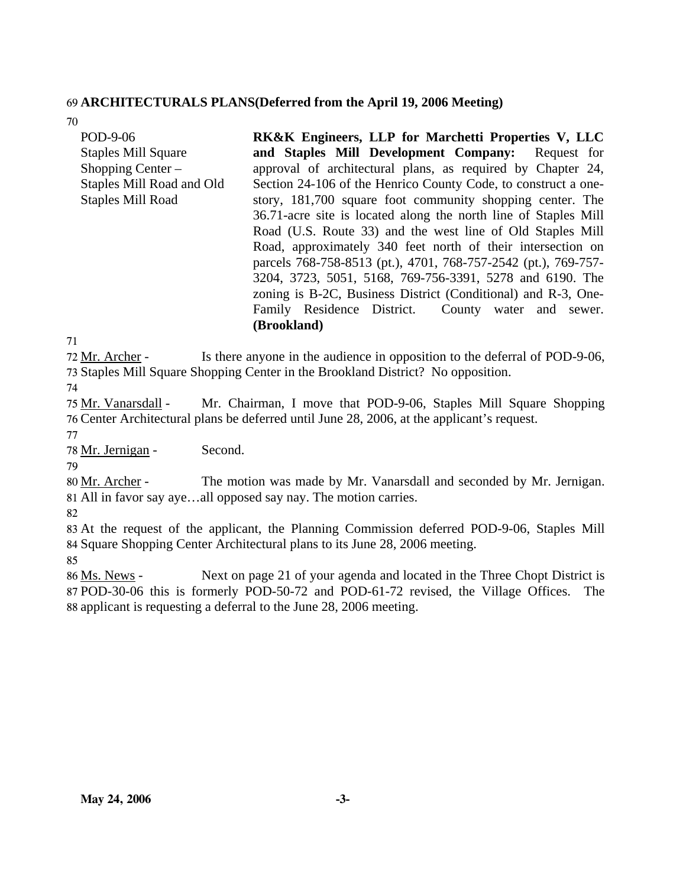## 69 **ARCHITECTURALS PLANS(Deferred from the April 19, 2006 Meeting)**

70

| POD-9-06<br><b>Staples Mill Square</b><br>Shopping Center $-$<br>Staples Mill Road and Old | <b>RK&amp;K Engineers, LLP for Marchetti Properties V, LLC</b><br>and Staples Mill Development Company: Request for<br>approval of architectural plans, as required by Chapter 24,<br>Section 24-106 of the Henrico County Code, to construct a one-                                                                                                                                                                                                                                                                          |  |  |  |
|--------------------------------------------------------------------------------------------|-------------------------------------------------------------------------------------------------------------------------------------------------------------------------------------------------------------------------------------------------------------------------------------------------------------------------------------------------------------------------------------------------------------------------------------------------------------------------------------------------------------------------------|--|--|--|
| <b>Staples Mill Road</b>                                                                   | story, 181,700 square foot community shopping center. The<br>36.71-acre site is located along the north line of Staples Mill<br>Road (U.S. Route 33) and the west line of Old Staples Mill<br>Road, approximately 340 feet north of their intersection on<br>parcels 768-758-8513 (pt.), 4701, 768-757-2542 (pt.), 769-757-<br>3204, 3723, 5051, 5168, 769-756-3391, 5278 and 6190. The<br>zoning is B-2C, Business District (Conditional) and R-3, One-<br>Family Residence District. County water and sewer.<br>(Brookland) |  |  |  |
| 71                                                                                         |                                                                                                                                                                                                                                                                                                                                                                                                                                                                                                                               |  |  |  |

72 Mr. Archer -

Is there anyone in the audience in opposition to the deferral of POD-9-06, 73 Staples Mill Square Shopping Center in the Brookland District? No opposition. 74

Mr. Chairman, I move that POD-9-06, Staples Mill Square Shopping Center Architectural plans be deferred until June 28, 2006, at the applicant's request. 76 75 Mr. Vanarsdall -

77

78 Mr. Jernigan - Second.

79

The motion was made by Mr. Vanarsdall and seconded by Mr. Jernigan. All in favor say aye…all opposed say nay. The motion carries. 81 80 Mr. Archer -

82

83 At the request of the applicant, the Planning Commission deferred POD-9-06, Staples Mill 84 Square Shopping Center Architectural plans to its June 28, 2006 meeting.

85

Next on page 21 of your agenda and located in the Three Chopt District is 87 POD-30-06 this is formerly POD-50-72 and POD-61-72 revised, the Village Offices. The 88 applicant is requesting a deferral to the June 28, 2006 meeting. 86 Ms. News -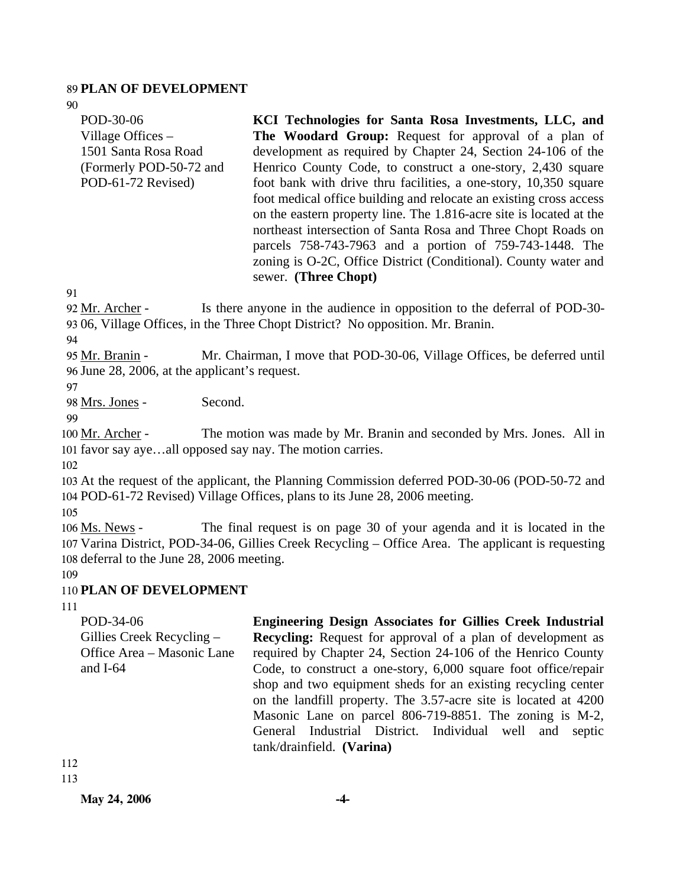#### 89 **PLAN OF DEVELOPMENT**

90

POD-30-06 Village Offices – 1501 Santa Rosa Road (Formerly POD-50-72 and POD-61-72 Revised)

**KCI Technologies for Santa Rosa Investments, LLC, and The Woodard Group:** Request for approval of a plan of development as required by Chapter 24, Section 24-106 of the Henrico County Code, to construct a one-story, 2,430 square foot bank with drive thru facilities, a one-story, 10,350 square foot medical office building and relocate an existing cross access on the eastern property line. The 1.816-acre site is located at the northeast intersection of Santa Rosa and Three Chopt Roads on parcels 758-743-7963 and a portion of 759-743-1448. The zoning is O-2C, Office District (Conditional). County water and sewer. **(Three Chopt)** 

**Engineering Design Associates for Gillies Creek Industrial Recycling:** Request for approval of a plan of development as required by Chapter 24, Section 24-106 of the Henrico County Code, to construct a one-story, 6,000 square foot office/repair shop and two equipment sheds for an existing recycling center on the landfill property. The 3.57-acre site is located at 4200 Masonic Lane on parcel 806-719-8851. The zoning is M-2, General Industrial District. Individual well and septic

91

Is there anyone in the audience in opposition to the deferral of POD-30-93 06, Village Offices, in the Three Chopt District? No opposition. Mr. Branin. 92 Mr. Archer -

94

Mr. Chairman, I move that POD-30-06, Village Offices, be deferred until 96 June 28, 2006, at the applicant's request. 95 Mr. Branin -

97

98 Mrs. Jones - Second.

99

The motion was made by Mr. Branin and seconded by Mrs. Jones. All in 101 favor say aye...all opposed say nay. The motion carries. 100 Mr. Archer -

102

103 At the request of the applicant, the Planning Commission deferred POD-30-06 (POD-50-72 and 104 POD-61-72 Revised) Village Offices, plans to its June 28, 2006 meeting.

105

The final request is on page 30 of your agenda and it is located in the Varina District, POD-34-06, Gillies Creek Recycling – Office Area. The applicant is requesting 107 108 deferral to the June 28, 2006 meeting. 106 Ms. News -

109

# 110 **PLAN OF DEVELOPMENT**

111

POD-34-06 Gillies Creek Recycling – Office Area – Masonic Lane and I-64

112 113

tank/drainfield. **(Varina)**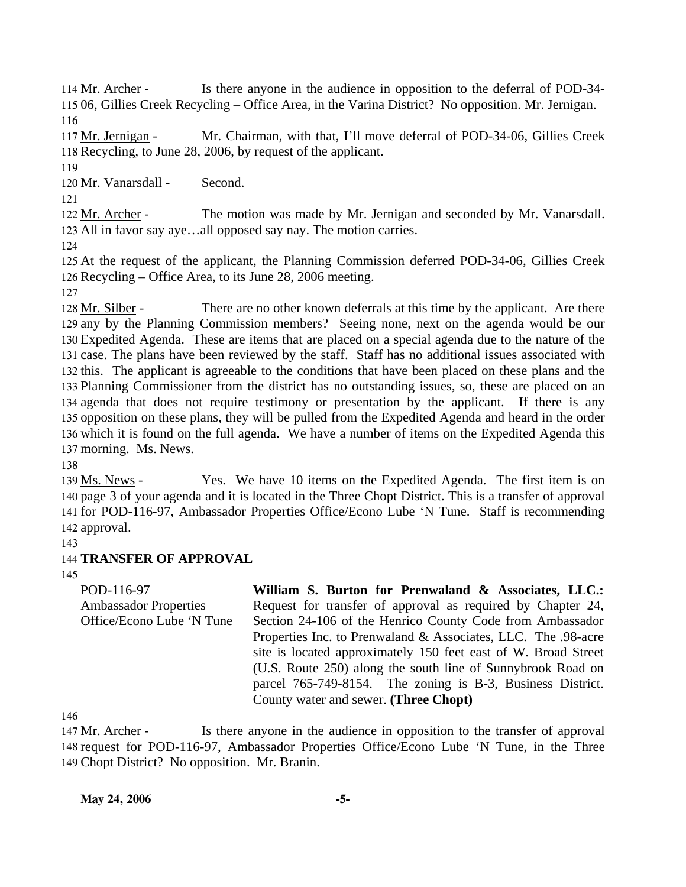Is there anyone in the audience in opposition to the deferral of POD-34-06, Gillies Creek Recycling – Office Area, in the Varina District? No opposition. Mr. Jernigan. 115 114 Mr. Archer -116

Mr. Chairman, with that, I'll move deferral of POD-34-06, Gillies Creek 118 Recycling, to June 28, 2006, by request of the applicant. 117 Mr. Jernigan -

119

120 Mr. Vanarsdall - Second.

121

The motion was made by Mr. Jernigan and seconded by Mr. Vanarsdall. 123 All in favor say aye...all opposed say nay. The motion carries. 122 Mr. Archer -

124

125 At the request of the applicant, the Planning Commission deferred POD-34-06, Gillies Creek 126 Recycling – Office Area, to its June 28, 2006 meeting.

127

There are no other known deferrals at this time by the applicant. Are there 129 any by the Planning Commission members? Seeing none, next on the agenda would be our 130 Expedited Agenda. These are items that are placed on a special agenda due to the nature of the 131 case. The plans have been reviewed by the staff. Staff has no additional issues associated with 132 this. The applicant is agreeable to the conditions that have been placed on these plans and the 133 Planning Commissioner from the district has no outstanding issues, so, these are placed on an 134 agenda that does not require testimony or presentation by the applicant. If there is any 135 opposition on these plans, they will be pulled from the Expedited Agenda and heard in the order 136 which it is found on the full agenda. We have a number of items on the Expedited Agenda this 137 morning. Ms. News. 128 Mr. Silber -

138

Yes. We have 10 items on the Expedited Agenda. The first item is on 140 page 3 of your agenda and it is located in the Three Chopt District. This is a transfer of approval 141 for POD-116-97, Ambassador Properties Office/Econo Lube 'N Tune. Staff is recommending 142 approval. 139 Ms. News -

143

# 144 **TRANSFER OF APPROVAL**

145

POD-116-97 Ambassador Properties Office/Econo Lube 'N Tune **William S. Burton for Prenwaland & Associates, LLC.:**  Request for transfer of approval as required by Chapter 24, Section 24-106 of the Henrico County Code from Ambassador Properties Inc. to Prenwaland & Associates, LLC. The .98-acre site is located approximately 150 feet east of W. Broad Street (U.S. Route 250) along the south line of Sunnybrook Road on parcel 765-749-8154. The zoning is B-3, Business District. County water and sewer. **(Three Chopt)** 

146

Is there anyone in the audience in opposition to the transfer of approval 148 request for POD-116-97, Ambassador Properties Office/Econo Lube 'N Tune, in the Three 149 Chopt District? No opposition. Mr. Branin. 147 Mr. Archer -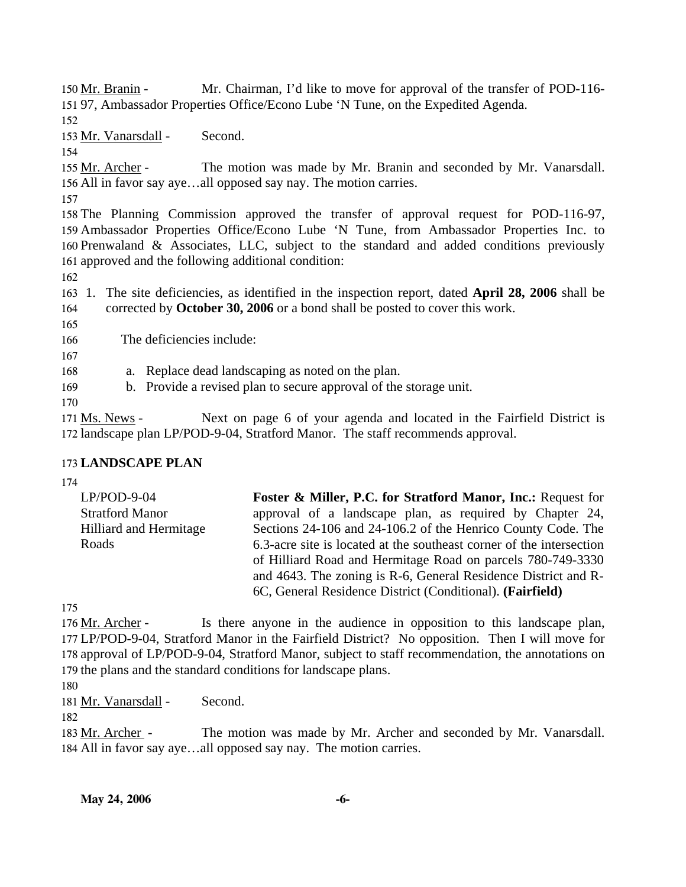Mr. Chairman, I'd like to move for approval of the transfer of POD-116-97, Ambassador Properties Office/Econo Lube 'N Tune, on the Expedited Agenda. 151 150 Mr. Branin -

152

153 Mr. Vanarsdall - Second.

154

The motion was made by Mr. Branin and seconded by Mr. Vanarsdall. 156 All in favor say aye...all opposed say nay. The motion carries. 155 Mr. Archer -

157

 The Planning Commission approved the transfer of approval request for POD-116-97, Ambassador Properties Office/Econo Lube 'N Tune, from Ambassador Properties Inc. to Prenwaland & Associates, LLC, subject to the standard and added conditions previously approved and the following additional condition:

162

163 1. The site deficiencies, as identified in the inspection report, dated **April 28, 2006** shall be 164 corrected by **October 30, 2006** or a bond shall be posted to cover this work.

165

166 The deficiencies include:

167

168 a. Replace dead landscaping as noted on the plan.

169 b. Provide a revised plan to secure approval of the storage unit.

170

Next on page 6 of your agenda and located in the Fairfield District is 172 landscape plan LP/POD-9-04, Stratford Manor. The staff recommends approval. 171 Ms. News -

# 173 **LANDSCAPE PLAN**

174

| $LP/POD-9-04$                 | <b>Foster &amp; Miller, P.C. for Stratford Manor, Inc.: Request for</b>                                                             |  |  |  |  |
|-------------------------------|-------------------------------------------------------------------------------------------------------------------------------------|--|--|--|--|
| <b>Stratford Manor</b>        | approval of a landscape plan, as required by Chapter 24,                                                                            |  |  |  |  |
| <b>Hilliard and Hermitage</b> | Sections 24-106 and 24-106.2 of the Henrico County Code. The                                                                        |  |  |  |  |
| Roads                         | 6.3-acre site is located at the southeast corner of the intersection<br>of Hilliard Road and Hermitage Road on parcels 780-749-3330 |  |  |  |  |
|                               |                                                                                                                                     |  |  |  |  |
|                               | and 4643. The zoning is R-6, General Residence District and R-                                                                      |  |  |  |  |
|                               | 6C, General Residence District (Conditional). (Fairfield)                                                                           |  |  |  |  |

175

Is there anyone in the audience in opposition to this landscape plan, LP/POD-9-04, Stratford Manor in the Fairfield District? No opposition. Then I will move for 177 178 approval of LP/POD-9-04, Stratford Manor, subject to staff recommendation, the annotations on 179 the plans and the standard conditions for landscape plans. 176 Mr. Archer -

180

181 Mr. Vanarsdall - Second.

182

The motion was made by Mr. Archer and seconded by Mr. Vanarsdall. All in favor say aye…all opposed say nay. The motion carries. 184 183 Mr. Archer -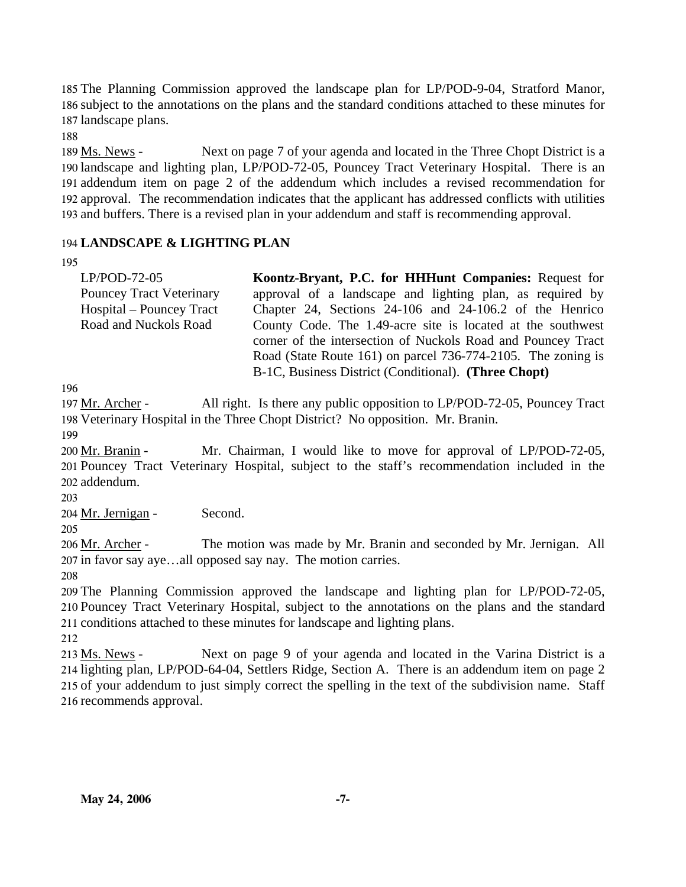185 The Planning Commission approved the landscape plan for LP/POD-9-04, Stratford Manor, 186 subject to the annotations on the plans and the standard conditions attached to these minutes for 187 landscape plans.

188

Next on page 7 of your agenda and located in the Three Chopt District is a 190 landscape and lighting plan, LP/POD-72-05, Pouncey Tract Veterinary Hospital. There is an 191 addendum item on page 2 of the addendum which includes a revised recommendation for 192 approval. The recommendation indicates that the applicant has addressed conflicts with utilities 193 and buffers. There is a revised plan in your addendum and staff is recommending approval. 189 Ms. News -

## 194 **LANDSCAPE & LIGHTING PLAN**

#### 195

| $LP/POD-72-05$                  | Koontz-Bryant, P.C. for HHHunt Companies: Request for        |
|---------------------------------|--------------------------------------------------------------|
| <b>Pouncey Tract Veterinary</b> | approval of a landscape and lighting plan, as required by    |
| Hospital – Pouncey Tract        | Chapter 24, Sections 24-106 and 24-106.2 of the Henrico      |
| Road and Nuckols Road           | County Code. The 1.49-acre site is located at the southwest  |
|                                 | corner of the intersection of Nuckols Road and Pouncey Tract |
|                                 | Road (State Route 161) on parcel 736-774-2105. The zoning is |
|                                 | B-1C, Business District (Conditional). (Three Chopt)         |

196

All right. Is there any public opposition to LP/POD-72-05, Pouncey Tract 198 Veterinary Hospital in the Three Chopt District? No opposition. Mr. Branin. 197 Mr. Archer -

199

Mr. Chairman, I would like to move for approval of LP/POD-72-05, 201 Pouncey Tract Veterinary Hospital, subject to the staff's recommendation included in the addendum. 202 200 Mr. Branin -

203

204 Mr. Jernigan - Second.

205 The motion was made by Mr. Branin and seconded by Mr. Jernigan. All 207 in favor say aye...all opposed say nay. The motion carries. 206 Mr. Archer -

208

209 The Planning Commission approved the landscape and lighting plan for LP/POD-72-05, 210 Pouncey Tract Veterinary Hospital, subject to the annotations on the plans and the standard 211 conditions attached to these minutes for landscape and lighting plans.

212

Next on page 9 of your agenda and located in the Varina District is a 214 lighting plan, LP/POD-64-04, Settlers Ridge, Section A. There is an addendum item on page 2 215 of your addendum to just simply correct the spelling in the text of the subdivision name. Staff 216 recommends approval. 213 Ms. News -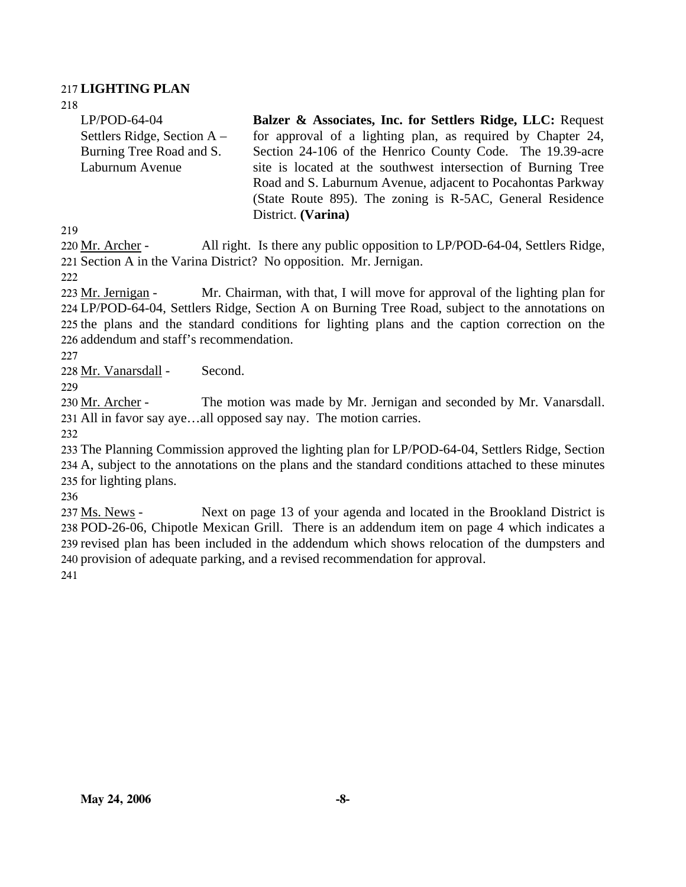### 217 **LIGHTING PLAN**

218 LP/POD-64-04 Settlers Ridge, Section A – Burning Tree Road and S. Laburnum Avenue **Balzer & Associates, Inc. for Settlers Ridge, LLC:** Request for approval of a lighting plan, as required by Chapter 24, Section 24-106 of the Henrico County Code. The 19.39-acre site is located at the southwest intersection of Burning Tree Road and S. Laburnum Avenue, adjacent to Pocahontas Parkway (State Route 895). The zoning is R-5AC, General Residence District. **(Varina)** 

219

All right. Is there any public opposition to LP/POD-64-04, Settlers Ridge, 221 Section A in the Varina District? No opposition. Mr. Jernigan. 220 Mr. Archer -

222

Mr. Chairman, with that, I will move for approval of the lighting plan for LP/POD-64-04, Settlers Ridge, Section A on Burning Tree Road, subject to the annotations on 224 225 the plans and the standard conditions for lighting plans and the caption correction on the 226 addendum and staff's recommendation. 223 Mr. Jernigan -

227

228 Mr. Vanarsdall - Second.

229

The motion was made by Mr. Jernigan and seconded by Mr. Vanarsdall. All in favor say aye…all opposed say nay. The motion carries. 231 230 Mr. Archer -

232

233 The Planning Commission approved the lighting plan for LP/POD-64-04, Settlers Ridge, Section 234 A, subject to the annotations on the plans and the standard conditions attached to these minutes 235 for lighting plans.

236

Next on page 13 of your agenda and located in the Brookland District is 238 POD-26-06, Chipotle Mexican Grill. There is an addendum item on page 4 which indicates a 239 revised plan has been included in the addendum which shows relocation of the dumpsters and 240 provision of adequate parking, and a revised recommendation for approval. 237 Ms. News -241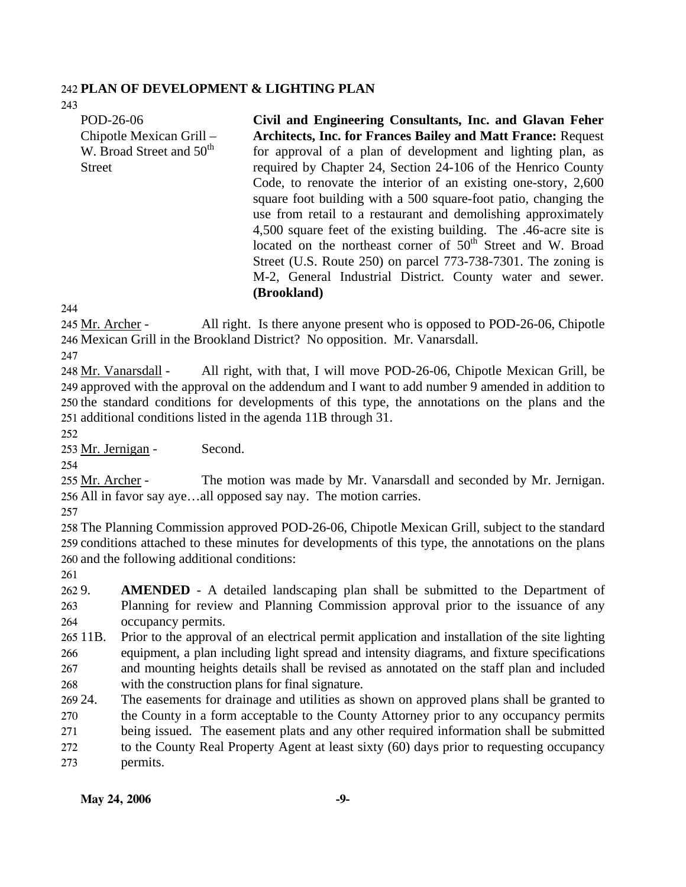### 242 **PLAN OF DEVELOPMENT & LIGHTING PLAN**

243 POD-26-06 Chipotle Mexican Grill – W. Broad Street and 50<sup>th</sup>

**Street** 

**Civil and Engineering Consultants, Inc. and Glavan Feher Architects, Inc. for Frances Bailey and Matt France:** Request for approval of a plan of development and lighting plan, as required by Chapter 24, Section 24-106 of the Henrico County Code, to renovate the interior of an existing one-story, 2,600 square foot building with a 500 square-foot patio, changing the use from retail to a restaurant and demolishing approximately 4,500 square feet of the existing building. The .46-acre site is located on the northeast corner of  $50<sup>th</sup>$  Street and W. Broad Street (U.S. Route 250) on parcel 773-738-7301. The zoning is M-2, General Industrial District. County water and sewer. **(Brookland)** 

244

All right. Is there anyone present who is opposed to POD-26-06, Chipotle 246 Mexican Grill in the Brookland District? No opposition. Mr. Vanarsdall. 245 Mr. Archer -

247

All right, with that, I will move POD-26-06, Chipotle Mexican Grill, be 249 approved with the approval on the addendum and I want to add number 9 amended in addition to 250 the standard conditions for developments of this type, the annotations on the plans and the 251 additional conditions listed in the agenda 11B through 31. 248 Mr. Vanarsdall -

252

253 Mr. Jernigan - Second.

254

The motion was made by Mr. Vanarsdall and seconded by Mr. Jernigan. 256 All in favor say aye...all opposed say nay. The motion carries. 255 Mr. Archer -

257

258 The Planning Commission approved POD-26-06, Chipotle Mexican Grill, subject to the standard 259 conditions attached to these minutes for developments of this type, the annotations on the plans 260 and the following additional conditions:

261

262 9. 263 264 **AMENDED** - A detailed landscaping plan shall be submitted to the Department of Planning for review and Planning Commission approval prior to the issuance of any occupancy permits.

265 11B. 266 267 268 11B. Prior to the approval of an electrical permit application and installation of the site lighting equipment, a plan including light spread and intensity diagrams, and fixture specifications and mounting heights details shall be revised as annotated on the staff plan and included with the construction plans for final signature.

269 24. 270 271 272 273 The easements for drainage and utilities as shown on approved plans shall be granted to the County in a form acceptable to the County Attorney prior to any occupancy permits being issued. The easement plats and any other required information shall be submitted to the County Real Property Agent at least sixty (60) days prior to requesting occupancy permits.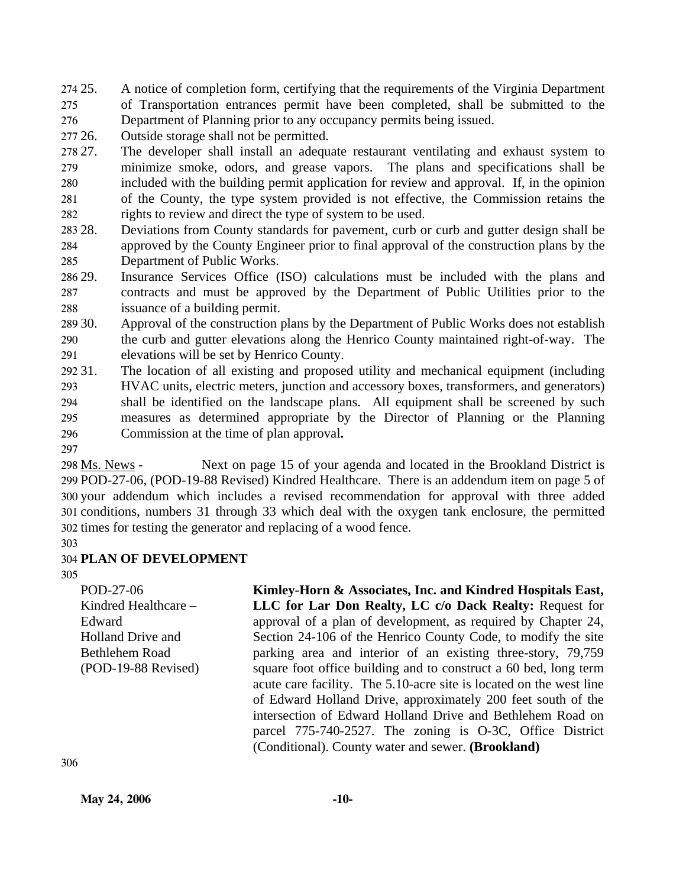274 25. 275 276 A notice of completion form, certifying that the requirements of the Virginia Department of Transportation entrances permit have been completed, shall be submitted to the Department of Planning prior to any occupancy permits being issued.

277 26. Outside storage shall not be permitted.

278 27. 279 280 281 282 27. The developer shall install an adequate restaurant ventilating and exhaust system to minimize smoke, odors, and grease vapors. The plans and specifications shall be included with the building permit application for review and approval. If, in the opinion of the County, the type system provided is not effective, the Commission retains the rights to review and direct the type of system to be used.

28. 284 285 28. Deviations from County standards for pavement, curb or curb and gutter design shall be approved by the County Engineer prior to final approval of the construction plans by the Department of Public Works.

286 29. 287 288 Insurance Services Office (ISO) calculations must be included with the plans and contracts and must be approved by the Department of Public Utilities prior to the issuance of a building permit.

289 30. 290 291 Approval of the construction plans by the Department of Public Works does not establish the curb and gutter elevations along the Henrico County maintained right-of-way. The elevations will be set by Henrico County.

292 31. 293 294 295 296 The location of all existing and proposed utility and mechanical equipment (including HVAC units, electric meters, junction and accessory boxes, transformers, and generators) shall be identified on the landscape plans. All equipment shall be screened by such measures as determined appropriate by the Director of Planning or the Planning Commission at the time of plan approval**.**

297

Next on page 15 of your agenda and located in the Brookland District is POD-27-06, (POD-19-88 Revised) Kindred Healthcare. There is an addendum item on page 5 of 299 300 your addendum which includes a revised recommendation for approval with three added 301 conditions, numbers 31 through 33 which deal with the oxygen tank enclosure, the permitted 302 times for testing the generator and replacing of a wood fence. 298 Ms. News -

303

# 304 **PLAN OF DEVELOPMENT**

305

POD-27-06 Kindred Healthcare – Edward Holland Drive and Bethlehem Road (POD-19-88 Revised) **Kimley-Horn & Associates, Inc. and Kindred Hospitals East, LLC for Lar Don Realty, LC c/o Dack Realty:** Request for approval of a plan of development, as required by Chapter 24, Section 24-106 of the Henrico County Code, to modify the site parking area and interior of an existing three-story, 79,759 square foot office building and to construct a 60 bed, long term acute care facility. The 5.10-acre site is located on the west line of Edward Holland Drive, approximately 200 feet south of the intersection of Edward Holland Drive and Bethlehem Road on parcel 775-740-2527. The zoning is O-3C, Office District (Conditional). County water and sewer. **(Brookland)** 

306

**May 24, 2006** -10-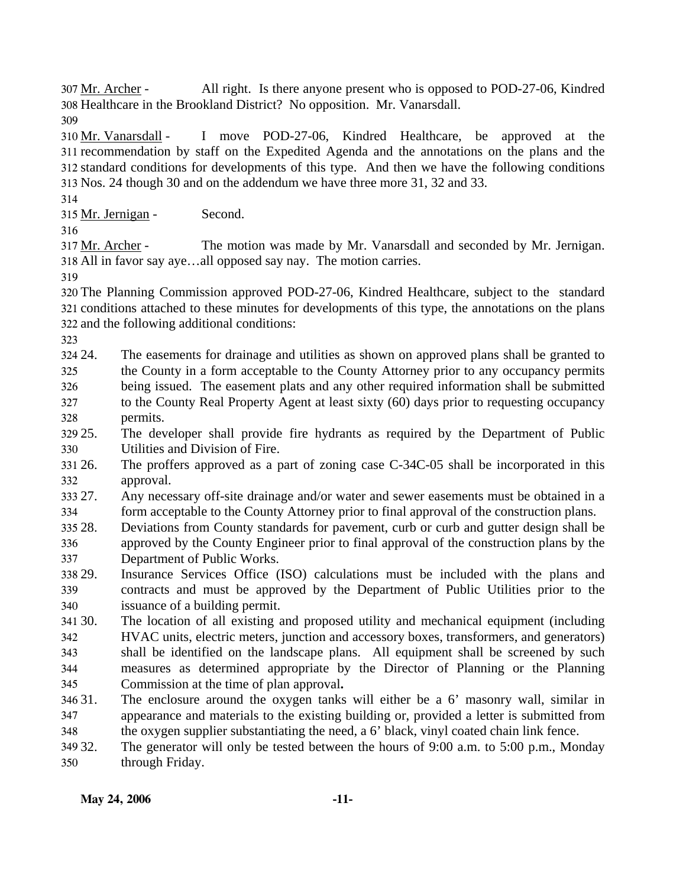All right. Is there anyone present who is opposed to POD-27-06, Kindred 308 Healthcare in the Brookland District? No opposition. Mr. Vanarsdall. 307 Mr. Archer -

309

I move POD-27-06, Kindred Healthcare, be approved at the 311 recommendation by staff on the Expedited Agenda and the annotations on the plans and the standard conditions for developments of this type. And then we have the following conditions 312 Nos. 24 though 30 and on the addendum we have three more 31, 32 and 33. 313 310 Mr. Vanarsdall -

314

315 Mr. Jernigan - Second.

316

The motion was made by Mr. Vanarsdall and seconded by Mr. Jernigan. All in favor say aye…all opposed say nay. The motion carries. 318 317 Mr. Archer -

319

320 The Planning Commission approved POD-27-06, Kindred Healthcare, subject to the standard 321 conditions attached to these minutes for developments of this type, the annotations on the plans 322 and the following additional conditions:

323

324 24. 325 326 The easements for drainage and utilities as shown on approved plans shall be granted to the County in a form acceptable to the County Attorney prior to any occupancy permits being issued. The easement plats and any other required information shall be submitted

- 327 328 to the County Real Property Agent at least sixty (60) days prior to requesting occupancy permits.
- 329 25. 330 The developer shall provide fire hydrants as required by the Department of Public Utilities and Division of Fire.
- 331 26. 332 The proffers approved as a part of zoning case C-34C-05 shall be incorporated in this approval.
- 33 27. 334 Any necessary off-site drainage and/or water and sewer easements must be obtained in a form acceptable to the County Attorney prior to final approval of the construction plans.
- 335 28. 336 337 Deviations from County standards for pavement, curb or curb and gutter design shall be approved by the County Engineer prior to final approval of the construction plans by the Department of Public Works.
- 338 29. 339 340 Insurance Services Office (ISO) calculations must be included with the plans and contracts and must be approved by the Department of Public Utilities prior to the issuance of a building permit.
- 341 30. 342 343 344 The location of all existing and proposed utility and mechanical equipment (including HVAC units, electric meters, junction and accessory boxes, transformers, and generators) shall be identified on the landscape plans. All equipment shall be screened by such measures as determined appropriate by the Director of Planning or the Planning
- 345 Commission at the time of plan approval**.**
- 346 31. 347 348 The enclosure around the oxygen tanks will either be a  $6'$  masonry wall, similar in appearance and materials to the existing building or, provided a letter is submitted from the oxygen supplier substantiating the need, a 6' black, vinyl coated chain link fence.
- 349 32. 350 The generator will only be tested between the hours of 9:00 a.m. to 5:00 p.m., Monday through Friday.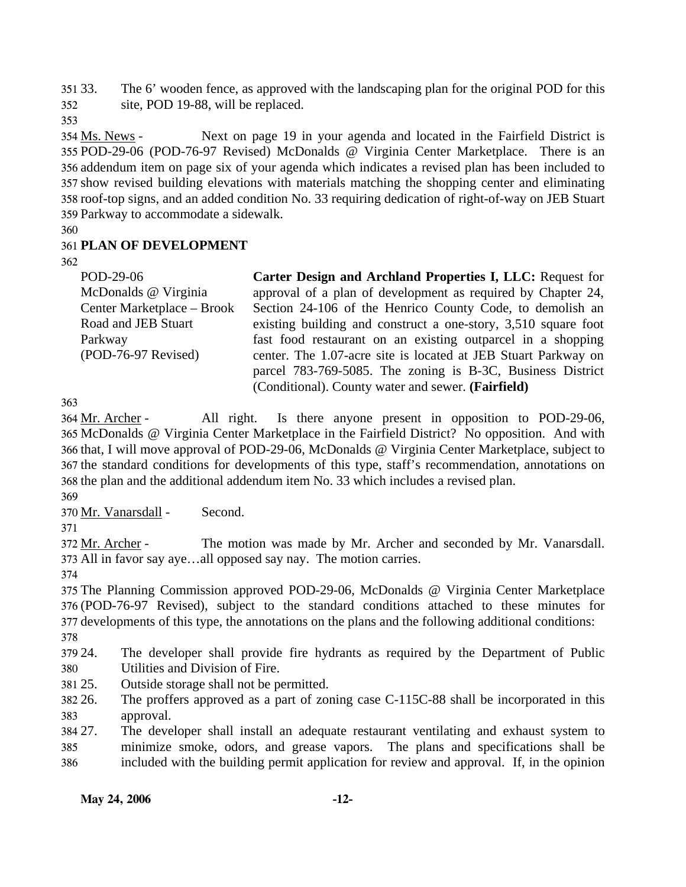351 33. 352 The 6' wooden fence, as approved with the landscaping plan for the original POD for this site, POD 19-88, will be replaced.

353

Next on page 19 in your agenda and located in the Fairfield District is 355 POD-29-06 (POD-76-97 Revised) McDonalds @ Virginia Center Marketplace. There is an 356 addendum item on page six of your agenda which indicates a revised plan has been included to 357 show revised building elevations with materials matching the shopping center and eliminating 358 roof-top signs, and an added condition No. 33 requiring dedication of right-of-way on JEB Stuart Parkway to accommodate a sidewalk. 359 354 Ms. News -

360

# 361 **PLAN OF DEVELOPMENT**

362

| POD-29-06                  | Carter Design and Archland Properties I, LLC: Request for      |
|----------------------------|----------------------------------------------------------------|
| McDonalds @ Virginia       | approval of a plan of development as required by Chapter 24,   |
| Center Marketplace – Brook | Section 24-106 of the Henrico County Code, to demolish an      |
| Road and JEB Stuart        | existing building and construct a one-story, 3,510 square foot |
| Parkway                    | fast food restaurant on an existing outparcel in a shopping    |
| (POD-76-97 Revised)        | center. The 1.07-acre site is located at JEB Stuart Parkway on |
|                            | parcel 783-769-5085. The zoning is B-3C, Business District     |
|                            | (Conditional). County water and sewer. (Fairfield)             |

363

All right. Is there anyone present in opposition to POD-29-06, 365 McDonalds @ Virginia Center Marketplace in the Fairfield District? No opposition. And with 366 that, I will move approval of POD-29-06, McDonalds @ Virginia Center Marketplace, subject to 367 the standard conditions for developments of this type, staff's recommendation, annotations on 368 the plan and the additional addendum item No. 33 which includes a revised plan. 364 Mr. Archer -

369

370 Mr. Vanarsdall - Second.

371

The motion was made by Mr. Archer and seconded by Mr. Vanarsdall. All in favor say aye…all opposed say nay. The motion carries. 373 372 Mr. Archer -

374

375 The Planning Commission approved POD-29-06, McDonalds @ Virginia Center Marketplace 376 (POD-76-97 Revised), subject to the standard conditions attached to these minutes for 377 developments of this type, the annotations on the plans and the following additional conditions:

378

379 24. 380 The developer shall provide fire hydrants as required by the Department of Public Utilities and Division of Fire.

381 25. Outside storage shall not be permitted.

382 26. 383 The proffers approved as a part of zoning case C-115C-88 shall be incorporated in this approval.

384 27. 385 386 The developer shall install an adequate restaurant ventilating and exhaust system to minimize smoke, odors, and grease vapors. The plans and specifications shall be included with the building permit application for review and approval. If, in the opinion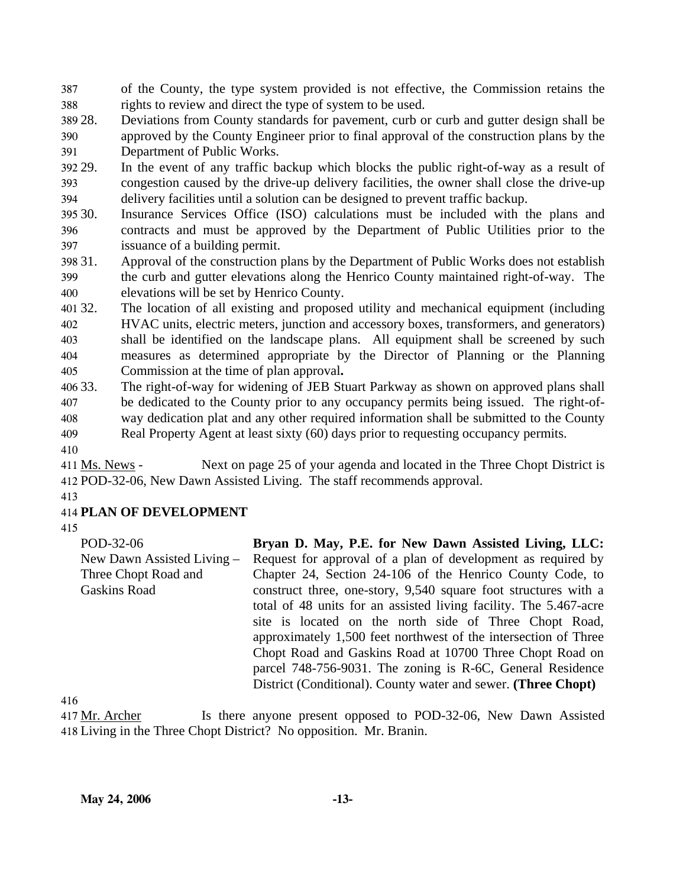387 388 of the County, the type system provided is not effective, the Commission retains the rights to review and direct the type of system to be used.

389 28. 390 391 Deviations from County standards for pavement, curb or curb and gutter design shall be approved by the County Engineer prior to final approval of the construction plans by the Department of Public Works.

392 29. 393 394 In the event of any traffic backup which blocks the public right-of-way as a result of congestion caused by the drive-up delivery facilities, the owner shall close the drive**-**up delivery facilities until a solution can be designed to prevent traffic backup.

30. 396 397 Insurance Services Office (ISO) calculations must be included with the plans and contracts and must be approved by the Department of Public Utilities prior to the issuance of a building permit.

398 31. 399 400 Approval of the construction plans by the Department of Public Works does not establish the curb and gutter elevations along the Henrico County maintained right-of-way. The elevations will be set by Henrico County.

401 32. 402 403 404 405 The location of all existing and proposed utility and mechanical equipment (including HVAC units, electric meters, junction and accessory boxes, transformers, and generators) shall be identified on the landscape plans. All equipment shall be screened by such measures as determined appropriate by the Director of Planning or the Planning Commission at the time of plan approval**.** 

406 33. 407 408 The right-of-way for widening of JEB Stuart Parkway as shown on approved plans shall be dedicated to the County prior to any occupancy permits being issued. The right-ofway dedication plat and any other required information shall be submitted to the County

409 Real Property Agent at least sixty (60) days prior to requesting occupancy permits.

410

Next on page 25 of your agenda and located in the Three Chopt District is 412 POD-32-06, New Dawn Assisted Living. The staff recommends approval. 411 Ms. News -

413

## 414 **PLAN OF DEVELOPMENT**

415

POD-32-06 New Dawn Assisted Living – Three Chopt Road and Gaskins Road **Bryan D. May, P.E. for New Dawn Assisted Living, LLC:**  Request for approval of a plan of development as required by Chapter 24, Section 24-106 of the Henrico County Code, to construct three, one-story, 9,540 square foot structures with a total of 48 units for an assisted living facility. The 5.467-acre site is located on the north side of Three Chopt Road, approximately 1,500 feet northwest of the intersection of Three Chopt Road and Gaskins Road at 10700 Three Chopt Road on parcel 748-756-9031. The zoning is R-6C, General Residence District (Conditional). County water and sewer. **(Three Chopt)** 

416

Is there anyone present opposed to POD-32-06, New Dawn Assisted 418 Living in the Three Chopt District? No opposition. Mr. Branin. 417 Mr. Archer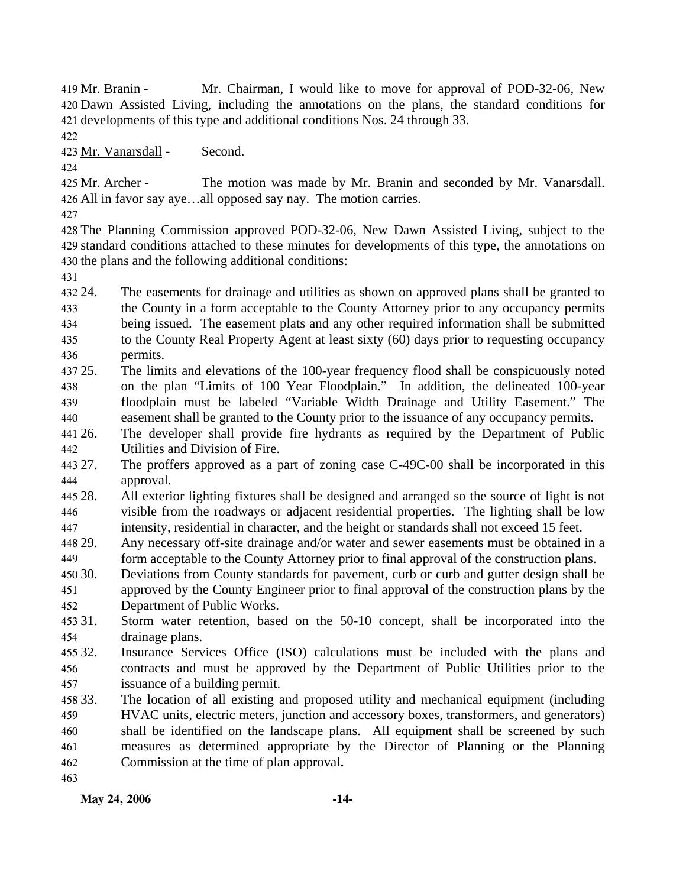Mr. Chairman, I would like to move for approval of POD-32-06, New Dawn Assisted Living, including the annotations on the plans, the standard conditions for 420 421 developments of this type and additional conditions Nos. 24 through 33. 419 Mr. Branin -

422

423 Mr. Vanarsdall - Second.

424

The motion was made by Mr. Branin and seconded by Mr. Vanarsdall. All in favor say aye…all opposed say nay. The motion carries. 426 425 Mr. Archer -

427

428 The Planning Commission approved POD-32-06, New Dawn Assisted Living, subject to the 429 standard conditions attached to these minutes for developments of this type, the annotations on 430 the plans and the following additional conditions:

431

432.24 433 434 435 436 24. The easements for drainage and utilities as shown on approved plans shall be granted to the County in a form acceptable to the County Attorney prior to any occupancy permits being issued. The easement plats and any other required information shall be submitted to the County Real Property Agent at least sixty (60) days prior to requesting occupancy permits.

437 25. 438 439 440 25. The limits and elevations of the 100-year frequency flood shall be conspicuously noted on the plan "Limits of 100 Year Floodplain." In addition, the delineated 100-year floodplain must be labeled "Variable Width Drainage and Utility Easement." The easement shall be granted to the County prior to the issuance of any occupancy permits.

441 26. 442 The developer shall provide fire hydrants as required by the Department of Public Utilities and Division of Fire.

443 27 444 The proffers approved as a part of zoning case C-49C-00 shall be incorporated in this approval.

445 28. 446 447 28. All exterior lighting fixtures shall be designed and arranged so the source of light is not visible from the roadways or adjacent residential properties. The lighting shall be low intensity, residential in character, and the height or standards shall not exceed 15 feet.

448 29. 449 Any necessary off-site drainage and/or water and sewer easements must be obtained in a form acceptable to the County Attorney prior to final approval of the construction plans.

450 30. 451 452 Deviations from County standards for pavement, curb or curb and gutter design shall be approved by the County Engineer prior to final approval of the construction plans by the Department of Public Works.

453 31. 454 Storm water retention, based on the 50-10 concept, shall be incorporated into the drainage plans.

455 32. 456 457 Insurance Services Office (ISO) calculations must be included with the plans and contracts and must be approved by the Department of Public Utilities prior to the issuance of a building permit.

458 33. 33. The location of all existing and proposed utility and mechanical equipment (including

459 460 461 462 HVAC units, electric meters, junction and accessory boxes, transformers, and generators) shall be identified on the landscape plans. All equipment shall be screened by such measures as determined appropriate by the Director of Planning or the Planning Commission at the time of plan approval**.**

463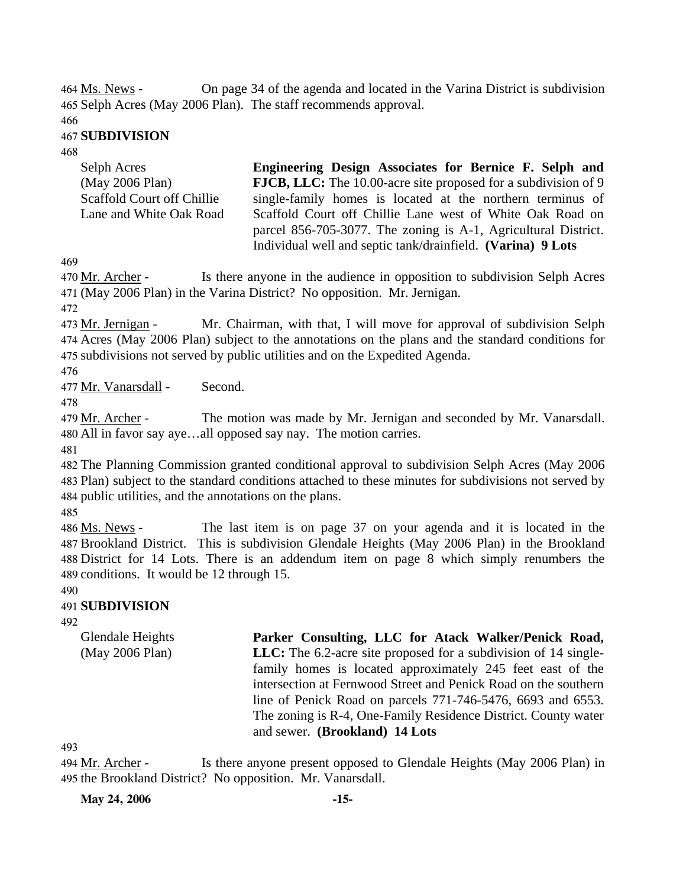On page 34 of the agenda and located in the Varina District is subdivision 465 Selph Acres (May 2006 Plan). The staff recommends approval. 464 Ms. News -

466

#### 467 **SUBDIVISION**

468

| Selph Acres                       | Engineering Design Associates for Bernice F. Selph and                |
|-----------------------------------|-----------------------------------------------------------------------|
| (May 2006 Plan)                   | <b>FJCB, LLC:</b> The 10.00-acre site proposed for a subdivision of 9 |
| <b>Scaffold Court off Chillie</b> | single-family homes is located at the northern terminus of            |
| Lane and White Oak Road           | Scaffold Court off Chillie Lane west of White Oak Road on             |
|                                   | parcel 856-705-3077. The zoning is A-1, Agricultural District.        |
|                                   | Individual well and septic tank/drainfield. (Varina) 9 Lots           |

469

Is there anyone in the audience in opposition to subdivision Selph Acres (May 2006 Plan) in the Varina District? No opposition. Mr. Jernigan. 471 470 Mr. Archer -

472

Mr. Chairman, with that, I will move for approval of subdivision Selph Acres (May 2006 Plan) subject to the annotations on the plans and the standard conditions for 474 475 subdivisions not served by public utilities and on the Expedited Agenda. 473 Mr. Jernigan -

476

477 Mr. Vanarsdall - Second.

478

The motion was made by Mr. Jernigan and seconded by Mr. Vanarsdall. All in favor say aye…all opposed say nay. The motion carries. 480 479 Mr. Archer -

481

482 The Planning Commission granted conditional approval to subdivision Selph Acres (May 2006 483 Plan) subject to the standard conditions attached to these minutes for subdivisions not served by 484 public utilities, and the annotations on the plans.

485

The last item is on page 37 on your agenda and it is located in the Brookland District. This is subdivision Glendale Heights (May 2006 Plan) in the Brookland 487 District for 14 Lots. There is an addendum item on page 8 which simply renumbers the 488 489 conditions. It would be 12 through 15. 486 Ms. News -

490

## 491 **SUBDIVISION**

492

Glendale Heights (May 2006 Plan) **Parker Consulting, LLC for Atack Walker/Penick Road, LLC:** The 6.2-acre site proposed for a subdivision of 14 singlefamily homes is located approximately 245 feet east of the intersection at Fernwood Street and Penick Road on the southern line of Penick Road on parcels 771-746-5476, 6693 and 6553. The zoning is R-4, One-Family Residence District. County water and sewer. **(Brookland) 14 Lots** 

493

Is there anyone present opposed to Glendale Heights (May 2006 Plan) in 495 the Brookland District? No opposition. Mr. Vanarsdall. 494 Mr. Archer -

**May 24, 2006 -15-**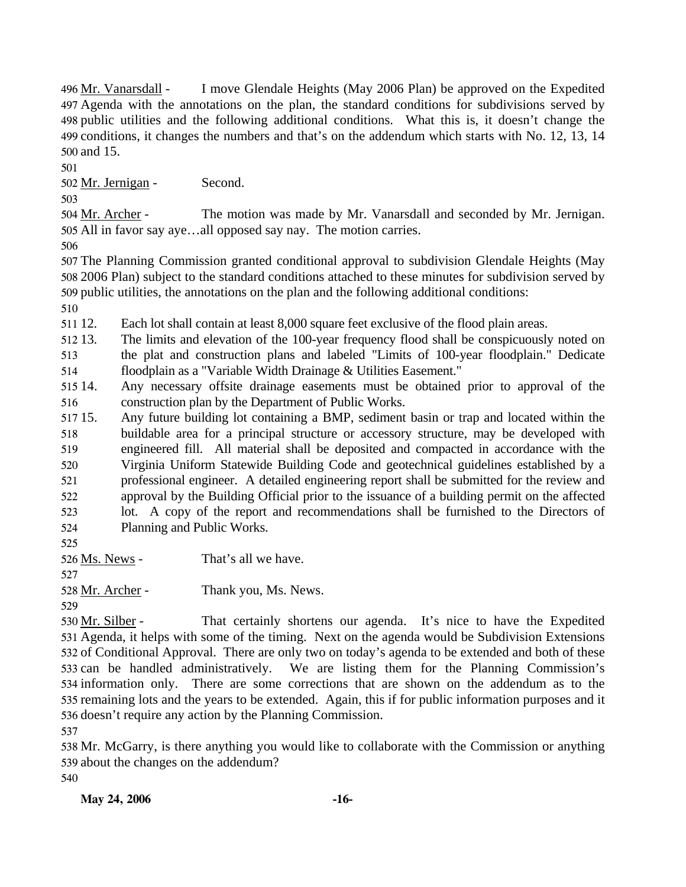I move Glendale Heights (May 2006 Plan) be approved on the Expedited Agenda with the annotations on the plan, the standard conditions for subdivisions served by 497 498 public utilities and the following additional conditions. What this is, it doesn't change the 499 conditions, it changes the numbers and that's on the addendum which starts with No. 12, 13, 14 500 and 15. 496 Mr. Vanarsdall -

501

502 Mr. Jernigan - Second.

503

The motion was made by Mr. Vanarsdall and seconded by Mr. Jernigan. 505 All in favor say aye...all opposed say nay. The motion carries. 504 Mr. Archer -

506

507 The Planning Commission granted conditional approval to subdivision Glendale Heights (May 508 2006 Plan) subject to the standard conditions attached to these minutes for subdivision served by 509 public utilities, the annotations on the plan and the following additional conditions:

510

511 12. Each lot shall contain at least 8,000 square feet exclusive of the flood plain areas.

512 13. 513 514 The limits and elevation of the 100-year frequency flood shall be conspicuously noted on the plat and construction plans and labeled "Limits of 100-year floodplain." Dedicate floodplain as a "Variable Width Drainage & Utilities Easement."

515 14. 516 Any necessary offsite drainage easements must be obtained prior to approval of the construction plan by the Department of Public Works.

517 15. 518 519 520 521 522 523 524 Any future building lot containing a BMP, sediment basin or trap and located within the buildable area for a principal structure or accessory structure, may be developed with engineered fill. All material shall be deposited and compacted in accordance with the Virginia Uniform Statewide Building Code and geotechnical guidelines established by a professional engineer. A detailed engineering report shall be submitted for the review and approval by the Building Official prior to the issuance of a building permit on the affected lot. A copy of the report and recommendations shall be furnished to the Directors of Planning and Public Works.

525

526 Ms. News - That's all we have.

527

528 <u>Mr. Archer</u> - Thank you, Ms. News.

529

That certainly shortens our agenda. It's nice to have the Expedited 531 Agenda, it helps with some of the timing. Next on the agenda would be Subdivision Extensions 532 of Conditional Approval. There are only two on today's agenda to be extended and both of these 533 can be handled administratively. We are listing them for the Planning Commission's 534 information only. There are some corrections that are shown on the addendum as to the 535 remaining lots and the years to be extended. Again, this if for public information purposes and it 536 doesn't require any action by the Planning Commission. 530 Mr. Silber -

537

538 Mr. McGarry, is there anything you would like to collaborate with the Commission or anything 539 about the changes on the addendum? 540

**May 24, 2006 -16-**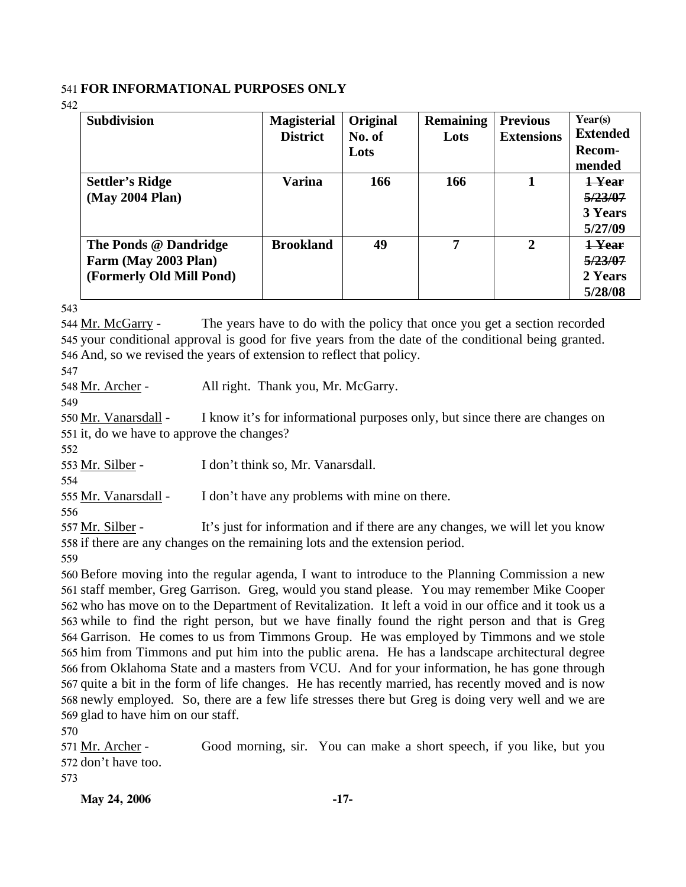## 541 **FOR INFORMATIONAL PURPOSES ONLY**

542

| <b>Subdivision</b>       | <b>Magisterial</b> | Original | <b>Remaining</b> | <b>Previous</b>   | Year(s)         |
|--------------------------|--------------------|----------|------------------|-------------------|-----------------|
|                          | <b>District</b>    | No. of   | Lots             | <b>Extensions</b> | <b>Extended</b> |
|                          |                    | Lots     |                  |                   | <b>Recom-</b>   |
|                          |                    |          |                  |                   | mended          |
| Settler's Ridge          | Varina             | 166      | 166              |                   | 1-Year          |
| (May 2004 Plan)          |                    |          |                  |                   | 5/23/07         |
|                          |                    |          |                  |                   | 3 Years         |
|                          |                    |          |                  |                   | 5/27/09         |
| The Ponds @ Dandridge    | <b>Brookland</b>   | 49       | 7                | 2                 | 1-Year          |
| Farm (May 2003 Plan)     |                    |          |                  |                   | 5/23/07         |
| (Formerly Old Mill Pond) |                    |          |                  |                   | 2 Years         |
|                          |                    |          |                  |                   | 5/28/08         |

543

The years have to do with the policy that once you get a section recorded 545 your conditional approval is good for five years from the date of the conditional being granted. 546 And, so we revised the years of extension to reflect that policy. 544 Mr. McGarry -

547

548 Mr. Archer - All right. Thank you, Mr. McGarry.

549

I know it's for informational purposes only, but since there are changes on 551 it, do we have to approve the changes? 550 Mr. Vanarsdall -

552

553 Mr. Silber - I don't think so, Mr. Vanarsdall.

554

555 Mr. Vanarsdall - I don't have any problems with mine on there.

556

It's just for information and if there are any changes, we will let you know 558 if there are any changes on the remaining lots and the extension period. 557 Mr. Silber -

559

 Before moving into the regular agenda, I want to introduce to the Planning Commission a new staff member, Greg Garrison. Greg, would you stand please. You may remember Mike Cooper who has move on to the Department of Revitalization. It left a void in our office and it took us a while to find the right person, but we have finally found the right person and that is Greg Garrison. He comes to us from Timmons Group. He was employed by Timmons and we stole him from Timmons and put him into the public arena. He has a landscape architectural degree from Oklahoma State and a masters from VCU. And for your information, he has gone through quite a bit in the form of life changes. He has recently married, has recently moved and is now newly employed. So, there are a few life stresses there but Greg is doing very well and we are glad to have him on our staff.

570

Good morning, sir. You can make a short speech, if you like, but you 572 don't have too. 571 Mr. Archer -

573

**May 24, 2006 -17-**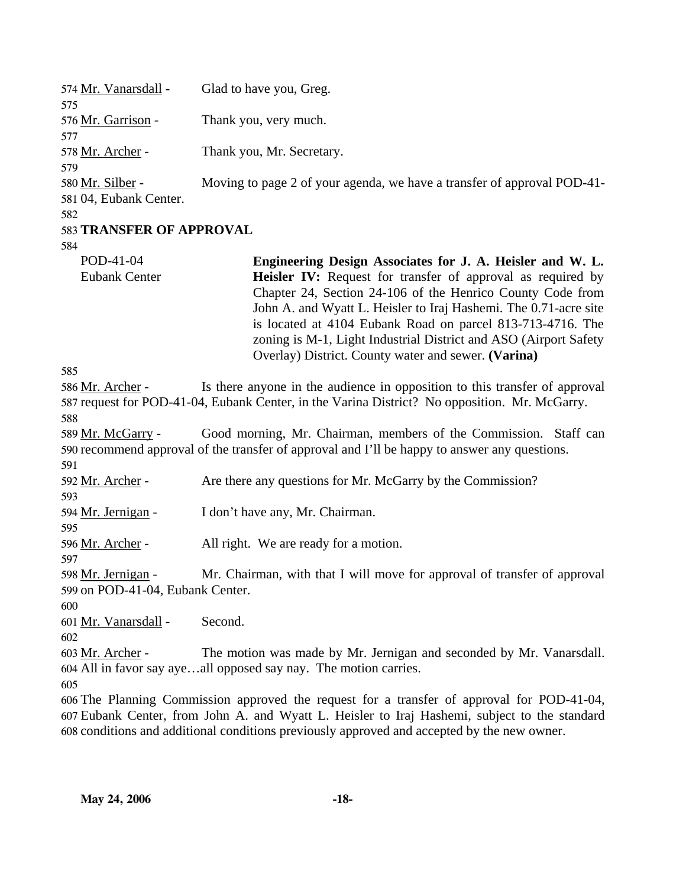| 574 Mr. Vanarsdall -<br>575                            | Glad to have you, Greg.                                                                                                                                                                                                                                                                                                                                                                       |
|--------------------------------------------------------|-----------------------------------------------------------------------------------------------------------------------------------------------------------------------------------------------------------------------------------------------------------------------------------------------------------------------------------------------------------------------------------------------|
| 576 Mr. Garrison -<br>577                              | Thank you, very much.                                                                                                                                                                                                                                                                                                                                                                         |
| 578 Mr. Archer -<br>579                                | Thank you, Mr. Secretary.                                                                                                                                                                                                                                                                                                                                                                     |
| 580 Mr. Silber -<br>581 04, Eubank Center.             | Moving to page 2 of your agenda, we have a transfer of approval POD-41-                                                                                                                                                                                                                                                                                                                       |
| 582<br>583 TRANSFER OF APPROVAL                        |                                                                                                                                                                                                                                                                                                                                                                                               |
| 584                                                    |                                                                                                                                                                                                                                                                                                                                                                                               |
| POD-41-04                                              | Engineering Design Associates for J. A. Heisler and W. L.                                                                                                                                                                                                                                                                                                                                     |
| <b>Eubank Center</b>                                   | <b>Heisler IV:</b> Request for transfer of approval as required by<br>Chapter 24, Section 24-106 of the Henrico County Code from<br>John A. and Wyatt L. Heisler to Iraj Hashemi. The 0.71-acre site<br>is located at 4104 Eubank Road on parcel 813-713-4716. The<br>zoning is M-1, Light Industrial District and ASO (Airport Safety<br>Overlay) District. County water and sewer. (Varina) |
| 585                                                    |                                                                                                                                                                                                                                                                                                                                                                                               |
| 586 Mr. Archer -                                       | Is there anyone in the audience in opposition to this transfer of approval<br>587 request for POD-41-04, Eubank Center, in the Varina District? No opposition. Mr. McGarry.                                                                                                                                                                                                                   |
| 588<br>589 Mr. McGarry -                               | Good morning, Mr. Chairman, members of the Commission. Staff can<br>590 recommend approval of the transfer of approval and I'll be happy to answer any questions.                                                                                                                                                                                                                             |
| 591<br>592 Mr. Archer -<br>593                         | Are there any questions for Mr. McGarry by the Commission?                                                                                                                                                                                                                                                                                                                                    |
| 594 Mr. Jernigan -<br>595                              | I don't have any, Mr. Chairman.                                                                                                                                                                                                                                                                                                                                                               |
| 596 Mr. Archer -<br>597                                | All right. We are ready for a motion.                                                                                                                                                                                                                                                                                                                                                         |
| 598 Mr. Jernigan -<br>599 on POD-41-04, Eubank Center. | Mr. Chairman, with that I will move for approval of transfer of approval                                                                                                                                                                                                                                                                                                                      |
| 600                                                    |                                                                                                                                                                                                                                                                                                                                                                                               |
| 601 Mr. Vanarsdall -<br>602                            | Second.                                                                                                                                                                                                                                                                                                                                                                                       |
| 603 Mr. Archer -                                       | The motion was made by Mr. Jernigan and seconded by Mr. Vanarsdall.<br>604 All in favor say ayeall opposed say nay. The motion carries.                                                                                                                                                                                                                                                       |
| 605                                                    |                                                                                                                                                                                                                                                                                                                                                                                               |
|                                                        | 606 The Planning Commission approved the request for a transfer of approval for POD-41-04,<br>607 Eubank Center, from John A. and Wyatt L. Heisler to Iraj Hashemi, subject to the standard<br>608 conditions and additional conditions previously approved and accepted by the new owner.                                                                                                    |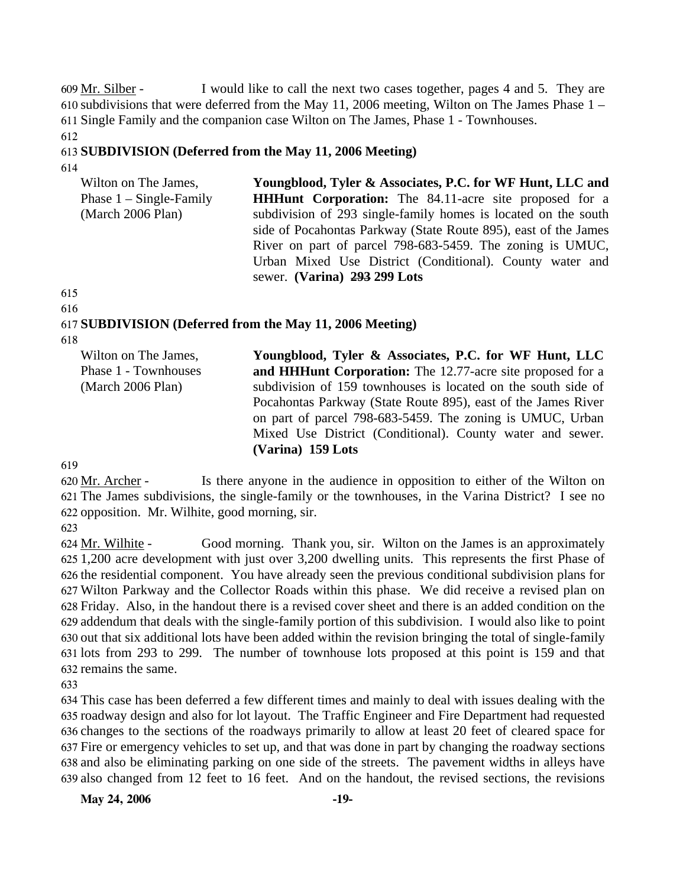I would like to call the next two cases together, pages 4 and 5. They are 610 subdivisions that were deferred from the May 11, 2006 meeting, Wilton on The James Phase  $1 -$ 611 Single Family and the companion case Wilton on The James, Phase 1 - Townhouses. 609 Mr. Silber -

612

#### 613 **SUBDIVISION (Deferred from the May 11, 2006 Meeting)**  614

| Wilton on The James,      | Youngblood, Tyler & Associates, P.C. for WF Hunt, LLC and       |
|---------------------------|-----------------------------------------------------------------|
| Phase $1 -$ Single-Family | <b>HHHunt Corporation:</b> The 84.11-acre site proposed for a   |
| (March 2006 Plan)         | subdivision of 293 single-family homes is located on the south  |
|                           | side of Pocahontas Parkway (State Route 895), east of the James |
|                           | River on part of parcel 798-683-5459. The zoning is UMUC,       |
|                           | Urban Mixed Use District (Conditional). County water and        |
|                           | sewer. (Varina) 293 299 Lots                                    |

## 615

616

# 617 **SUBDIVISION (Deferred from the May 11, 2006 Meeting)**

618

| Wilton on The James,<br>Phase 1 - Townhouses | Youngblood, Tyler & Associates, P.C. for WF Hunt, LLC<br>and HHHunt Corporation: The 12.77-acre site proposed for a                                                                         |  |  |  |
|----------------------------------------------|---------------------------------------------------------------------------------------------------------------------------------------------------------------------------------------------|--|--|--|
| (March 2006 Plan)                            | subdivision of 159 townhouses is located on the south side of<br>Pocahontas Parkway (State Route 895), east of the James River<br>on part of parcel 798-683-5459. The zoning is UMUC, Urban |  |  |  |
|                                              | Mixed Use District (Conditional). County water and sewer.<br>(Varina) 159 Lots                                                                                                              |  |  |  |

619

Is there anyone in the audience in opposition to either of the Wilton on The James subdivisions, the single-family or the townhouses, in the Varina District? I see no 621 622 opposition. Mr. Wilhite, good morning, sir. 620 Mr. Archer -

623

Good morning. Thank you, sir. Wilton on the James is an approximately 1,200 acre development with just over 3,200 dwelling units. This represents the first Phase of 625 626 the residential component. You have already seen the previous conditional subdivision plans for Wilton Parkway and the Collector Roads within this phase. We did receive a revised plan on 627 Friday. Also, in the handout there is a revised cover sheet and there is an added condition on the 628 629 addendum that deals with the single-family portion of this subdivision. I would also like to point 630 out that six additional lots have been added within the revision bringing the total of single-family 631 lots from 293 to 299. The number of townhouse lots proposed at this point is 159 and that 632 remains the same. 624 Mr. Wilhite -

633

 This case has been deferred a few different times and mainly to deal with issues dealing with the roadway design and also for lot layout. The Traffic Engineer and Fire Department had requested changes to the sections of the roadways primarily to allow at least 20 feet of cleared space for Fire or emergency vehicles to set up, and that was done in part by changing the roadway sections and also be eliminating parking on one side of the streets. The pavement widths in alleys have also changed from 12 feet to 16 feet. And on the handout, the revised sections, the revisions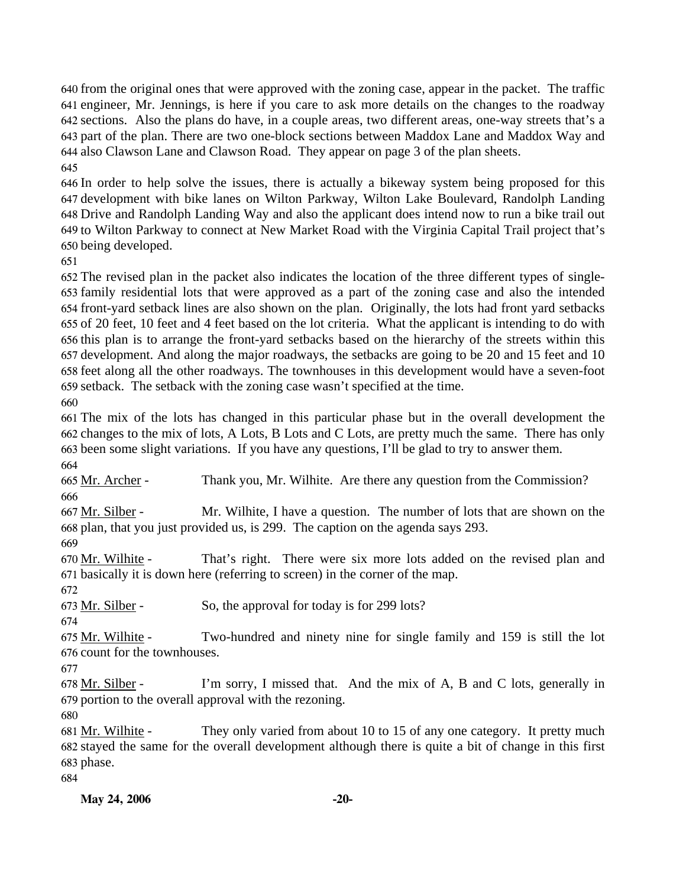from the original ones that were approved with the zoning case, appear in the packet. The traffic engineer, Mr. Jennings, is here if you care to ask more details on the changes to the roadway sections. Also the plans do have, in a couple areas, two different areas, one-way streets that's a part of the plan. There are two one-block sections between Maddox Lane and Maddox Way and also Clawson Lane and Clawson Road. They appear on page 3 of the plan sheets. 

 In order to help solve the issues, there is actually a bikeway system being proposed for this development with bike lanes on Wilton Parkway, Wilton Lake Boulevard, Randolph Landing Drive and Randolph Landing Way and also the applicant does intend now to run a bike trail out to Wilton Parkway to connect at New Market Road with the Virginia Capital Trail project that's being developed.

 The revised plan in the packet also indicates the location of the three different types of single- family residential lots that were approved as a part of the zoning case and also the intended front-yard setback lines are also shown on the plan. Originally, the lots had front yard setbacks of 20 feet, 10 feet and 4 feet based on the lot criteria. What the applicant is intending to do with this plan is to arrange the front-yard setbacks based on the hierarchy of the streets within this development. And along the major roadways, the setbacks are going to be 20 and 15 feet and 10 feet along all the other roadways. The townhouses in this development would have a seven-foot setback. The setback with the zoning case wasn't specified at the time.

 The mix of the lots has changed in this particular phase but in the overall development the changes to the mix of lots, A Lots, B Lots and C Lots, are pretty much the same. There has only been some slight variations. If you have any questions, I'll be glad to try to answer them. 

665 Mr. Archer - Thank you, Mr. Wilhite. Are there any question from the Commission? 

Mr. Wilhite, I have a question. The number of lots that are shown on the 668 plan, that you just provided us, is 299. The caption on the agenda says 293. 667 Mr. Silber -

That's right. There were six more lots added on the revised plan and 671 basically it is down here (referring to screen) in the corner of the map. 670 Mr. Wilhite -

Mr. Silber - So, the approval for today is for 299 lots?

 Two-hundred and ninety nine for single family and 159 is still the lot 675 Mr. Wilhite -

676 count for the townhouses.

I'm sorry, I missed that. And the mix of A, B and C lots, generally in 679 portion to the overall approval with the rezoning. 678 Mr. Silber -

They only varied from about 10 to 15 of any one category. It pretty much stayed the same for the overall development although there is quite a bit of change in this first 683 phase. 681 Mr. Wilhite -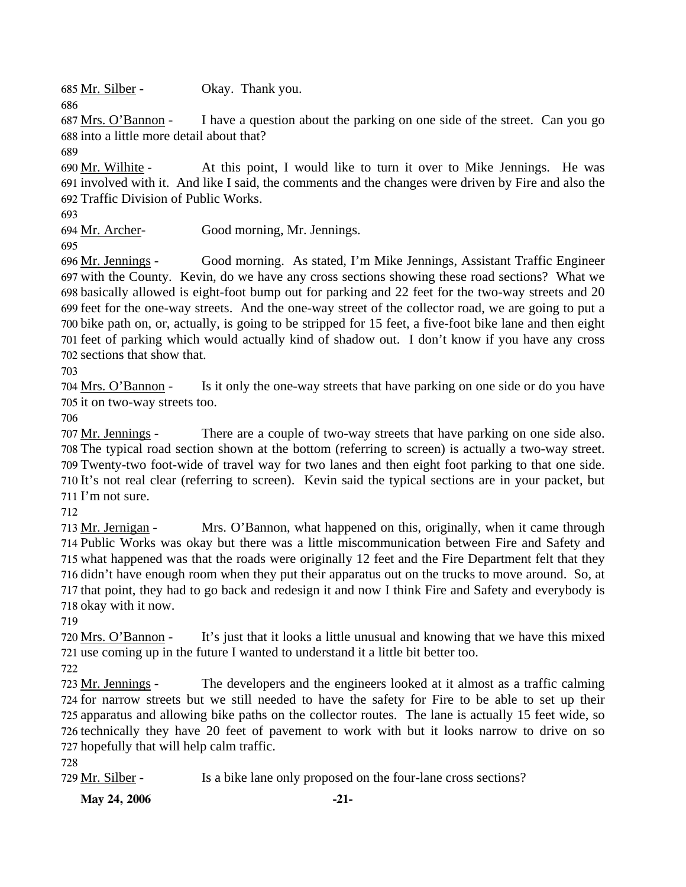685 Mr. Silber - Okay. Thank you.

I have a question about the parking on one side of the street. Can you go 688 into a little more detail about that? 687 Mrs. O'Bannon -

689

686

At this point, I would like to turn it over to Mike Jennings. He was 691 involved with it. And like I said, the comments and the changes were driven by Fire and also the 692 Traffic Division of Public Works. 690 Mr. Wilhite -

693

694 Mr. Archer- Good morning, Mr. Jennings.

695

Good morning. As stated, I'm Mike Jennings, Assistant Traffic Engineer 697 with the County. Kevin, do we have any cross sections showing these road sections? What we 698 basically allowed is eight-foot bump out for parking and 22 feet for the two-way streets and 20 699 feet for the one-way streets. And the one-way street of the collector road, we are going to put a 700 bike path on, or, actually, is going to be stripped for 15 feet, a five-foot bike lane and then eight 701 feet of parking which would actually kind of shadow out. I don't know if you have any cross 702 sections that show that. 696 Mr. Jennings -

703

Is it only the one-way streets that have parking on one side or do you have 705 it on two-way streets too. 704 Mrs. O'Bannon -

706

There are a couple of two-way streets that have parking on one side also. The typical road section shown at the bottom (referring to screen) is actually a two-way street. 708 Twenty-two foot-wide of travel way for two lanes and then eight foot parking to that one side. 709 710 It's not real clear (referring to screen). Kevin said the typical sections are in your packet, but  $711$  I'm not sure. 707 Mr. Jennings -

712

Mrs. O'Bannon, what happened on this, originally, when it came through 714 Public Works was okay but there was a little miscommunication between Fire and Safety and 715 what happened was that the roads were originally 12 feet and the Fire Department felt that they 716 didn't have enough room when they put their apparatus out on the trucks to move around. So, at 717 that point, they had to go back and redesign it and now I think Fire and Safety and everybody is 718 okay with it now. 713 Mr. Jernigan -

719

It's just that it looks a little unusual and knowing that we have this mixed 721 use coming up in the future I wanted to understand it a little bit better too. 720 Mrs. O'Bannon -

722

The developers and the engineers looked at it almost as a traffic calming 724 for narrow streets but we still needed to have the safety for Fire to be able to set up their 725 apparatus and allowing bike paths on the collector routes. The lane is actually 15 feet wide, so 726 technically they have 20 feet of pavement to work with but it looks narrow to drive on so 727 hopefully that will help calm traffic. 723 Mr. Jennings -

728

729 Mr. Silber - Is a bike lane only proposed on the four-lane cross sections?

**May 24, 2006** -21-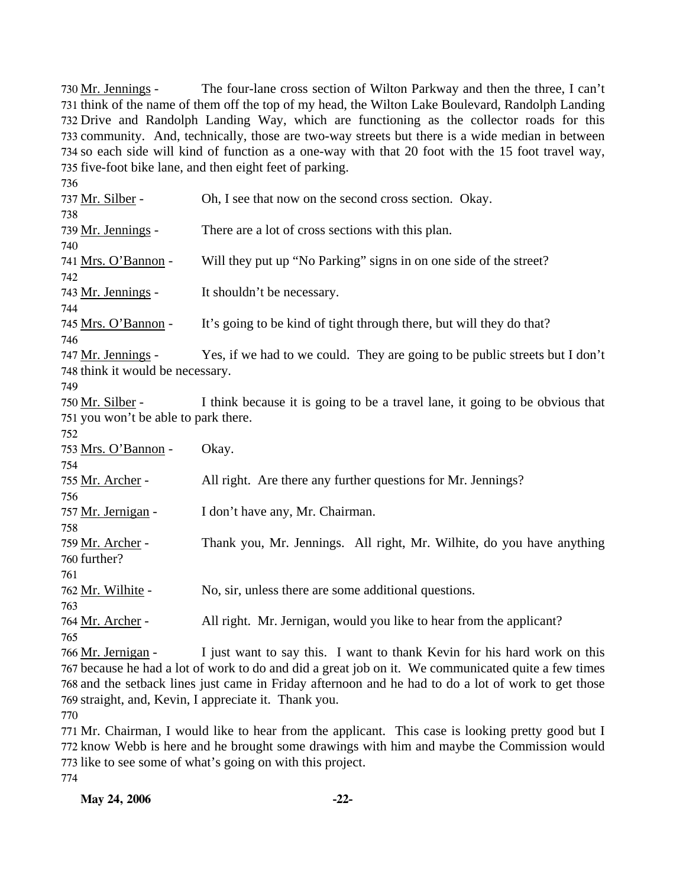The four-lane cross section of Wilton Parkway and then the three, I can't 731 think of the name of them off the top of my head, the Wilton Lake Boulevard, Randolph Landing Drive and Randolph Landing Way, which are functioning as the collector roads for this 732 733 community. And, technically, those are two-way streets but there is a wide median in between 734 so each side will kind of function as a one-way with that 20 foot with the 15 foot travel way, 735 five-foot bike lane, and then eight feet of parking. 730 Mr. Jennings -

| 736                                  |                                                                                                     |
|--------------------------------------|-----------------------------------------------------------------------------------------------------|
| 737 Mr. Silber -                     | Oh, I see that now on the second cross section. Okay.                                               |
| 738                                  |                                                                                                     |
| 739 Mr. Jennings -                   | There are a lot of cross sections with this plan.                                                   |
| 740                                  |                                                                                                     |
| 741 Mrs. O'Bannon -                  | Will they put up "No Parking" signs in on one side of the street?                                   |
| 742                                  |                                                                                                     |
| 743 Mr. Jennings -                   | It shouldn't be necessary.                                                                          |
| 744                                  |                                                                                                     |
| 745 Mrs. O'Bannon -                  | It's going to be kind of tight through there, but will they do that?                                |
| 746                                  |                                                                                                     |
| 747 Mr. Jennings -                   | Yes, if we had to we could. They are going to be public streets but I don't                         |
| 748 think it would be necessary.     |                                                                                                     |
| 749                                  |                                                                                                     |
| 750 Mr. Silber -                     | I think because it is going to be a travel lane, it going to be obvious that                        |
| 751 you won't be able to park there. |                                                                                                     |
| 752                                  |                                                                                                     |
| 753 Mrs. O'Bannon -                  | Okay.                                                                                               |
| 754                                  |                                                                                                     |
| 755 Mr. Archer -                     | All right. Are there any further questions for Mr. Jennings?                                        |
| 756                                  |                                                                                                     |
| 757 Mr. Jernigan -                   | I don't have any, Mr. Chairman.                                                                     |
| 758                                  |                                                                                                     |
| 759 Mr. Archer -                     | Thank you, Mr. Jennings. All right, Mr. Wilhite, do you have anything                               |
| 760 further?                         |                                                                                                     |
| 761                                  |                                                                                                     |
| 762 Mr. Wilhite -                    | No, sir, unless there are some additional questions.                                                |
| 763                                  |                                                                                                     |
| 764 Mr. Archer -                     | All right. Mr. Jernigan, would you like to hear from the applicant?                                 |
| 765                                  |                                                                                                     |
| 766 Mr. Jernigan -                   | I just want to say this. I want to thank Kevin for his hard work on this                            |
|                                      | 767 because he had a lot of work to do and did a great job on it. We communicated quite a few times |

768 and the setback lines just came in Friday afternoon and he had to do a lot of work to get those 769 straight, and, Kevin, I appreciate it. Thank you. 770

 Mr. Chairman, I would like to hear from the applicant. This case is looking pretty good but I know Webb is here and he brought some drawings with him and maybe the Commission would like to see some of what's going on with this project. 774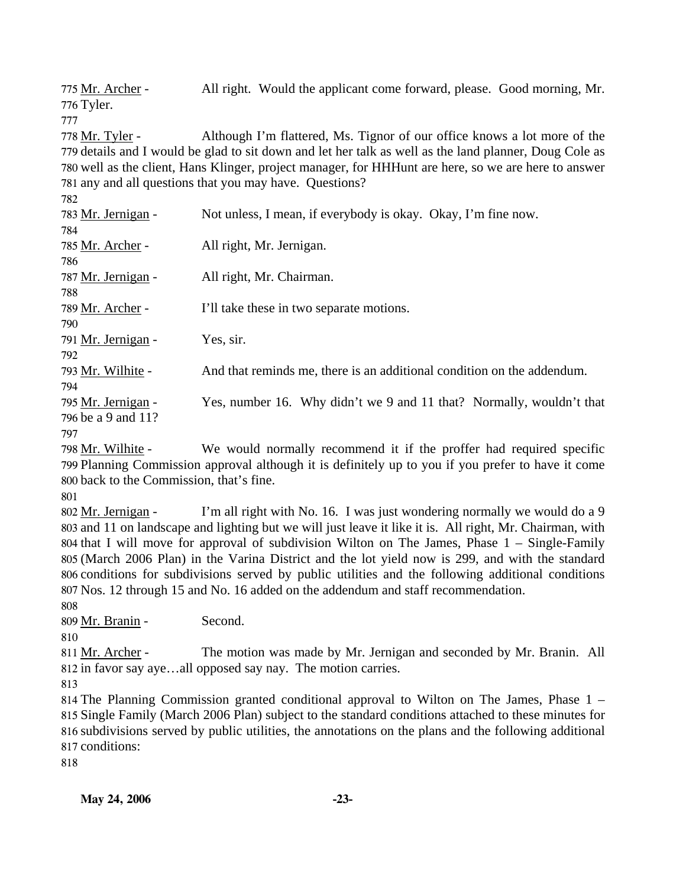All right. Would the applicant come forward, please. Good morning, Mr. 776 Tyler. 775 Mr. Archer -

777

Although I'm flattered, Ms. Tignor of our office knows a lot more of the 779 details and I would be glad to sit down and let her talk as well as the land planner, Doug Cole as 780 well as the client, Hans Klinger, project manager, for HHHunt are here, so we are here to answer 781 any and all questions that you may have. Questions? 778 Mr. Tyler -

| 783 Mr. Jernigan - | Not unless, I mean, if everybody is okay. Okay, I'm fine now.          |
|--------------------|------------------------------------------------------------------------|
| 784                |                                                                        |
| 785 Mr. Archer -   | All right, Mr. Jernigan.                                               |
| 786                |                                                                        |
| 787 Mr. Jernigan - | All right, Mr. Chairman.                                               |
| 788                |                                                                        |
| 789 Mr. Archer -   | I'll take these in two separate motions.                               |
| 790                |                                                                        |
| 791 Mr. Jernigan - | Yes, sir.                                                              |
| 792                |                                                                        |
| 793 Mr. Wilhite -  | And that reminds me, there is an additional condition on the addendum. |
| 794                |                                                                        |
| 795 Mr. Jernigan - | Yes, number 16. Why didn't we 9 and 11 that? Normally, wouldn't that   |
| 796 be a 9 and 11? |                                                                        |
| 797                |                                                                        |

798 Mr. Wilhite -

We would normally recommend it if the proffer had required specific 799 Planning Commission approval although it is definitely up to you if you prefer to have it come 800 back to the Commission, that's fine.

801

I'm all right with No. 16. I was just wondering normally we would do a 9 803 and 11 on landscape and lighting but we will just leave it like it is. All right, Mr. Chairman, with 804 that I will move for approval of subdivision Wilton on The James, Phase  $1 -$  Single-Family (March 2006 Plan) in the Varina District and the lot yield now is 299, and with the standard 805 806 conditions for subdivisions served by public utilities and the following additional conditions Nos. 12 through 15 and No. 16 added on the addendum and staff recommendation. 807 802 Mr. Jernigan -

808

809 Mr. Branin - Second.

810

The motion was made by Mr. Jernigan and seconded by Mr. Branin. All 812 in favor say aye...all opposed say nay. The motion carries. 811 Mr. Archer -

813

 The Planning Commission granted conditional approval to Wilton on The James, Phase 1 – Single Family (March 2006 Plan) subject to the standard conditions attached to these minutes for subdivisions served by public utilities, the annotations on the plans and the following additional conditions:

818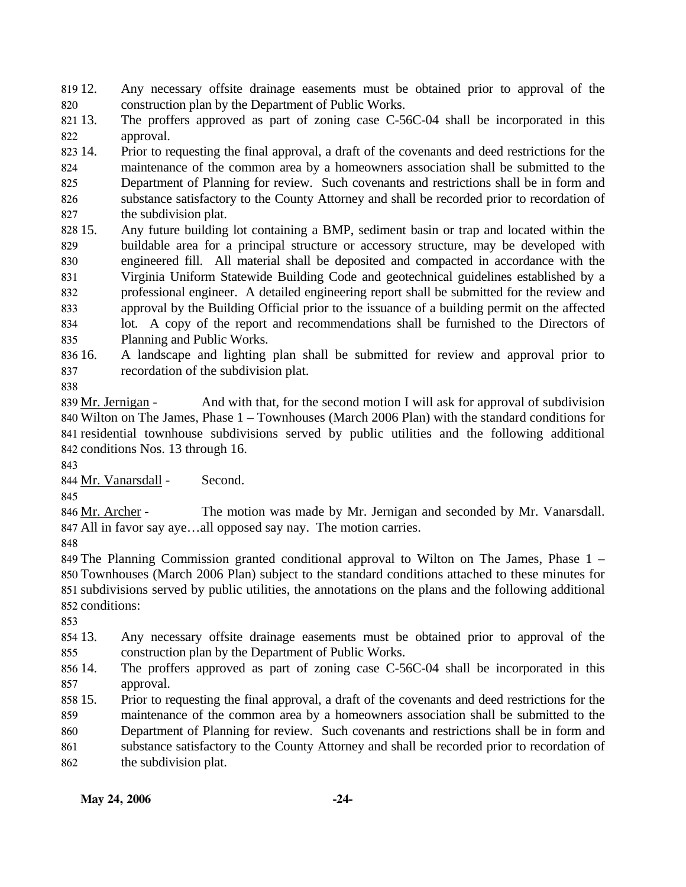819 12. 820 12. Any necessary offsite drainage easements must be obtained prior to approval of the construction plan by the Department of Public Works.

821 13. 822 The proffers approved as part of zoning case  $C$ -56C-04 shall be incorporated in this approval.

823 14. 824 825 826 827 14. Prior to requesting the final approval, a draft of the covenants and deed restrictions for the maintenance of the common area by a homeowners association shall be submitted to the Department of Planning for review. Such covenants and restrictions shall be in form and substance satisfactory to the County Attorney and shall be recorded prior to recordation of the subdivision plat.

828 15. 829 830 831 832 833 834 835 15. Any future building lot containing a BMP, sediment basin or trap and located within the buildable area for a principal structure or accessory structure, may be developed with engineered fill. All material shall be deposited and compacted in accordance with the Virginia Uniform Statewide Building Code and geotechnical guidelines established by a professional engineer. A detailed engineering report shall be submitted for the review and approval by the Building Official prior to the issuance of a building permit on the affected lot. A copy of the report and recommendations shall be furnished to the Directors of Planning and Public Works.

836 16. 837 16. A landscape and lighting plan shall be submitted for review and approval prior to recordation of the subdivision plat.

838

And with that, for the second motion I will ask for approval of subdivision 840 Wilton on The James, Phase 1 – Townhouses (March 2006 Plan) with the standard conditions for 841 residential townhouse subdivisions served by public utilities and the following additional 842 conditions Nos. 13 through 16. 839 Mr. Jernigan -

843

844 Mr. Vanarsdall - Second.

845

The motion was made by Mr. Jernigan and seconded by Mr. Vanarsdall. All in favor say aye…all opposed say nay. The motion carries. 847 846 Mr. Archer -

848

 The Planning Commission granted conditional approval to Wilton on The James, Phase 1 – Townhouses (March 2006 Plan) subject to the standard conditions attached to these minutes for subdivisions served by public utilities, the annotations on the plans and the following additional conditions:

853

854 13 855 Any necessary offsite drainage easements must be obtained prior to approval of the construction plan by the Department of Public Works.

856 14. 857 The proffers approved as part of zoning case C-56C-04 shall be incorporated in this approval.

858 15. 859 15. Prior to requesting the final approval, a draft of the covenants and deed restrictions for the maintenance of the common area by a homeowners association shall be submitted to the

860 Department of Planning for review. Such covenants and restrictions shall be in form and

861 substance satisfactory to the County Attorney and shall be recorded prior to recordation of

862 the subdivision plat.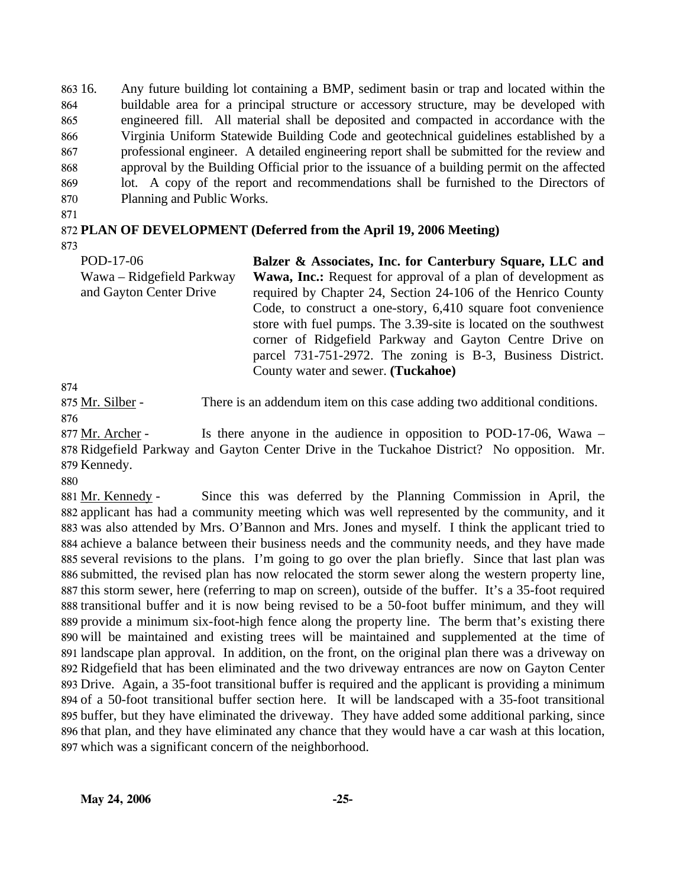863 16. 864 865 866 867 868 869 870 16. Any future building lot containing a BMP, sediment basin or trap and located within the buildable area for a principal structure or accessory structure, may be developed with engineered fill. All material shall be deposited and compacted in accordance with the Virginia Uniform Statewide Building Code and geotechnical guidelines established by a professional engineer. A detailed engineering report shall be submitted for the review and approval by the Building Official prior to the issuance of a building permit on the affected lot. A copy of the report and recommendations shall be furnished to the Directors of Planning and Public Works.

871

## 872 **PLAN OF DEVELOPMENT (Deferred from the April 19, 2006 Meeting)**

873

| POD-17-06                 | Balzer & Associates, Inc. for Canterbury Square, LLC and            |
|---------------------------|---------------------------------------------------------------------|
| Wawa – Ridgefield Parkway | <b>Wawa, Inc.:</b> Request for approval of a plan of development as |
| and Gayton Center Drive   | required by Chapter 24, Section 24-106 of the Henrico County        |
|                           | Code, to construct a one-story, 6,410 square foot convenience       |
|                           | store with fuel pumps. The 3.39-site is located on the southwest    |
|                           | corner of Ridgefield Parkway and Gayton Centre Drive on             |
|                           | parcel 731-751-2972. The zoning is B-3, Business District.          |
|                           | County water and sewer. (Tuckahoe)                                  |

874

875 Mr. Silber - There is an addendum item on this case adding two additional conditions. 876

Is there anyone in the audience in opposition to POD-17-06, Wawa – 878 Ridgefield Parkway and Gayton Center Drive in the Tuckahoe District? No opposition. Mr. 879 Kennedy. 877 Mr. Archer -

880

Since this was deferred by the Planning Commission in April, the 882 applicant has had a community meeting which was well represented by the community, and it 883 was also attended by Mrs. O'Bannon and Mrs. Jones and myself. I think the applicant tried to 884 achieve a balance between their business needs and the community needs, and they have made several revisions to the plans. I'm going to go over the plan briefly. Since that last plan was 885 submitted, the revised plan has now relocated the storm sewer along the western property line, 886 887 this storm sewer, here (referring to map on screen), outside of the buffer. It's a 35-foot required 888 transitional buffer and it is now being revised to be a 50-foot buffer minimum, and they will 889 provide a minimum six-foot-high fence along the property line. The berm that's existing there 890 will be maintained and existing trees will be maintained and supplemented at the time of 891 landscape plan approval. In addition, on the front, on the original plan there was a driveway on 892 Ridgefield that has been eliminated and the two driveway entrances are now on Gayton Center Drive. Again, a 35-foot transitional buffer is required and the applicant is providing a minimum 893 894 of a 50-foot transitional buffer section here. It will be landscaped with a 35-foot transitional 895 buffer, but they have eliminated the driveway. They have added some additional parking, since 896 that plan, and they have eliminated any chance that they would have a car wash at this location, 897 which was a significant concern of the neighborhood. 881 Mr. Kennedy -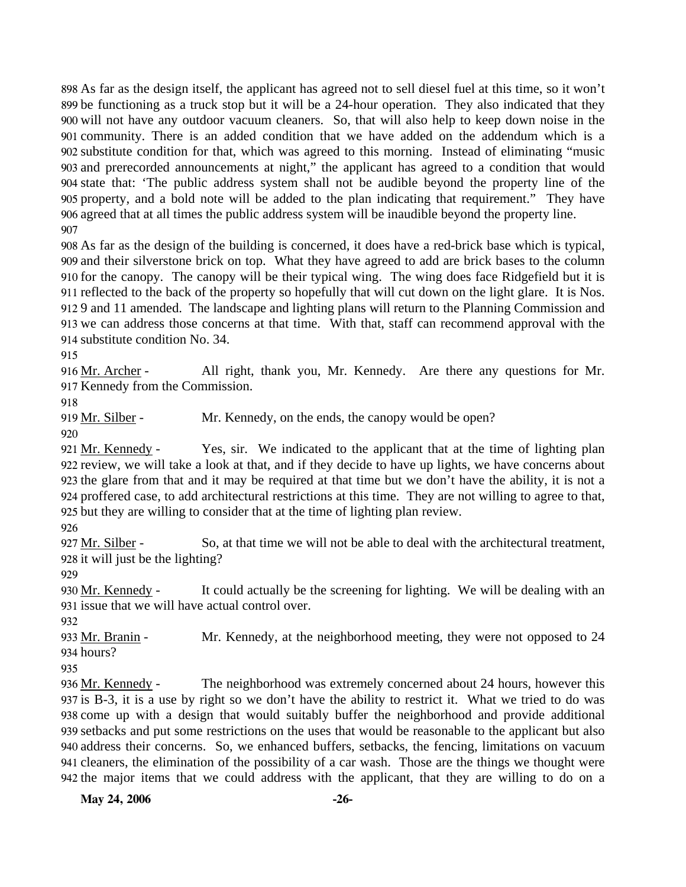As far as the design itself, the applicant has agreed not to sell diesel fuel at this time, so it won't be functioning as a truck stop but it will be a 24-hour operation. They also indicated that they will not have any outdoor vacuum cleaners. So, that will also help to keep down noise in the community. There is an added condition that we have added on the addendum which is a substitute condition for that, which was agreed to this morning. Instead of eliminating "music and prerecorded announcements at night," the applicant has agreed to a condition that would state that: 'The public address system shall not be audible beyond the property line of the property, and a bold note will be added to the plan indicating that requirement." They have agreed that at all times the public address system will be inaudible beyond the property line. 907

 As far as the design of the building is concerned, it does have a red-brick base which is typical, and their silverstone brick on top. What they have agreed to add are brick bases to the column for the canopy. The canopy will be their typical wing. The wing does face Ridgefield but it is reflected to the back of the property so hopefully that will cut down on the light glare. It is Nos. 9 and 11 amended. The landscape and lighting plans will return to the Planning Commission and we can address those concerns at that time. With that, staff can recommend approval with the substitute condition No. 34.

915

All right, thank you, Mr. Kennedy. Are there any questions for Mr. 917 Kennedy from the Commission. 916 Mr. Archer -

918

919 Mr. Silber - Mr. Kennedy, on the ends, the canopy would be open?

920

Yes, sir. We indicated to the applicant that at the time of lighting plan 922 review, we will take a look at that, and if they decide to have up lights, we have concerns about 923 the glare from that and it may be required at that time but we don't have the ability, it is not a proffered case, to add architectural restrictions at this time. They are not willing to agree to that, 924 925 but they are willing to consider that at the time of lighting plan review. 921 Mr. Kennedy -

926

So, at that time we will not be able to deal with the architectural treatment, 928 it will just be the lighting? 927 Mr. Silber -

929

It could actually be the screening for lighting. We will be dealing with an 931 issue that we will have actual control over. 930 Mr. Kennedy -

932

Mr. Kennedy, at the neighborhood meeting, they were not opposed to 24 934 hours? 933 Mr. Branin -

935

The neighborhood was extremely concerned about 24 hours, however this 937 is B-3, it is a use by right so we don't have the ability to restrict it. What we tried to do was 938 come up with a design that would suitably buffer the neighborhood and provide additional 939 setbacks and put some restrictions on the uses that would be reasonable to the applicant but also 940 address their concerns. So, we enhanced buffers, setbacks, the fencing, limitations on vacuum 941 cleaners, the elimination of the possibility of a car wash. Those are the things we thought were 942 the major items that we could address with the applicant, that they are willing to do on a 936 Mr. Kennedy -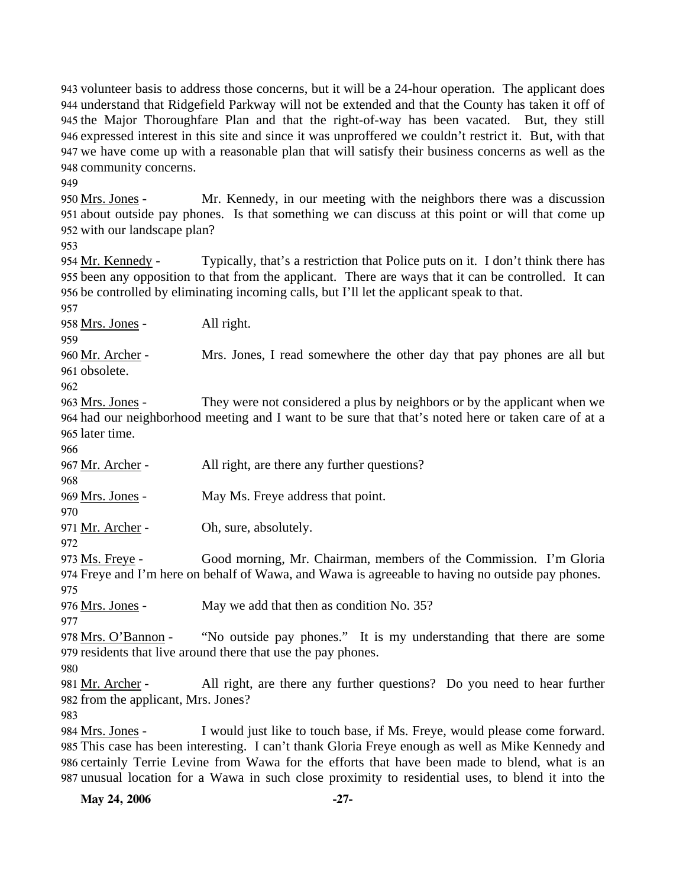volunteer basis to address those concerns, but it will be a 24-hour operation. The applicant does understand that Ridgefield Parkway will not be extended and that the County has taken it off of the Major Thoroughfare Plan and that the right-of-way has been vacated. But, they still expressed interest in this site and since it was unproffered we couldn't restrict it. But, with that we have come up with a reasonable plan that will satisfy their business concerns as well as the community concerns.

949

Mr. Kennedy, in our meeting with the neighbors there was a discussion 951 about outside pay phones. Is that something we can discuss at this point or will that come up 952 with our landscape plan? 950 Mrs. Jones -

953

Typically, that's a restriction that Police puts on it. I don't think there has 955 been any opposition to that from the applicant. There are ways that it can be controlled. It can 956 be controlled by eliminating incoming calls, but I'll let the applicant speak to that. 954 Mr. Kennedy -

957

958 Mrs. Jones - All right.

959

Mrs. Jones, I read somewhere the other day that pay phones are all but 961 obsolete. 960 Mr. Archer -

962

They were not considered a plus by neighbors or by the applicant when we 964 had our neighborhood meeting and I want to be sure that that's noted here or taken care of at a 965 later time. 963 Mrs. Jones -

966

968

967 Mr. Archer - All right, are there any further questions?

969 Mrs. Jones - May Ms. Freye address that point.

970

971 Mr. Archer - Oh, sure, absolutely.

972

Good morning, Mr. Chairman, members of the Commission. I'm Gloria Freye and I'm here on behalf of Wawa, and Wawa is agreeable to having no outside pay phones. 974 973 Ms. Freye -

975

976 Mrs. Jones - May we add that then as condition No. 35?

977

"No outside pay phones." It is my understanding that there are some 979 residents that live around there that use the pay phones. 978 Mrs. O'Bannon -

980

All right, are there any further questions? Do you need to hear further 982 from the applicant, Mrs. Jones? 981 Mr. Archer -

983

I would just like to touch base, if Ms. Freye, would please come forward. This case has been interesting. I can't thank Gloria Freye enough as well as Mike Kennedy and 985 986 certainly Terrie Levine from Wawa for the efforts that have been made to blend, what is an 987 unusual location for a Wawa in such close proximity to residential uses, to blend it into the 984 Mrs. Jones -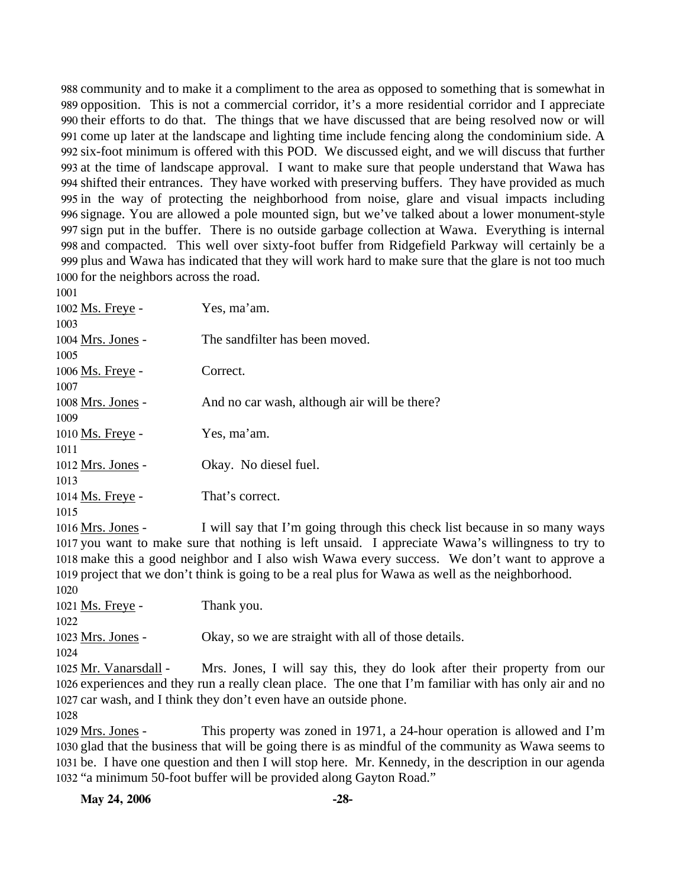community and to make it a compliment to the area as opposed to something that is somewhat in opposition. This is not a commercial corridor, it's a more residential corridor and I appreciate their efforts to do that. The things that we have discussed that are being resolved now or will come up later at the landscape and lighting time include fencing along the condominium side. A six-foot minimum is offered with this POD. We discussed eight, and we will discuss that further at the time of landscape approval. I want to make sure that people understand that Wawa has shifted their entrances. They have worked with preserving buffers. They have provided as much in the way of protecting the neighborhood from noise, glare and visual impacts including signage. You are allowed a pole mounted sign, but we've talked about a lower monument-style sign put in the buffer. There is no outside garbage collection at Wawa. Everything is internal and compacted. This well over sixty-foot buffer from Ridgefield Parkway will certainly be a plus and Wawa has indicated that they will work hard to make sure that the glare is not too much for the neighbors across the road.

| 1002 Ms. Freye -        | Yes, ma'am.                                  |
|-------------------------|----------------------------------------------|
| 1003                    |                                              |
| 1004 Mrs. Jones -       | The sandfilter has been moved.               |
| 1005                    |                                              |
| 1006 <u>Ms. Freye</u> - | Correct.                                     |
| 1007                    |                                              |
| 1008 Mrs. Jones -       | And no car wash, although air will be there? |
| 1009                    |                                              |
| 1010 Ms. Freye -        | Yes, ma'am.                                  |
| 1011                    |                                              |
| 1012 Mrs. Jones -       | Okay. No diesel fuel.                        |
| 1013                    |                                              |
| 1014 Ms. Freye -        | That's correct.                              |
| 1015                    |                                              |
| $\cdots$ $\cdots$       | .                                            |

I will say that I'm going through this check list because in so many ways 1017 you want to make sure that nothing is left unsaid. I appreciate Wawa's willingness to try to 1018 make this a good neighbor and I also wish Wawa every success. We don't want to approve a 1019 project that we don't think is going to be a real plus for Wawa as well as the neighborhood. 1016 Mrs. Jones -

Ms. Freye - Thank you. 

Mrs. Jones - Okay, so we are straight with all of those details.

Mrs. Jones, I will say this, they do look after their property from our 1026 experiences and they run a really clean place. The one that I'm familiar with has only air and no 1027 car wash, and I think they don't even have an outside phone. 1025 Mr. Vanarsdall -

This property was zoned in 1971, a 24-hour operation is allowed and  $\Gamma$ m 1030 glad that the business that will be going there is as mindful of the community as Wawa seems to 1031 be. I have one question and then I will stop here. Mr. Kennedy, in the description in our agenda 1032 "a minimum 50-foot buffer will be provided along Gayton Road." 1029 Mrs. Jones -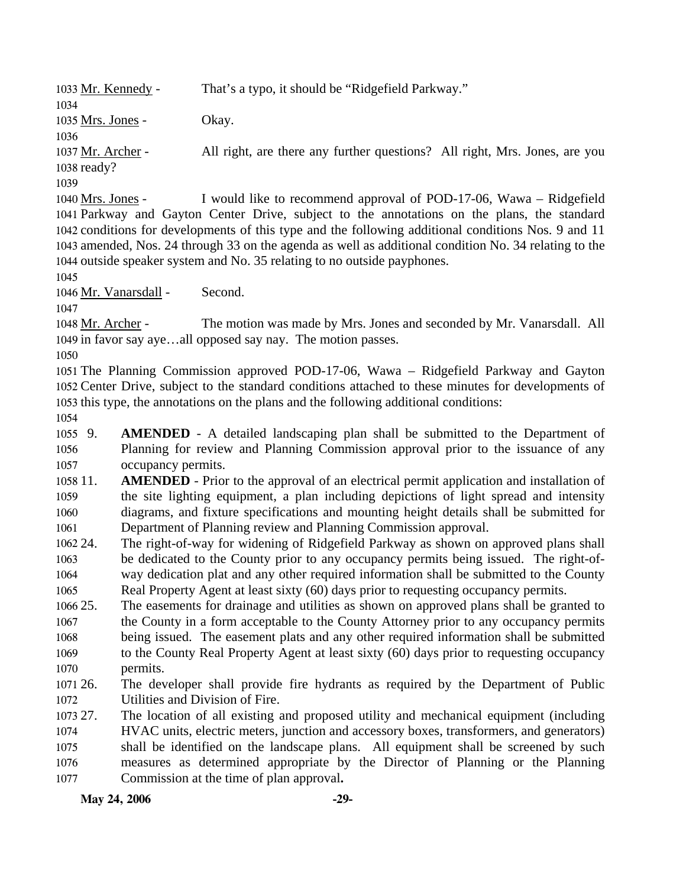**May 24, 2006** -29-1033 Mr. Kennedy - That's a typo, it should be "Ridgefield Parkway." 1034 1035 Mrs. Jones - Okay. 1036 All right, are there any further questions? All right, Mrs. Jones, are you 1038 ready? 1037 Mr. Archer -1039 I would like to recommend approval of POD-17-06, Wawa – Ridgefield 1041 Parkway and Gayton Center Drive, subject to the annotations on the plans, the standard 1042 conditions for developments of this type and the following additional conditions Nos. 9 and 11 1043 amended, Nos. 24 through 33 on the agenda as well as additional condition No. 34 relating to the 1044 outside speaker system and No. 35 relating to no outside payphones. 1040 Mrs. Jones -1045 1046 Mr. Vanarsdall - Second. 1047 The motion was made by Mrs. Jones and seconded by Mr. Vanarsdall. All 1049 in favor say aye...all opposed say nay. The motion passes. 1048 Mr. Archer -1050 1051 The Planning Commission approved POD-17-06, Wawa – Ridgefield Parkway and Gayton 1052 Center Drive, subject to the standard conditions attached to these minutes for developments of 1053 this type, the annotations on the plans and the following additional conditions: 1054 1055 9. 1056 1057 1058 11. 1059 1060 1061 1062 24. 1063 1064 1065 1066 25. 1067 1068 1069 1070 1071 26. 1072 1073 27. 1074 1075 1076 1077 **AMENDED** - A detailed landscaping plan shall be submitted to the Department of Planning for review and Planning Commission approval prior to the issuance of any occupancy permits. **AMENDED** - Prior to the approval of an electrical permit application and installation of the site lighting equipment, a plan including depictions of light spread and intensity diagrams, and fixture specifications and mounting height details shall be submitted for Department of Planning review and Planning Commission approval. The right-of-way for widening of Ridgefield Parkway as shown on approved plans shall be dedicated to the County prior to any occupancy permits being issued. The right-ofway dedication plat and any other required information shall be submitted to the County Real Property Agent at least sixty (60) days prior to requesting occupancy permits. 25. The easements for drainage and utilities as shown on approved plans shall be granted to the County in a form acceptable to the County Attorney prior to any occupancy permits being issued. The easement plats and any other required information shall be submitted to the County Real Property Agent at least sixty (60) days prior to requesting occupancy permits. The developer shall provide fire hydrants as required by the Department of Public Utilities and Division of Fire. 27. The location of all existing and proposed utility and mechanical equipment (including HVAC units, electric meters, junction and accessory boxes, transformers, and generators) shall be identified on the landscape plans. All equipment shall be screened by such measures as determined appropriate by the Director of Planning or the Planning Commission at the time of plan approval**.**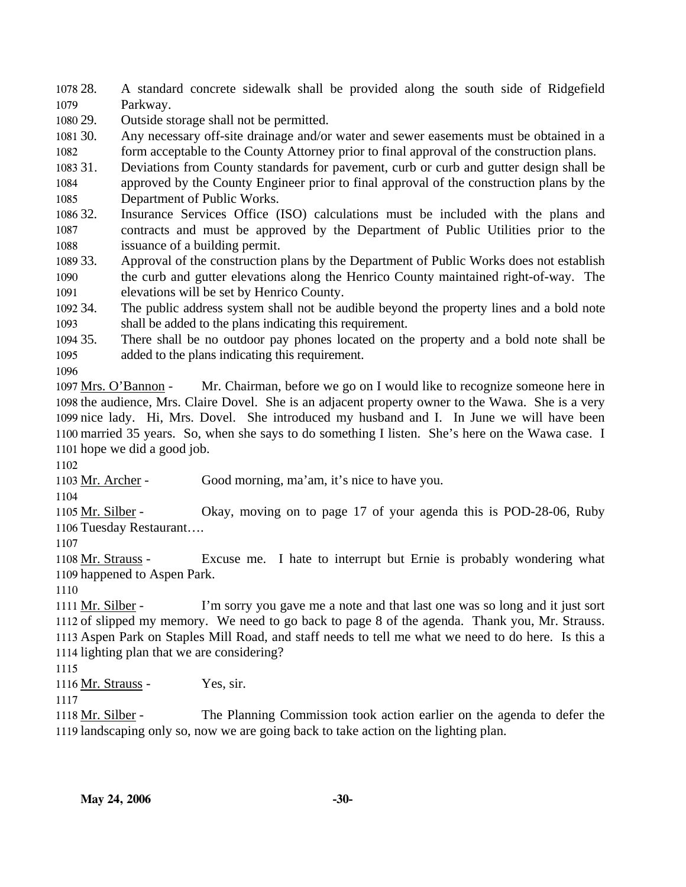1078 28. 1079 28. A standard concrete sidewalk shall be provided along the south side of Ridgefield Parkway.

1080 29. Outside storage shall not be permitted.

1081 30. 1082 Any necessary off-site drainage and/or water and sewer easements must be obtained in a form acceptable to the County Attorney prior to final approval of the construction plans.

1083 31. Deviations from County standards for pavement, curb or curb and gutter design shall be

1084 1085 approved by the County Engineer prior to final approval of the construction plans by the Department of Public Works.

1086 32. 1087 1088 Insurance Services Office (ISO) calculations must be included with the plans and contracts and must be approved by the Department of Public Utilities prior to the issuance of a building permit.

1089 33. 1090 1091 33. Approval of the construction plans by the Department of Public Works does not establish the curb and gutter elevations along the Henrico County maintained right-of-way. The elevations will be set by Henrico County.

1092 34. 1093 The public address system shall not be audible beyond the property lines and a bold note shall be added to the plans indicating this requirement.

1094 35. 1095 There shall be no outdoor pay phones located on the property and a bold note shall be added to the plans indicating this requirement.

1096

Mr. Chairman, before we go on I would like to recognize someone here in 1098 the audience, Mrs. Claire Dovel. She is an adjacent property owner to the Wawa. She is a very 1099 nice lady. Hi, Mrs. Dovel. She introduced my husband and I. In June we will have been 1100 married 35 years. So, when she says to do something I listen. She's here on the Wawa case. I 1101 hope we did a good job. 1097 Mrs. O'Bannon -

1102

1103 Mr. Archer - Good morning, ma'am, it's nice to have you.

1104

Okay, moving on to page 17 of your agenda this is POD-28-06, Ruby 1106 Tuesday Restaurant.... 1105 Mr. Silber -

1107

Excuse me. I hate to interrupt but Ernie is probably wondering what 1109 happened to Aspen Park. 1108 Mr. Strauss -

1110

I'm sorry you gave me a note and that last one was so long and it just sort 1112 of slipped my memory. We need to go back to page 8 of the agenda. Thank you, Mr. Strauss. 1113 Aspen Park on Staples Mill Road, and staff needs to tell me what we need to do here. Is this a 1114 lighting plan that we are considering? 1111 Mr. Silber -

1115

1116 Mr. Strauss - Yes, sir.

1117

The Planning Commission took action earlier on the agenda to defer the 1119 landscaping only so, now we are going back to take action on the lighting plan. 1118 Mr. Silber -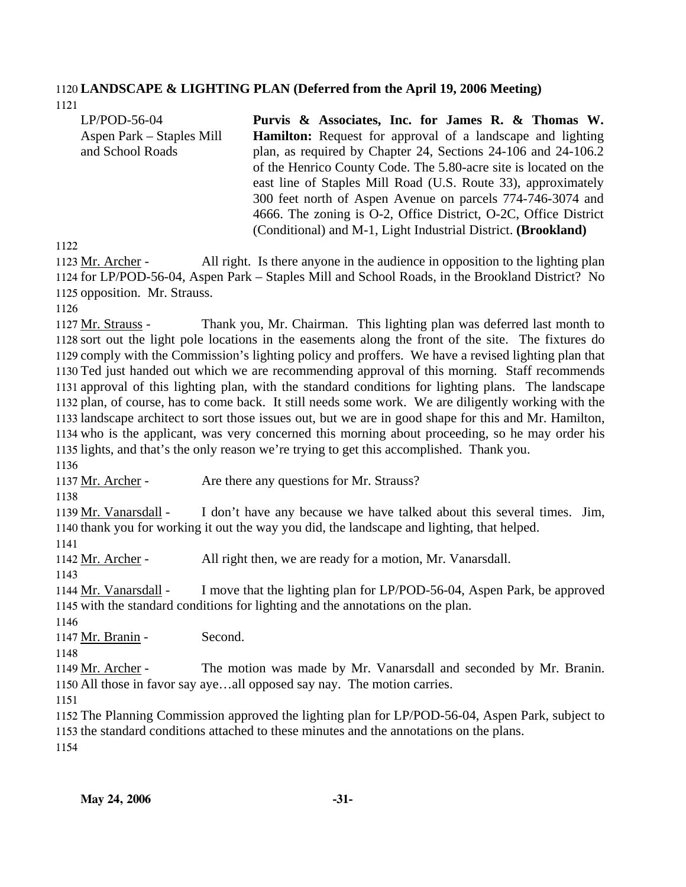#### 1120 **LANDSCAPE & LIGHTING PLAN (Deferred from the April 19, 2006 Meeting)**  1121

| $LP/POD-56-04$            | Purvis & Associates, Inc. for James R. & Thomas W.                |
|---------------------------|-------------------------------------------------------------------|
| Aspen Park – Staples Mill | <b>Hamilton:</b> Request for approval of a landscape and lighting |
| and School Roads          | plan, as required by Chapter 24, Sections 24-106 and 24-106.2     |
|                           | of the Henrico County Code. The 5.80-acre site is located on the  |
|                           | east line of Staples Mill Road (U.S. Route 33), approximately     |
|                           | 300 feet north of Aspen Avenue on parcels 774-746-3074 and        |
|                           | 4666. The zoning is O-2, Office District, O-2C, Office District   |
|                           | (Conditional) and M-1, Light Industrial District. (Brookland)     |

1122

All right. Is there anyone in the audience in opposition to the lighting plan 1124 for LP/POD-56-04, Aspen Park – Staples Mill and School Roads, in the Brookland District? No 1125 opposition. Mr. Strauss. 1123 Mr. Archer -

1126

Thank you, Mr. Chairman. This lighting plan was deferred last month to 1128 sort out the light pole locations in the easements along the front of the site. The fixtures do 1129 comply with the Commission's lighting policy and proffers. We have a revised lighting plan that 1130 Ted just handed out which we are recommending approval of this morning. Staff recommends 1131 approval of this lighting plan, with the standard conditions for lighting plans. The landscape 1132 plan, of course, has to come back. It still needs some work. We are diligently working with the 1133 landscape architect to sort those issues out, but we are in good shape for this and Mr. Hamilton, 1134 who is the applicant, was very concerned this morning about proceeding, so he may order his lights, and that's the only reason we're trying to get this accomplished. Thank you. 1135 1127 Mr. Strauss -

1136

1137 Mr. Archer - Are there any questions for Mr. Strauss?

1138

I don't have any because we have talked about this several times. Jim, 1140 thank you for working it out the way you did, the landscape and lighting, that helped. 1139 Mr. Vanarsdall -

1141

1142 Mr. Archer - All right then, we are ready for a motion, Mr. Vanarsdall.

1143

I move that the lighting plan for LP/POD-56-04, Aspen Park, be approved 1145 with the standard conditions for lighting and the annotations on the plan. 1144 Mr. Vanarsdall -

1146

1147 Mr. Branin - Second.

1148

The motion was made by Mr. Vanarsdall and seconded by Mr. Branin. 1150 All those in favor say aye...all opposed say nay. The motion carries. 1149 Mr. Archer -

1151

1152 The Planning Commission approved the lighting plan for LP/POD-56-04, Aspen Park, subject to 1153 the standard conditions attached to these minutes and the annotations on the plans.

1154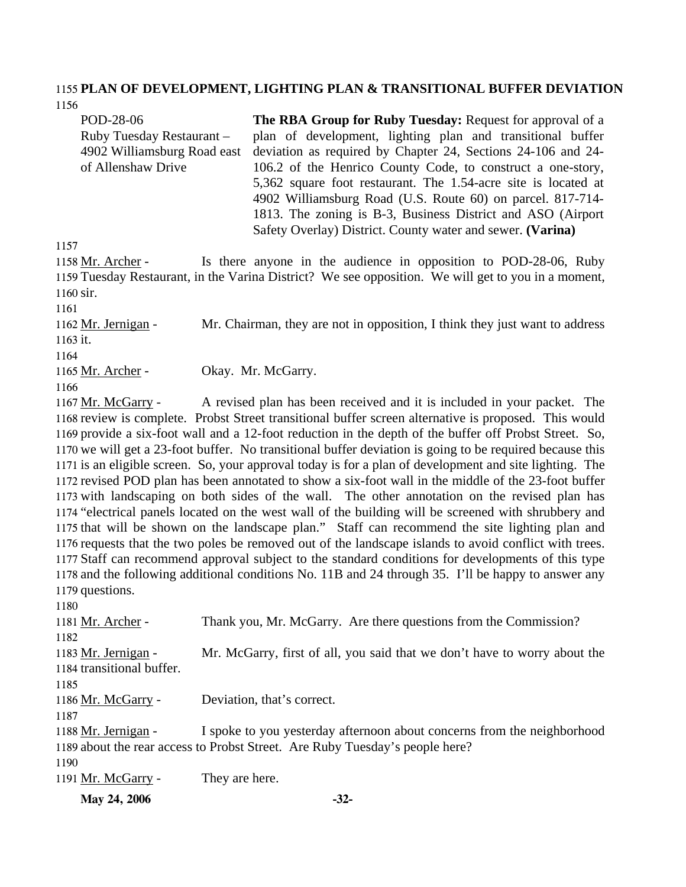#### 1155 **PLAN OF DEVELOPMENT, LIGHTING PLAN & TRANSITIONAL BUFFER DEVIATION**  1156

POD-28-06 Ruby Tuesday Restaurant – 4902 Williamsburg Road east of Allenshaw Drive **The RBA Group for Ruby Tuesday:** Request for approval of a plan of development, lighting plan and transitional buffer deviation as required by Chapter 24, Sections 24-106 and 24- 106.2 of the Henrico County Code, to construct a one-story, 5,362 square foot restaurant. The 1.54-acre site is located at 4902 Williamsburg Road (U.S. Route 60) on parcel. 817-714- 1813. The zoning is B-3, Business District and ASO (Airport Safety Overlay) District. County water and sewer. **(Varina)** 

1157

Is there anyone in the audience in opposition to POD-28-06, Ruby 1159 Tuesday Restaurant, in the Varina District? We see opposition. We will get to you in a moment, 1160 sir. 1158 Mr. Archer -

1161

Mr. Chairman, they are not in opposition, I think they just want to address 1163 it. 1162 Mr. Jernigan -

1164

1165 Mr. Archer - Okay. Mr. McGarry.

1166

A revised plan has been received and it is included in your packet. The 1168 review is complete. Probst Street transitional buffer screen alternative is proposed. This would 1169 provide a six-foot wall and a 12-foot reduction in the depth of the buffer off Probst Street. So, 1170 we will get a 23-foot buffer. No transitional buffer deviation is going to be required because this 1171 is an eligible screen. So, your approval today is for a plan of development and site lighting. The 1172 revised POD plan has been annotated to show a six-foot wall in the middle of the 23-foot buffer 1173 with landscaping on both sides of the wall. The other annotation on the revised plan has 1174 "electrical panels located on the west wall of the building will be screened with shrubbery and 1175 that will be shown on the landscape plan." Staff can recommend the site lighting plan and 1176 requests that the two poles be removed out of the landscape islands to avoid conflict with trees. 1177 Staff can recommend approval subject to the standard conditions for developments of this type 1178 and the following additional conditions No. 11B and 24 through 35. I'll be happy to answer any 1179 questions. 1167 Mr. McGarry -

| May 24, 2006              | $-32-$                                                                       |
|---------------------------|------------------------------------------------------------------------------|
| 1191 Mr. McGarry -        | They are here.                                                               |
| 1190                      |                                                                              |
|                           | 1189 about the rear access to Probst Street. Are Ruby Tuesday's people here? |
| 1188 Mr. Jernigan -       | I spoke to you yesterday afternoon about concerns from the neighborhood      |
| 1187                      |                                                                              |
| 1186 Mr. McGarry -        | Deviation, that's correct.                                                   |
| 1185                      |                                                                              |
| 1184 transitional buffer. |                                                                              |
| 1183 Mr. Jernigan -       | Mr. McGarry, first of all, you said that we don't have to worry about the    |
| 1182                      |                                                                              |
| 1181 Mr. Archer -         | Thank you, Mr. McGarry. Are there questions from the Commission?             |
| 1180                      |                                                                              |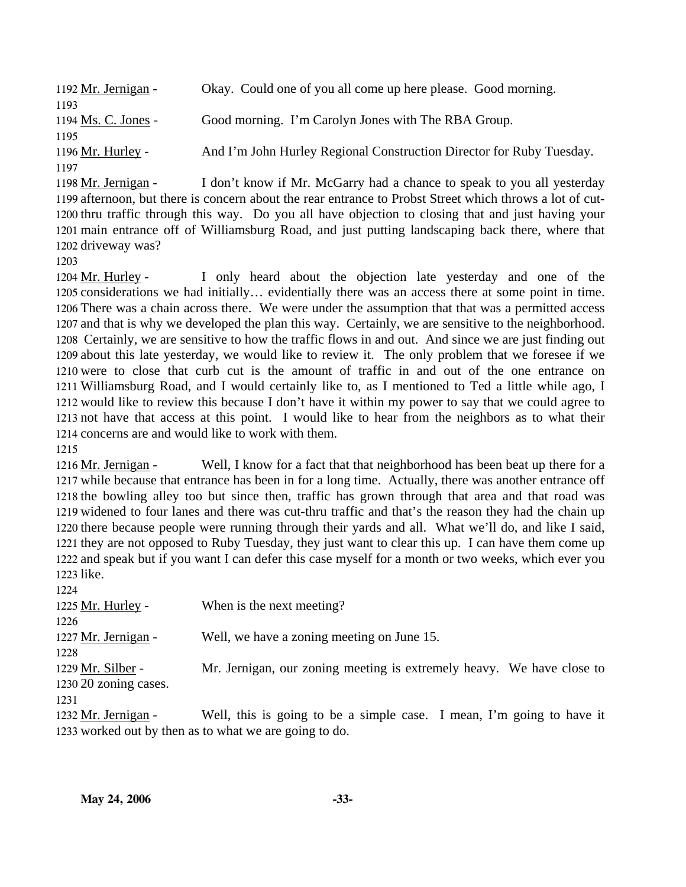| 1192 Mr. Jernigan - | Okay. Could one of you all come up here please. Good morning.        |
|---------------------|----------------------------------------------------------------------|
| 1193                |                                                                      |
| 1194 Ms. C. Jones - | Good morning. I'm Carolyn Jones with The RBA Group.                  |
| 1195                |                                                                      |
| 1196 Mr. Hurley -   | And I'm John Hurley Regional Construction Director for Ruby Tuesday. |
| 1197                |                                                                      |

I don't know if Mr. McGarry had a chance to speak to you all yesterday 1199 afternoon, but there is concern about the rear entrance to Probst Street which throws a lot of cut-1200 thru traffic through this way. Do you all have objection to closing that and just having your 1201 main entrance off of Williamsburg Road, and just putting landscaping back there, where that 1202 driveway was? 1198 Mr. Jernigan -

1203

I only heard about the objection late yesterday and one of the 1205 considerations we had initially... evidentially there was an access there at some point in time. 1206 There was a chain across there. We were under the assumption that that was a permitted access 1207 and that is why we developed the plan this way. Certainly, we are sensitive to the neighborhood. 1208 Certainly, we are sensitive to how the traffic flows in and out. And since we are just finding out 1209 about this late yesterday, we would like to review it. The only problem that we foresee if we 1210 were to close that curb cut is the amount of traffic in and out of the one entrance on Williamsburg Road, and I would certainly like to, as I mentioned to Ted a little while ago, I 1211 1212 would like to review this because I don't have it within my power to say that we could agree to 1213 not have that access at this point. I would like to hear from the neighbors as to what their 1214 concerns are and would like to work with them. 1204 Mr. Hurley -

1215

Well, I know for a fact that that neighborhood has been beat up there for a 1217 while because that entrance has been in for a long time. Actually, there was another entrance off 1218 the bowling alley too but since then, traffic has grown through that area and that road was 1219 widened to four lanes and there was cut-thru traffic and that's the reason they had the chain up 1220 there because people were running through their yards and all. What we'll do, and like I said, 1221 they are not opposed to Ruby Tuesday, they just want to clear this up. I can have them come up 1222 and speak but if you want I can defer this case myself for a month or two weeks, which ever you 1223 like. 1216 Mr. Jernigan -

| 1224                  |                                                                       |
|-----------------------|-----------------------------------------------------------------------|
| 1225 Mr. Hurley -     | When is the next meeting?                                             |
| 1226                  |                                                                       |
| 1227 Mr. Jernigan -   | Well, we have a zoning meeting on June 15.                            |
| 1228                  |                                                                       |
| 1229 Mr. Silber -     | Mr. Jernigan, our zoning meeting is extremely heavy. We have close to |
| 1230 20 zoning cases. |                                                                       |
| 1231                  |                                                                       |
| 1232 Mr. Jernigan -   | Well, this is going to be a simple case. I mean, I'm going to have it |
|                       | 1233 worked out by then as to what we are going to do.                |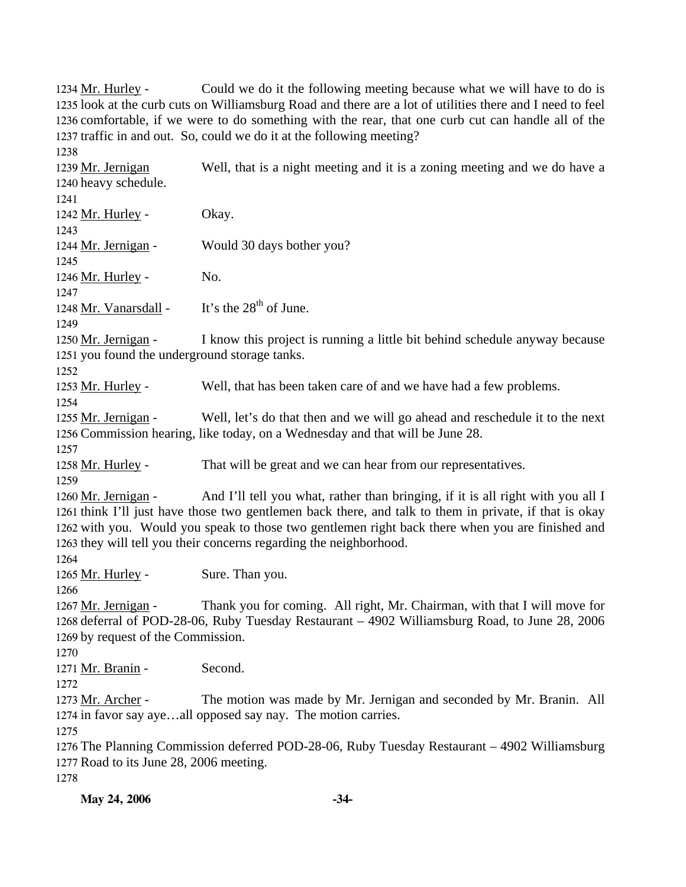Could we do it the following meeting because what we will have to do is 1235 look at the curb cuts on Williamsburg Road and there are a lot of utilities there and I need to feel 1236 comfortable, if we were to do something with the rear, that one curb cut can handle all of the 1237 traffic in and out. So, could we do it at the following meeting? 1234 Mr. Hurley -1238 Well, that is a night meeting and it is a zoning meeting and we do have a 1240 heavy schedule. 1239 Mr. Jernigan 1241 1242 Mr. Hurley - Okay. 1243 1244 Mr. Jernigan - Would 30 days bother you? 1245 1246 Mr. Hurley - No. 1247 1248 Mr. Vanarsdall - It's the  $28<sup>th</sup>$  of June. 1249 I know this project is running a little bit behind schedule anyway because 1251 you found the underground storage tanks. 1250 Mr. Jernigan -1252 1253 Mr. Hurley - Well, that has been taken care of and we have had a few problems. 1254 Well, let's do that then and we will go ahead and reschedule it to the next 1256 Commission hearing, like today, on a Wednesday and that will be June 28. 1255 Mr. Jernigan -1257 1258 Mr. Hurley - That will be great and we can hear from our representatives. 1259 And I'll tell you what, rather than bringing, if it is all right with you all I 1261 think I'll just have those two gentlemen back there, and talk to them in private, if that is okay 1262 with you. Would you speak to those two gentlemen right back there when you are finished and 1263 they will tell you their concerns regarding the neighborhood. 1260 Mr. Jernigan -1264 1265 Mr. Hurley - Sure. Than you. 1266 Thank you for coming. All right, Mr. Chairman, with that I will move for 1268 deferral of POD-28-06, Ruby Tuesday Restaurant - 4902 Williamsburg Road, to June 28, 2006 1269 by request of the Commission. 1267 Mr. Jernigan -1270 1271 Mr. Branin - Second. 1272 The motion was made by Mr. Jernigan and seconded by Mr. Branin. All 1274 in favor say aye...all opposed say nay. The motion carries. 1273 Mr. Archer -1275 1276 The Planning Commission deferred POD-28-06, Ruby Tuesday Restaurant – 4902 Williamsburg 1277 Road to its June 28, 2006 meeting. 1278

**May 24, 2006** -34-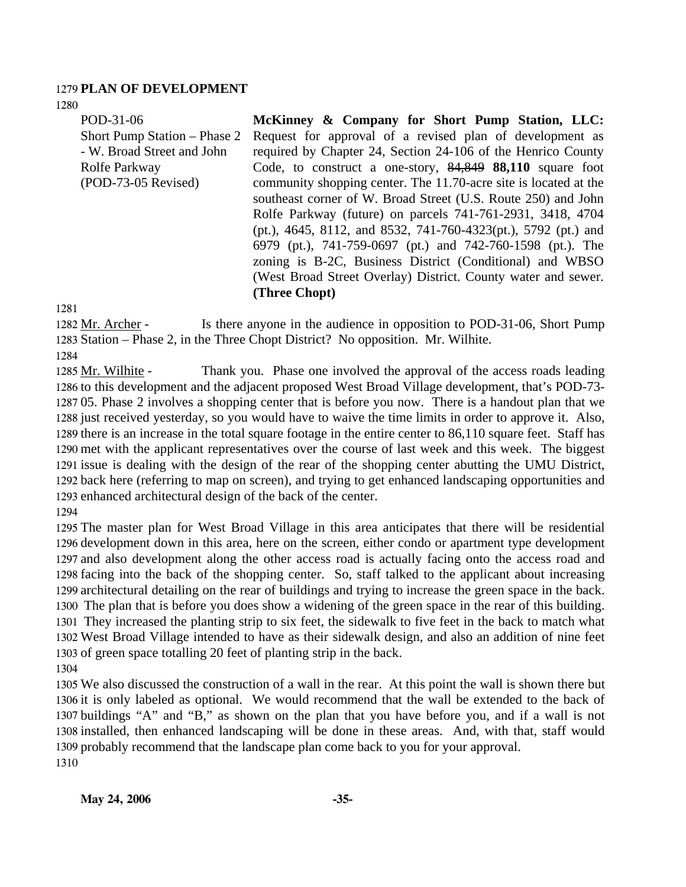#### 1279 **PLAN OF DEVELOPMENT**

1280

POD-31-06 Short Pump Station – Phase 2 - W. Broad Street and John Rolfe Parkway (POD-73-05 Revised) **McKinney & Company for Short Pump Station, LLC:**  Request for approval of a revised plan of development as required by Chapter 24, Section 24-106 of the Henrico County Code, to construct a one-story, 84,849 **88,110** square foot community shopping center. The 11.70-acre site is located at the southeast corner of W. Broad Street (U.S. Route 250) and John Rolfe Parkway (future) on parcels 741-761-2931, 3418, 4704 (pt.), 4645, 8112, and 8532, 741-760-4323(pt.), 5792 (pt.) and 6979 (pt.), 741-759-0697 (pt.) and 742-760-1598 (pt.). The zoning is B-2C, Business District (Conditional) and WBSO (West Broad Street Overlay) District. County water and sewer.

## **(Three Chopt)**

1281

Is there anyone in the audience in opposition to POD-31-06, Short Pump 1283 Station – Phase 2, in the Three Chopt District? No opposition. Mr. Wilhite. 1282 Mr. Archer -

1284

Thank you. Phase one involved the approval of the access roads leading 1286 to this development and the adjacent proposed West Broad Village development, that's POD-73-1287 05. Phase 2 involves a shopping center that is before you now. There is a handout plan that we 1288 just received yesterday, so you would have to waive the time limits in order to approve it. Also, 1289 there is an increase in the total square footage in the entire center to 86,110 square feet. Staff has 1290 met with the applicant representatives over the course of last week and this week. The biggest 1291 issue is dealing with the design of the rear of the shopping center abutting the UMU District, 1292 back here (referring to map on screen), and trying to get enhanced landscaping opportunities and 1293 enhanced architectural design of the back of the center. 1285 Mr. Wilhite -1294

 The master plan for West Broad Village in this area anticipates that there will be residential development down in this area, here on the screen, either condo or apartment type development and also development along the other access road is actually facing onto the access road and facing into the back of the shopping center. So, staff talked to the applicant about increasing architectural detailing on the rear of buildings and trying to increase the green space in the back. The plan that is before you does show a widening of the green space in the rear of this building. They increased the planting strip to six feet, the sidewalk to five feet in the back to match what West Broad Village intended to have as their sidewalk design, and also an addition of nine feet of green space totalling 20 feet of planting strip in the back.

1304

 We also discussed the construction of a wall in the rear. At this point the wall is shown there but it is only labeled as optional. We would recommend that the wall be extended to the back of buildings "A" and "B," as shown on the plan that you have before you, and if a wall is not installed, then enhanced landscaping will be done in these areas. And, with that, staff would probably recommend that the landscape plan come back to you for your approval. 1310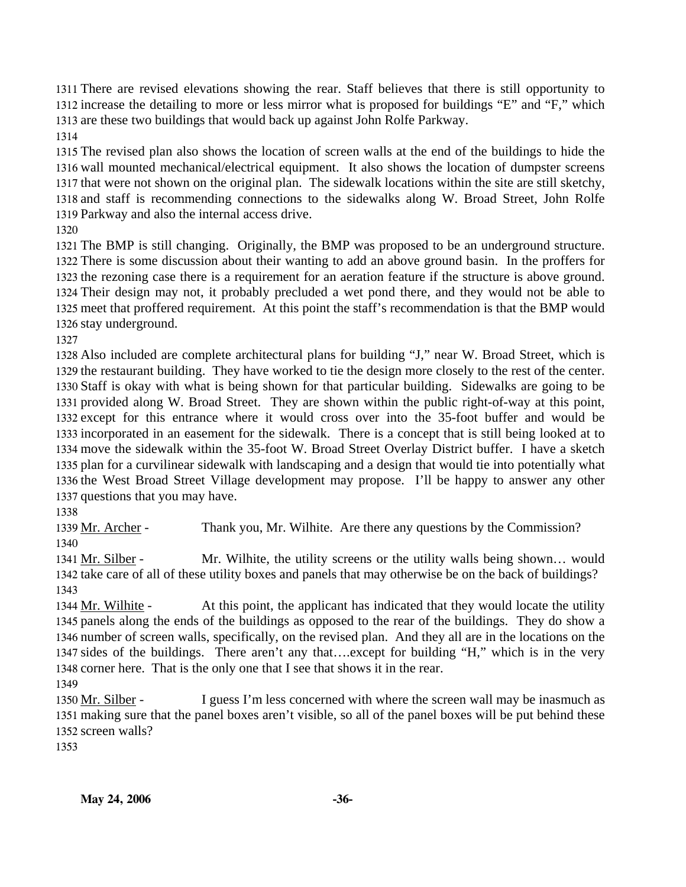There are revised elevations showing the rear. Staff believes that there is still opportunity to increase the detailing to more or less mirror what is proposed for buildings "E" and "F," which are these two buildings that would back up against John Rolfe Parkway.

 The revised plan also shows the location of screen walls at the end of the buildings to hide the wall mounted mechanical/electrical equipment. It also shows the location of dumpster screens that were not shown on the original plan. The sidewalk locations within the site are still sketchy, and staff is recommending connections to the sidewalks along W. Broad Street, John Rolfe Parkway and also the internal access drive.

 The BMP is still changing. Originally, the BMP was proposed to be an underground structure. There is some discussion about their wanting to add an above ground basin. In the proffers for the rezoning case there is a requirement for an aeration feature if the structure is above ground. Their design may not, it probably precluded a wet pond there, and they would not be able to meet that proffered requirement. At this point the staff's recommendation is that the BMP would stay underground.

 Also included are complete architectural plans for building "J," near W. Broad Street, which is the restaurant building. They have worked to tie the design more closely to the rest of the center. Staff is okay with what is being shown for that particular building. Sidewalks are going to be provided along W. Broad Street. They are shown within the public right-of-way at this point, except for this entrance where it would cross over into the 35-foot buffer and would be incorporated in an easement for the sidewalk. There is a concept that is still being looked at to move the sidewalk within the 35-foot W. Broad Street Overlay District buffer. I have a sketch plan for a curvilinear sidewalk with landscaping and a design that would tie into potentially what the West Broad Street Village development may propose. I'll be happy to answer any other questions that you may have.

1339 Mr. Archer - Thank you, Mr. Wilhite. Are there any questions by the Commission? 

Mr. Wilhite, the utility screens or the utility walls being shown... would 1342 take care of all of these utility boxes and panels that may otherwise be on the back of buildings? 1341 Mr. Silber -

At this point, the applicant has indicated that they would locate the utility 1345 panels along the ends of the buildings as opposed to the rear of the buildings. They do show a 1346 number of screen walls, specifically, on the revised plan. And they all are in the locations on the 1347 sides of the buildings. There aren't any that....except for building "H," which is in the very 1348 corner here. That is the only one that I see that shows it in the rear. 1344 Mr. Wilhite -

I guess I'm less concerned with where the screen wall may be inasmuch as making sure that the panel boxes aren't visible, so all of the panel boxes will be put behind these 1352 screen walls? 1350 Mr. Silber -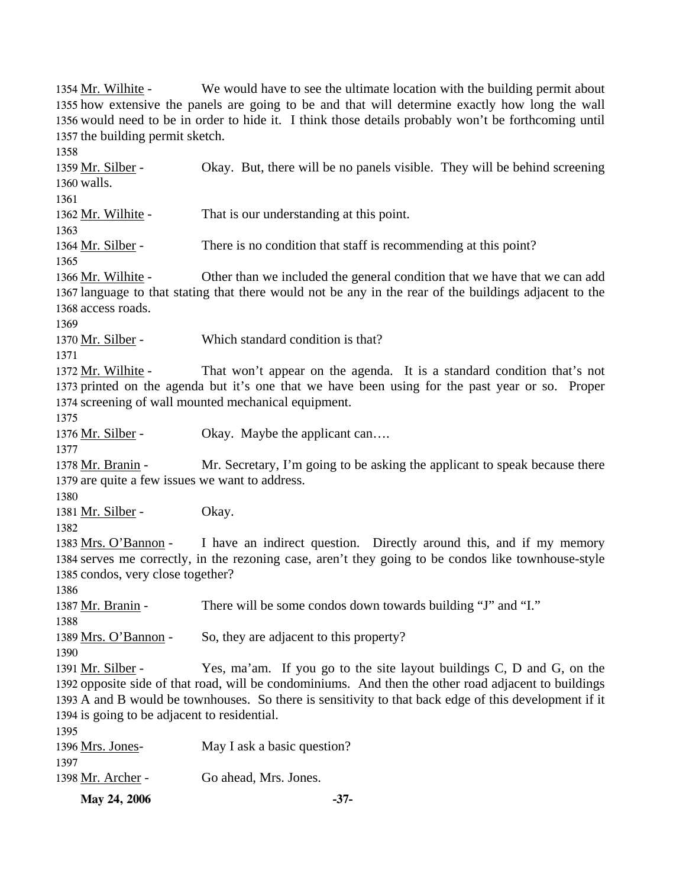**May 24, 2006** -37-We would have to see the ultimate location with the building permit about 1355 how extensive the panels are going to be and that will determine exactly how long the wall 1356 would need to be in order to hide it. I think those details probably won't be forthcoming until 1357 the building permit sketch. 1354 Mr. Wilhite -1358 Okay. But, there will be no panels visible. They will be behind screening 1360 walls. 1359 Mr. Silber -1361 1362 Mr. Wilhite - That is our understanding at this point. 1363 1364 Mr. Silber - There is no condition that staff is recommending at this point? 1365 Other than we included the general condition that we have that we can add 1367 language to that stating that there would not be any in the rear of the buildings adjacent to the 1368 access roads. 1366 Mr. Wilhite -1369 1370 Mr. Silber - Which standard condition is that? 1371 That won't appear on the agenda. It is a standard condition that's not 1373 printed on the agenda but it's one that we have been using for the past year or so. Proper 1374 screening of wall mounted mechanical equipment. 1372 Mr. Wilhite -1375 1376 Mr. Silber - Okay. Maybe the applicant can.... 1377 Mr. Secretary, I'm going to be asking the applicant to speak because there 1379 are quite a few issues we want to address. 1378 Mr. Branin -1380 1381 Mr. Silber - Okay. 1382 I have an indirect question. Directly around this, and if my memory 1384 serves me correctly, in the rezoning case, aren't they going to be condos like townhouse-style 1385 condos, very close together? 1383 Mrs. O'Bannon -1386 1387 Mr. Branin - There will be some condos down towards building "J" and "I." 1388 1389 Mrs. O'Bannon - So, they are adjacent to this property? 1390 Yes, ma'am. If you go to the site layout buildings  $C$ ,  $D$  and  $G$ , on the 1392 opposite side of that road, will be condominiums. And then the other road adjacent to buildings 1393 A and B would be townhouses. So there is sensitivity to that back edge of this development if it 1394 is going to be adjacent to residential. 1391 Mr. Silber -1395 1396 Mrs. Jones- May I ask a basic question? 1397 1398 Mr. Archer - Go ahead, Mrs. Jones.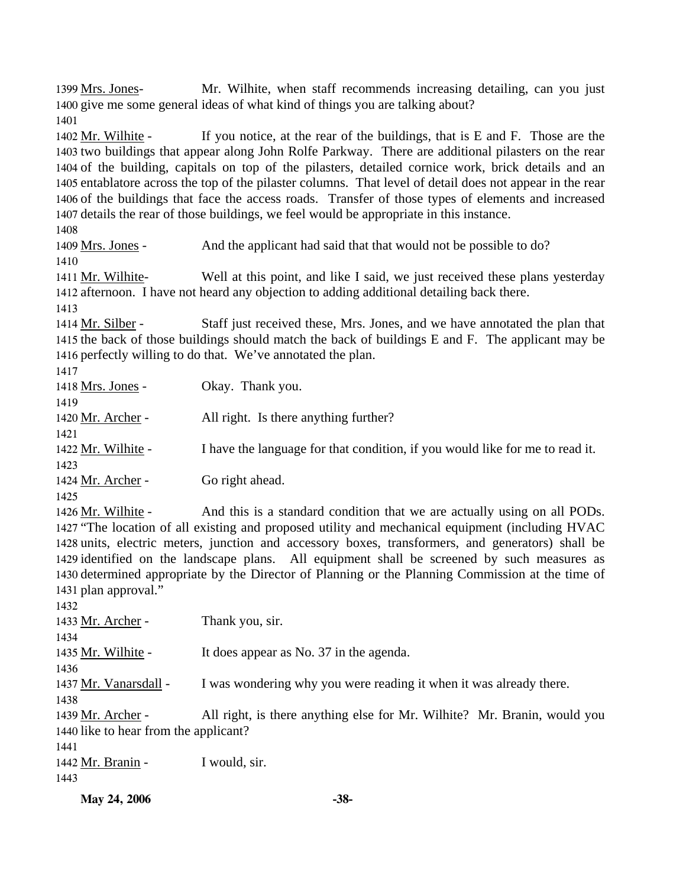Mr. Wilhite, when staff recommends increasing detailing, can you just 1400 give me some general ideas of what kind of things you are talking about? 1399 Mrs. Jones-1401

If you notice, at the rear of the buildings, that is  $E$  and  $F$ . Those are the 1403 two buildings that appear along John Rolfe Parkway. There are additional pilasters on the rear 1404 of the building, capitals on top of the pilasters, detailed cornice work, brick details and an 1405 entablatore across the top of the pilaster columns. That level of detail does not appear in the rear 1406 of the buildings that face the access roads. Transfer of those types of elements and increased 1407 details the rear of those buildings, we feel would be appropriate in this instance. 1402 Mr. Wilhite -

1408

1409 Mrs. Jones - And the applicant had said that that would not be possible to do? 1410 Well at this point, and like I said, we just received these plans yesterday 1412 afternoon. I have not heard any objection to adding additional detailing back there. 1411 Mr. Wilhite-

1413

Staff just received these, Mrs. Jones, and we have annotated the plan that 1415 the back of those buildings should match the back of buildings E and F. The applicant may be 1416 perfectly willing to do that. We've annotated the plan. 1414 Mr. Silber -

| 1417               |                                                                              |
|--------------------|------------------------------------------------------------------------------|
| 1418 Mrs. Jones -  | Okay. Thank you.                                                             |
| 1419               |                                                                              |
| 1420 Mr. Archer -  | All right. Is there anything further?                                        |
| 1421               |                                                                              |
| 1422 Mr. Wilhite - | I have the language for that condition, if you would like for me to read it. |
| 1423               |                                                                              |
| 1424 Mr. Archer -  | Go right ahead.                                                              |
| 1425               |                                                                              |

And this is a standard condition that we are actually using on all PODs. 1427 "The location of all existing and proposed utility and mechanical equipment (including HVAC 1428 units, electric meters, junction and accessory boxes, transformers, and generators) shall be 1429 identified on the landscape plans. All equipment shall be screened by such measures as 1430 determined appropriate by the Director of Planning or the Planning Commission at the time of 1431 plan approval." 1426 Mr. Wilhite -

1432 1433 Mr. Archer - Thank you, sir. 1434 1435 Mr. Wilhite - It does appear as No. 37 in the agenda. 1436 1437 Mr. Vanarsdall - I was wondering why you were reading it when it was already there. 1438 All right, is there anything else for Mr. Wilhite? Mr. Branin, would you 1440 like to hear from the applicant? 1439 Mr. Archer -1441 1442 Mr. Branin - I would, sir. 1443

```
May 24, 2006 -38-
```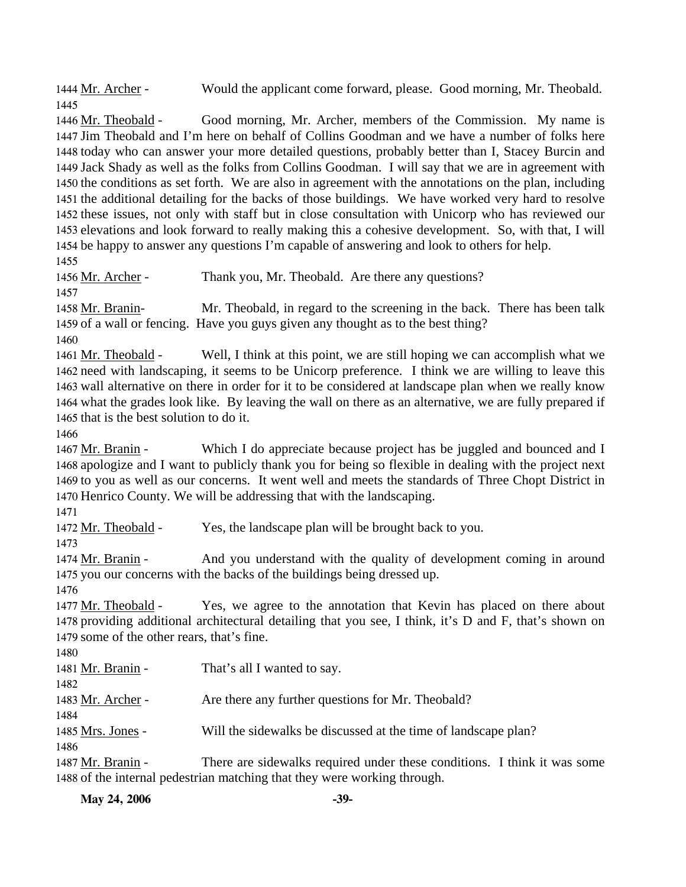1444 Mr. Archer - Would the applicant come forward, please. Good morning, Mr. Theobald. 1445

Good morning, Mr. Archer, members of the Commission. My name is 1447 Jim Theobald and I'm here on behalf of Collins Goodman and we have a number of folks here 1448 today who can answer your more detailed questions, probably better than I, Stacey Burcin and 1449 Jack Shady as well as the folks from Collins Goodman. I will say that we are in agreement with 1450 the conditions as set forth. We are also in agreement with the annotations on the plan, including 1451 the additional detailing for the backs of those buildings. We have worked very hard to resolve 1452 these issues, not only with staff but in close consultation with Unicorp who has reviewed our 1453 elevations and look forward to really making this a cohesive development. So, with that, I will 1454 be happy to answer any questions I'm capable of answering and look to others for help. 1446 Mr. Theobald -1455

1456 Mr. Archer - Thank you, Mr. Theobald. Are there any questions?

1457

Mr. Theobald, in regard to the screening in the back. There has been talk 1459 of a wall or fencing. Have you guys given any thought as to the best thing? 1458 Mr. Branin-

1460

Well, I think at this point, we are still hoping we can accomplish what we 1462 need with landscaping, it seems to be Unicorp preference. I think we are willing to leave this 1463 wall alternative on there in order for it to be considered at landscape plan when we really know 1464 what the grades look like. By leaving the wall on there as an alternative, we are fully prepared if 1465 that is the best solution to do it. 1461 Mr. Theobald -

1466

Which I do appreciate because project has be juggled and bounced and I 1468 apologize and I want to publicly thank you for being so flexible in dealing with the project next 1469 to you as well as our concerns. It went well and meets the standards of Three Chopt District in 1470 Henrico County. We will be addressing that with the landscaping. 1467 Mr. Branin -

1471

1472 Mr. Theobald - Yes, the landscape plan will be brought back to you.

1473

And you understand with the quality of development coming in around 1475 you our concerns with the backs of the buildings being dressed up. 1474 Mr. Branin -

1476

Yes, we agree to the annotation that Kevin has placed on there about 1478 providing additional architectural detailing that you see, I think, it's D and F, that's shown on 1479 some of the other rears, that's fine. 1477 Mr. Theobald -

1480

| 1481 Mr. Branin -                                                        | That's all I wanted to say.                                              |  |
|--------------------------------------------------------------------------|--------------------------------------------------------------------------|--|
| 1482                                                                     |                                                                          |  |
| 1483 Mr. Archer -                                                        | Are there any further questions for Mr. Theobald?                        |  |
| 1484                                                                     |                                                                          |  |
| 1485 Mrs. Jones -                                                        | Will the sidewalks be discussed at the time of landscape plan?           |  |
| 1486                                                                     |                                                                          |  |
| 1487 Mr. Branin -                                                        | There are sidewalks required under these conditions. I think it was some |  |
| 1488 of the internal pedestrian matching that they were working through. |                                                                          |  |

**May 24, 2006** -39-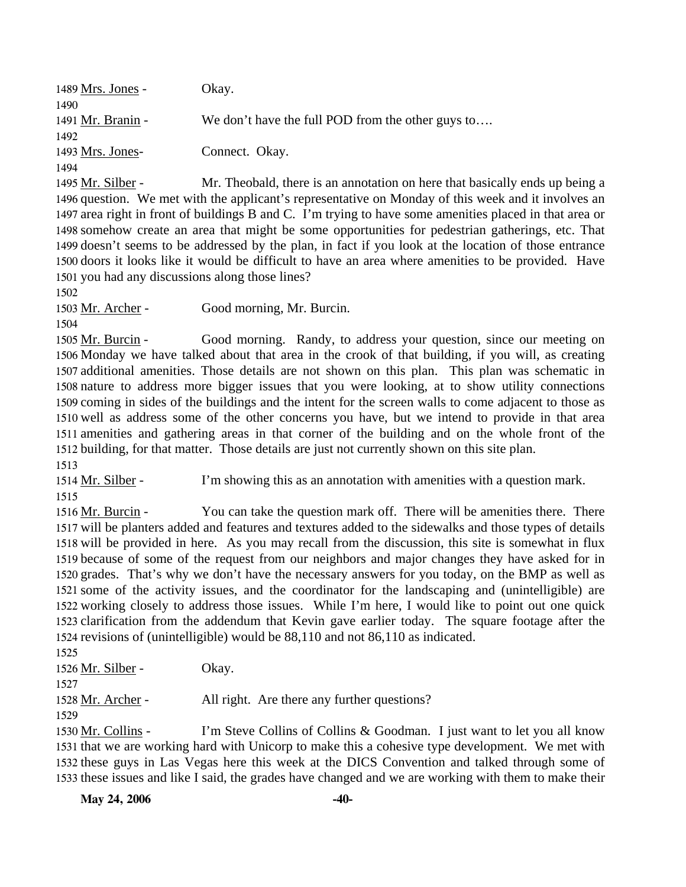| 1489 Mrs. Jones -   | Okay.                                                     |
|---------------------|-----------------------------------------------------------|
| 1490                |                                                           |
| 1491 Mr. Branin -   | We don't have the full POD from the other guys to         |
| 1492                |                                                           |
| 1493 Mrs. Jones-    | Connect. Okay.                                            |
| 1494                |                                                           |
| $1495$ Mr. Silber - | Mr. Theobald, there is an annotation on here that basical |

re is an annotation on here that basically ends up being a 1496 question. We met with the applicant's representative on Monday of this week and it involves an 1497 area right in front of buildings B and C. I'm trying to have some amenities placed in that area or 1498 somehow create an area that might be some opportunities for pedestrian gatherings, etc. That 1499 doesn't seems to be addressed by the plan, in fact if you look at the location of those entrance 1500 doors it looks like it would be difficult to have an area where amenities to be provided. Have 1501 you had any discussions along those lines? 1495

1502

1503 Mr. Archer - Good morning, Mr. Burcin.

1504

Good morning. Randy, to address your question, since our meeting on 1506 Monday we have talked about that area in the crook of that building, if you will, as creating 1507 additional amenities. Those details are not shown on this plan. This plan was schematic in 1508 nature to address more bigger issues that you were looking, at to show utility connections 1509 coming in sides of the buildings and the intent for the screen walls to come adjacent to those as 1510 well as address some of the other concerns you have, but we intend to provide in that area 1511 amenities and gathering areas in that corner of the building and on the whole front of the 1512 building, for that matter. Those details are just not currently shown on this site plan. 1505 Mr. Burcin -1513

1514 Mr. Silber - I'm showing this as an annotation with amenities with a question mark. 1515

You can take the question mark off. There will be amenities there. There 1517 will be planters added and features and textures added to the sidewalks and those types of details 1518 will be provided in here. As you may recall from the discussion, this site is somewhat in flux 1519 because of some of the request from our neighbors and major changes they have asked for in 1520 grades. That's why we don't have the necessary answers for you today, on the BMP as well as 1521 some of the activity issues, and the coordinator for the landscaping and (unintelligible) are 1522 working closely to address those issues. While I'm here, I would like to point out one quick 1523 clarification from the addendum that Kevin gave earlier today. The square footage after the 1524 revisions of (unintelligible) would be 88,110 and not 86,110 as indicated. 1516 Mr. Burcin -1525

| 1.32.3             |                                             |
|--------------------|---------------------------------------------|
| 1526 Mr. Silber -  | Okay.                                       |
| 1527               |                                             |
| 1528 Mr. Archer -  | All right. Are there any further questions? |
| 1529               |                                             |
| $1520$ Mr. Colling | I'm Stave Colling of Colling & Goodman      |

I'm Steve Collins of Collins & Goodman. I just want to let you all know 1531 that we are working hard with Unicorp to make this a cohesive type development. We met with 1532 these guys in Las Vegas here this week at the DICS Convention and talked through some of 1533 these issues and like I said, the grades have changed and we are working with them to make their 1530 Mr. Collins -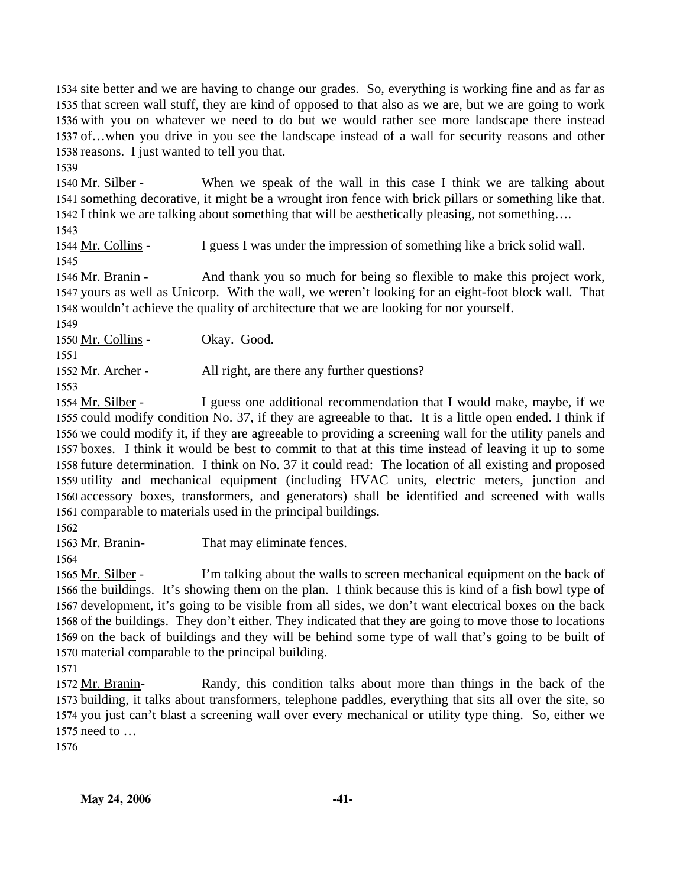site better and we are having to change our grades. So, everything is working fine and as far as that screen wall stuff, they are kind of opposed to that also as we are, but we are going to work with you on whatever we need to do but we would rather see more landscape there instead of…when you drive in you see the landscape instead of a wall for security reasons and other reasons. I just wanted to tell you that.

1539

When we speak of the wall in this case I think we are talking about 1541 something decorative, it might be a wrought iron fence with brick pillars or something like that. 1542 I think we are talking about something that will be aesthetically pleasing, not something.... 1540 Mr. Silber -

1543

1544 Mr. Collins - I guess I was under the impression of something like a brick solid wall. 1545

And thank you so much for being so flexible to make this project work, 1547 yours as well as Unicorp. With the wall, we weren't looking for an eight-foot block wall. That 1548 wouldn't achieve the quality of architecture that we are looking for nor yourself. 1546 Mr. Branin -

1549

1550 Mr. Collins - Okay. Good.

1551

1552 Mr. Archer - All right, are there any further questions?

1553

I guess one additional recommendation that I would make, maybe, if we 1555 could modify condition No. 37, if they are agreeable to that. It is a little open ended. I think if 1556 we could modify it, if they are agreeable to providing a screening wall for the utility panels and 1557 boxes. I think it would be best to commit to that at this time instead of leaving it up to some 1558 future determination. I think on No. 37 it could read: The location of all existing and proposed 1559 utility and mechanical equipment (including HVAC units, electric meters, junction and 1560 accessory boxes, transformers, and generators) shall be identified and screened with walls 1561 comparable to materials used in the principal buildings. 1554 Mr. Silber -

1562

1563 Mr. Branin- That may eliminate fences.

1564

I'm talking about the walls to screen mechanical equipment on the back of 1566 the buildings. It's showing them on the plan. I think because this is kind of a fish bowl type of 1567 development, it's going to be visible from all sides, we don't want electrical boxes on the back 1568 of the buildings. They don't either. They indicated that they are going to move those to locations 1569 on the back of buildings and they will be behind some type of wall that's going to be built of 1570 material comparable to the principal building. 1565 Mr. Silber -

1571

Randy, this condition talks about more than things in the back of the 1573 building, it talks about transformers, telephone paddles, everything that sits all over the site, so 1574 you just can't blast a screening wall over every mechanical or utility type thing. So, either we 1575 need to ... 1572 Mr. Branin-

1576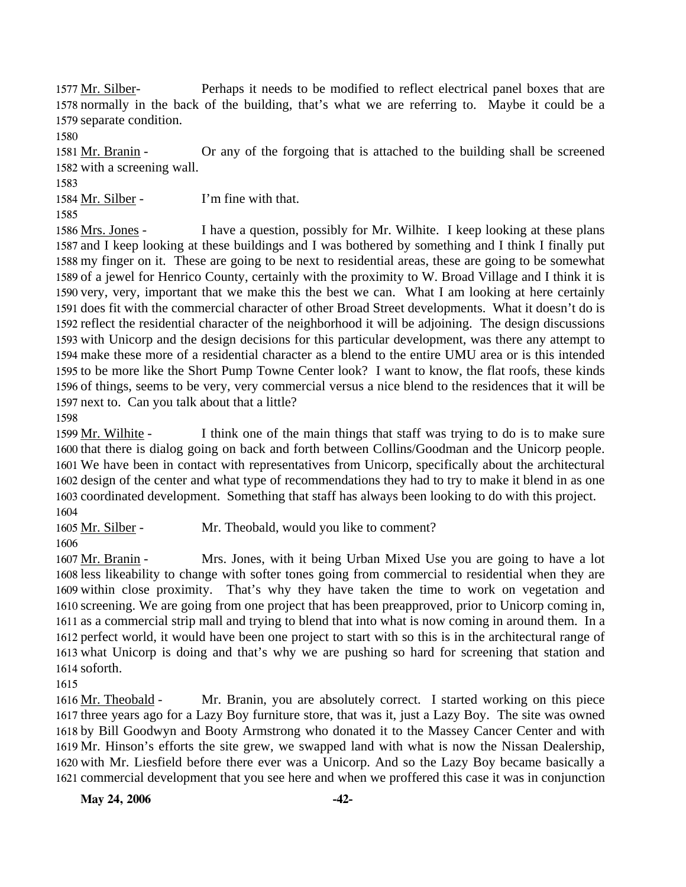Perhaps it needs to be modified to reflect electrical panel boxes that are 1578 normally in the back of the building, that's what we are referring to. Maybe it could be a 1579 separate condition. 1577 Mr. Silber-

1580

Or any of the forgoing that is attached to the building shall be screened 1582 with a screening wall. 1581 Mr. Branin -

1583

1584 Mr. Silber - I'm fine with that.

1585

I have a question, possibly for Mr. Wilhite. I keep looking at these plans 1587 and I keep looking at these buildings and I was bothered by something and I think I finally put 1588 my finger on it. These are going to be next to residential areas, these are going to be somewhat 1589 of a jewel for Henrico County, certainly with the proximity to W. Broad Village and I think it is 1590 very, very, important that we make this the best we can. What I am looking at here certainly 1591 does fit with the commercial character of other Broad Street developments. What it doesn't do is 1592 reflect the residential character of the neighborhood it will be adjoining. The design discussions 1593 with Unicorp and the design decisions for this particular development, was there any attempt to make these more of a residential character as a blend to the entire UMU area or is this intended 1594 1595 to be more like the Short Pump Towne Center look? I want to know, the flat roofs, these kinds 1596 of things, seems to be very, very commercial versus a nice blend to the residences that it will be 1597 next to. Can you talk about that a little? 1586 Mrs. Jones -

1598

I think one of the main things that staff was trying to do is to make sure 1600 that there is dialog going on back and forth between Collins/Goodman and the Unicorp people. 1601 We have been in contact with representatives from Unicorp, specifically about the architectural 1602 design of the center and what type of recommendations they had to try to make it blend in as one 1603 coordinated development. Something that staff has always been looking to do with this project. 1599 Mr. Wilhite -1604

1605 Mr. Silber - Mr. Theobald, would you like to comment?

1606

Mrs. Jones, with it being Urban Mixed Use you are going to have a lot 1608 less likeability to change with softer tones going from commercial to residential when they are 1609 within close proximity. That's why they have taken the time to work on vegetation and 1610 screening. We are going from one project that has been preapproved, prior to Unicorp coming in, 1611 as a commercial strip mall and trying to blend that into what is now coming in around them. In a 1612 perfect world, it would have been one project to start with so this is in the architectural range of 1613 what Unicorp is doing and that's why we are pushing so hard for screening that station and 1614 soforth. 1607 Mr. Branin -

1615

Mr. Branin, you are absolutely correct. I started working on this piece 1617 three years ago for a Lazy Boy furniture store, that was it, just a Lazy Boy. The site was owned 1618 by Bill Goodwyn and Booty Armstrong who donated it to the Massey Cancer Center and with 1619 Mr. Hinson's efforts the site grew, we swapped land with what is now the Nissan Dealership, 1620 with Mr. Liesfield before there ever was a Unicorp. And so the Lazy Boy became basically a 1621 commercial development that you see here and when we proffered this case it was in conjunction 1616 Mr. Theobald -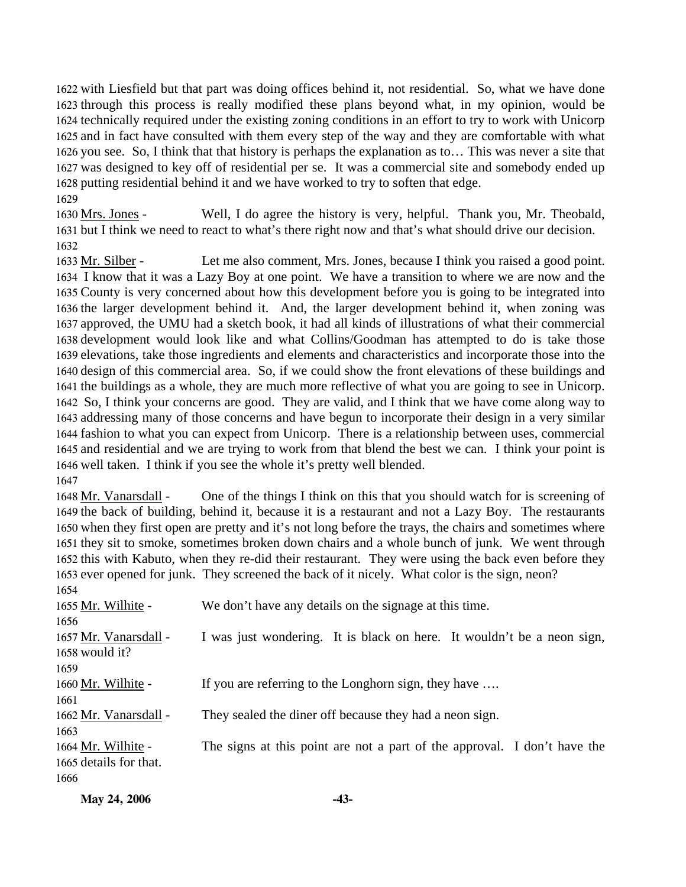with Liesfield but that part was doing offices behind it, not residential. So, what we have done through this process is really modified these plans beyond what, in my opinion, would be technically required under the existing zoning conditions in an effort to try to work with Unicorp and in fact have consulted with them every step of the way and they are comfortable with what you see. So, I think that that history is perhaps the explanation as to… This was never a site that was designed to key off of residential per se. It was a commercial site and somebody ended up putting residential behind it and we have worked to try to soften that edge. 1629

Well, I do agree the history is very, helpful. Thank you, Mr. Theobald, 1631 but I think we need to react to what's there right now and that's what should drive our decision. 1630 Mrs. Jones -1632

Let me also comment, Mrs. Jones, because I think you raised a good point. 1634 I know that it was a Lazy Boy at one point. We have a transition to where we are now and the 1635 County is very concerned about how this development before you is going to be integrated into 1636 the larger development behind it. And, the larger development behind it, when zoning was 1637 approved, the UMU had a sketch book, it had all kinds of illustrations of what their commercial 1638 development would look like and what Collins/Goodman has attempted to do is take those 1639 elevations, take those ingredients and elements and characteristics and incorporate those into the 1640 design of this commercial area. So, if we could show the front elevations of these buildings and 1641 the buildings as a whole, they are much more reflective of what you are going to see in Unicorp. 1642 So, I think your concerns are good. They are valid, and I think that we have come along way to 1643 addressing many of those concerns and have begun to incorporate their design in a very similar 1644 fashion to what you can expect from Unicorp. There is a relationship between uses, commercial 1645 and residential and we are trying to work from that blend the best we can. I think your point is 1646 well taken. I think if you see the whole it's pretty well blended. 1633 Mr. Silber -1647

One of the things I think on this that you should watch for is screening of 1649 the back of building, behind it, because it is a restaurant and not a Lazy Boy. The restaurants 1650 when they first open are pretty and it's not long before the trays, the chairs and sometimes where 1651 they sit to smoke, sometimes broken down chairs and a whole bunch of junk. We went through 1652 this with Kabuto, when they re-did their restaurant. They were using the back even before they 1653 ever opened for junk. They screened the back of it nicely. What color is the sign, neon? 1648 Mr. Vanarsdall -

| 1654                   |                                                                          |  |
|------------------------|--------------------------------------------------------------------------|--|
| 1655 Mr. Wilhite -     | We don't have any details on the signage at this time.                   |  |
| 1656                   |                                                                          |  |
| 1657 Mr. Vanarsdall -  | I was just wondering. It is black on here. It wouldn't be a neon sign,   |  |
| $1658$ would it?       |                                                                          |  |
| 1659                   |                                                                          |  |
| 1660 Mr. Wilhite -     | If you are referring to the Longhorn sign, they have                     |  |
| 1661                   |                                                                          |  |
| 1662 Mr. Vanarsdall -  | They sealed the diner off because they had a neon sign.                  |  |
| 1663                   |                                                                          |  |
| 1664 Mr. Wilhite -     | The signs at this point are not a part of the approval. I don't have the |  |
| 1665 details for that. |                                                                          |  |
| 1666                   |                                                                          |  |
|                        |                                                                          |  |

| May 24, 2006 | -43- |
|--------------|------|
|              |      |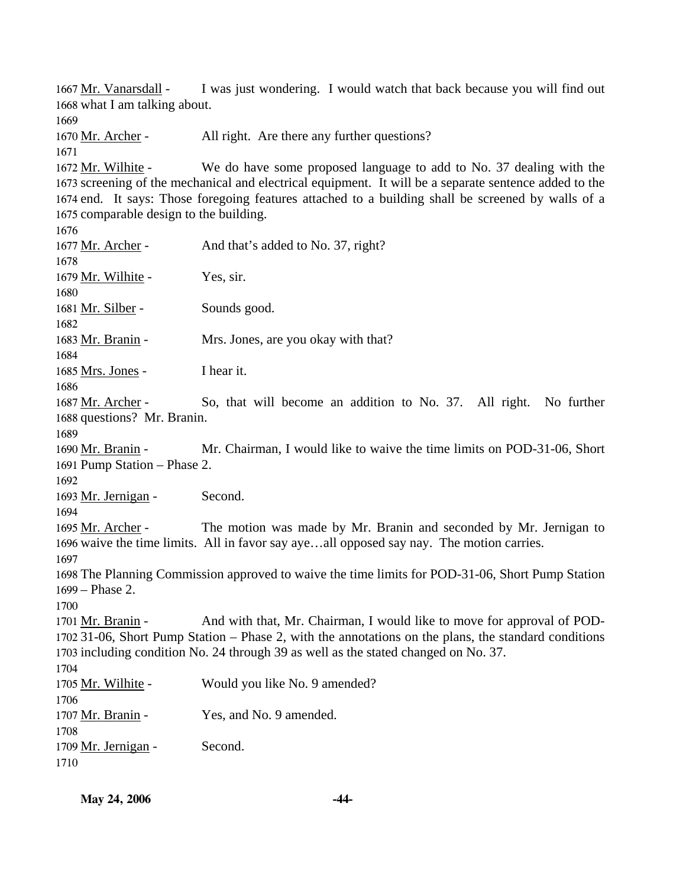I was just wondering. I would watch that back because you will find out 1668 what I am talking about. 1667 Mr. Vanarsdall -

1670 Mr. Archer - All right. Are there any further questions?

We do have some proposed language to add to No. 37 dealing with the 1673 screening of the mechanical and electrical equipment. It will be a separate sentence added to the 1674 end. It says: Those foregoing features attached to a building shall be screened by walls of a 1675 comparable design to the building. 1672 Mr. Wilhite -

| 1677 Mr. Archer -<br>1678                                                                                                                                                                                                                                                                          | And that's added to No. 37, right?                                                                                                                            |  |
|----------------------------------------------------------------------------------------------------------------------------------------------------------------------------------------------------------------------------------------------------------------------------------------------------|---------------------------------------------------------------------------------------------------------------------------------------------------------------|--|
| 1679 Mr. Wilhite -<br>1680                                                                                                                                                                                                                                                                         | Yes, sir.                                                                                                                                                     |  |
| 1681 Mr. Silber -<br>1682                                                                                                                                                                                                                                                                          | Sounds good.                                                                                                                                                  |  |
| 1683 Mr. Branin -<br>1684                                                                                                                                                                                                                                                                          | Mrs. Jones, are you okay with that?                                                                                                                           |  |
| 1685 Mrs. Jones -<br>1686                                                                                                                                                                                                                                                                          | I hear it.                                                                                                                                                    |  |
| 1687 Mr. Archer -<br>1688 questions? Mr. Branin.<br>1689                                                                                                                                                                                                                                           | So, that will become an addition to No. 37. All right. No further                                                                                             |  |
| 1690 Mr. Branin -<br>1691 Pump Station - Phase 2.<br>1692                                                                                                                                                                                                                                          | Mr. Chairman, I would like to waive the time limits on POD-31-06, Short                                                                                       |  |
| 1693 Mr. Jernigan -<br>1694                                                                                                                                                                                                                                                                        | Second.                                                                                                                                                       |  |
| 1695 Mr. Archer -<br>1697                                                                                                                                                                                                                                                                          | The motion was made by Mr. Branin and seconded by Mr. Jernigan to<br>1696 waive the time limits. All in favor say ayeall opposed say nay. The motion carries. |  |
| 1699 - Phase 2.<br>1700                                                                                                                                                                                                                                                                            | 1698 The Planning Commission approved to waive the time limits for POD-31-06, Short Pump Station                                                              |  |
| And with that, Mr. Chairman, I would like to move for approval of POD-<br>1701 Mr. Branin -<br>1702 31-06, Short Pump Station - Phase 2, with the annotations on the plans, the standard conditions<br>1703 including condition No. 24 through 39 as well as the stated changed on No. 37.<br>1704 |                                                                                                                                                               |  |
| 1705 Mr. Wilhite -<br>1706                                                                                                                                                                                                                                                                         | Would you like No. 9 amended?                                                                                                                                 |  |
| 1707 Mr. Branin -<br>1708                                                                                                                                                                                                                                                                          | Yes, and No. 9 amended.                                                                                                                                       |  |
| 1709 Mr. Jernigan -<br>1710                                                                                                                                                                                                                                                                        | Second.                                                                                                                                                       |  |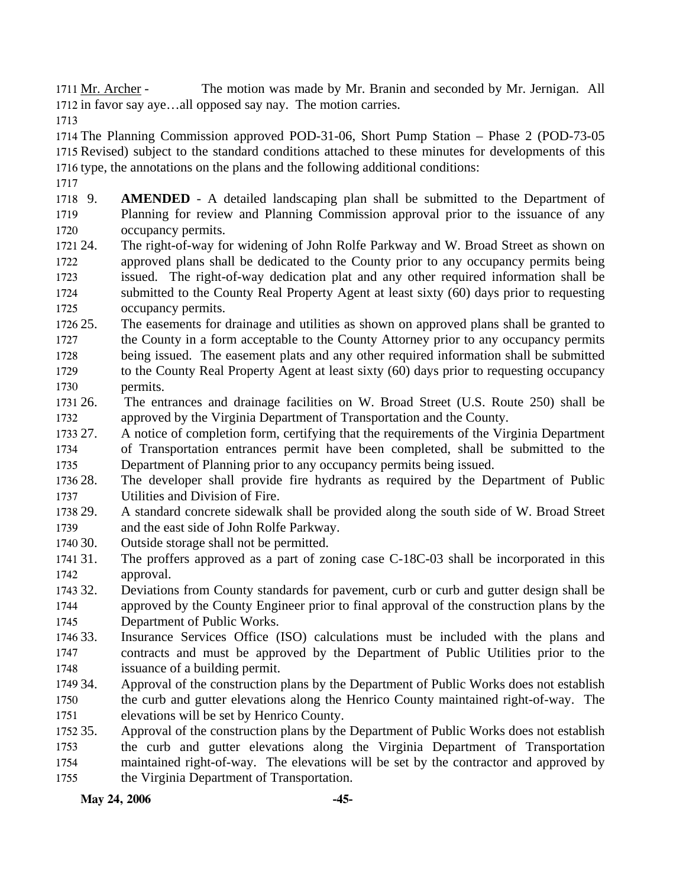The motion was made by Mr. Branin and seconded by Mr. Jernigan. All 1712 in favor say aye...all opposed say nay. The motion carries. 1711 Mr. Archer -

1713

1714 The Planning Commission approved POD-31-06, Short Pump Station – Phase 2 (POD-73-05 1715 Revised) subject to the standard conditions attached to these minutes for developments of this 1716 type, the annotations on the plans and the following additional conditions:

1717

1718 9. 1719 1720 **AMENDED** - A detailed landscaping plan shall be submitted to the Department of Planning for review and Planning Commission approval prior to the issuance of any occupancy permits.

- 1721 24. 1722 1723 1724 1725 The right-of-way for widening of John Rolfe Parkway and W. Broad Street as shown on approved plans shall be dedicated to the County prior to any occupancy permits being issued. The right-of-way dedication plat and any other required information shall be submitted to the County Real Property Agent at least sixty (60) days prior to requesting occupancy permits.
- 1726 25. 1727 1728 1729 1730 The easements for drainage and utilities as shown on approved plans shall be granted to the County in a form acceptable to the County Attorney prior to any occupancy permits being issued. The easement plats and any other required information shall be submitted to the County Real Property Agent at least sixty (60) days prior to requesting occupancy permits.
- 1731 26. 1732 26. The entrances and drainage facilities on W. Broad Street (U.S. Route 250) shall be approved by the Virginia Department of Transportation and the County.
- 1733 27. 1734 1735 27. A notice of completion form, certifying that the requirements of the Virginia Department of Transportation entrances permit have been completed, shall be submitted to the Department of Planning prior to any occupancy permits being issued.
- 1736 28. 1737 The developer shall provide fire hydrants as required by the Department of Public Utilities and Division of Fire.
- 1738 29. 1739 29. A standard concrete sidewalk shall be provided along the south side of W. Broad Street and the east side of John Rolfe Parkway.
- 1740 30. Outside storage shall not be permitted.
- 1741 31. 1742 The proffers approved as a part of zoning case C-18C-03 shall be incorporated in this approval.
- 1743 32. 1744 1745 32. Deviations from County standards for pavement, curb or curb and gutter design shall be approved by the County Engineer prior to final approval of the construction plans by the Department of Public Works.
- 1746 33. 1747 1748 Insurance Services Office (ISO) calculations must be included with the plans and contracts and must be approved by the Department of Public Utilities prior to the issuance of a building permit.
- 1749 34. 1750 1751 Approval of the construction plans by the Department of Public Works does not establish the curb and gutter elevations along the Henrico County maintained right-of-way. The elevations will be set by Henrico County.
- 1752 35. 1753 1754 1755 Approval of the construction plans by the Department of Public Works does not establish the curb and gutter elevations along the Virginia Department of Transportation maintained right-of-way. The elevations will be set by the contractor and approved by the Virginia Department of Transportation.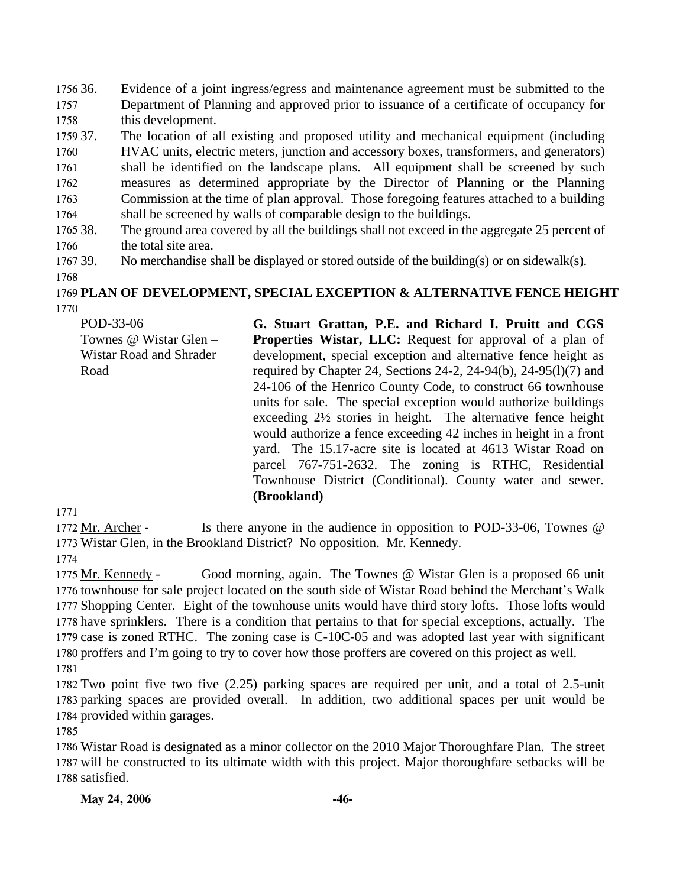1756 36. 1757 1758 Evidence of a joint ingress/egress and maintenance agreement must be submitted to the Department of Planning and approved prior to issuance of a certificate of occupancy for this development.

1759 37. 1760 1761 1762 1763 1764 The location of all existing and proposed utility and mechanical equipment (including HVAC units, electric meters, junction and accessory boxes, transformers, and generators) shall be identified on the landscape plans. All equipment shall be screened by such measures as determined appropriate by the Director of Planning or the Planning Commission at the time of plan approval. Those foregoing features attached to a building shall be screened by walls of comparable design to the buildings.

- 1765 38. 1766 The ground area covered by all the buildings shall not exceed in the aggregate 25 percent of the total site area.
- 1767 39. No merchandise shall be displayed or stored outside of the building(s) or on sidewalk(s).
- 1768

#### 1769 **PLAN OF DEVELOPMENT, SPECIAL EXCEPTION & ALTERNATIVE FENCE HEIGHT**  1770

POD-33-06 Townes @ Wistar Glen – Wistar Road and Shrader Road **G. Stuart Grattan, P.E. and Richard I. Pruitt and CGS Properties Wistar, LLC:** Request for approval of a plan of development, special exception and alternative fence height as required by Chapter 24, Sections 24-2, 24-94(b), 24-95(l)(7) and 24-106 of the Henrico County Code, to construct 66 townhouse units for sale. The special exception would authorize buildings exceeding 2½ stories in height. The alternative fence height would authorize a fence exceeding 42 inches in height in a front yard. The 15.17-acre site is located at 4613 Wistar Road on parcel 767-751-2632. The zoning is RTHC, Residential Townhouse District (Conditional). County water and sewer. **(Brookland)** 

1771

Is there anyone in the audience in opposition to POD-33-06, Townes  $@$ 1773 Wistar Glen, in the Brookland District? No opposition. Mr. Kennedy. 1772 Mr. Archer -

1774

Good morning, again. The Townes @ Wistar Glen is a proposed 66 unit 1776 townhouse for sale project located on the south side of Wistar Road behind the Merchant's Walk 1777 Shopping Center. Eight of the townhouse units would have third story lofts. Those lofts would 1778 have sprinklers. There is a condition that pertains to that for special exceptions, actually. The 1779 case is zoned RTHC. The zoning case is  $C-10C-05$  and was adopted last year with significant 1780 proffers and I'm going to try to cover how those proffers are covered on this project as well. 1775 Mr. Kennedy -

1781

1782 Two point five two five (2.25) parking spaces are required per unit, and a total of 2.5-unit 1783 parking spaces are provided overall. In addition, two additional spaces per unit would be 1784 provided within garages.

1785

1786 Wistar Road is designated as a minor collector on the 2010 Major Thoroughfare Plan. The street 1787 will be constructed to its ultimate width with this project. Major thoroughfare setbacks will be 1788 satisfied.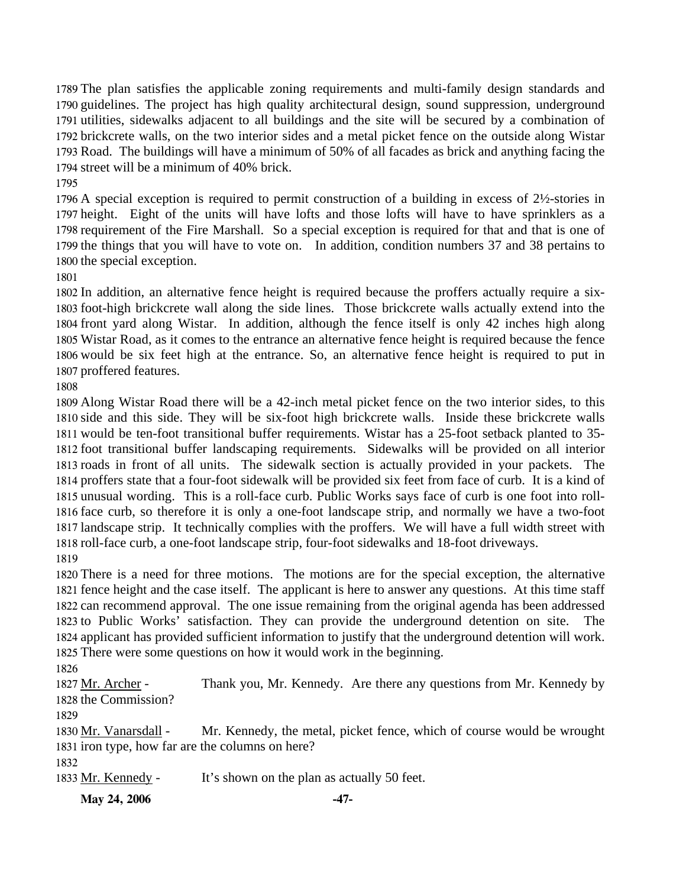The plan satisfies the applicable zoning requirements and multi-family design standards and guidelines. The project has high quality architectural design, sound suppression, underground utilities, sidewalks adjacent to all buildings and the site will be secured by a combination of brickcrete walls, on the two interior sides and a metal picket fence on the outside along Wistar Road. The buildings will have a minimum of 50% of all facades as brick and anything facing the street will be a minimum of 40% brick.

 A special exception is required to permit construction of a building in excess of 2½-stories in height. Eight of the units will have lofts and those lofts will have to have sprinklers as a requirement of the Fire Marshall. So a special exception is required for that and that is one of the things that you will have to vote on. In addition, condition numbers 37 and 38 pertains to the special exception.

 In addition, an alternative fence height is required because the proffers actually require a six- foot-high brickcrete wall along the side lines. Those brickcrete walls actually extend into the front yard along Wistar. In addition, although the fence itself is only 42 inches high along Wistar Road, as it comes to the entrance an alternative fence height is required because the fence would be six feet high at the entrance. So, an alternative fence height is required to put in proffered features.

 Along Wistar Road there will be a 42-inch metal picket fence on the two interior sides, to this side and this side. They will be six-foot high brickcrete walls. Inside these brickcrete walls would be ten-foot transitional buffer requirements. Wistar has a 25-foot setback planted to 35- foot transitional buffer landscaping requirements. Sidewalks will be provided on all interior roads in front of all units. The sidewalk section is actually provided in your packets. The proffers state that a four-foot sidewalk will be provided six feet from face of curb. It is a kind of unusual wording. This is a roll-face curb. Public Works says face of curb is one foot into roll- face curb, so therefore it is only a one-foot landscape strip, and normally we have a two-foot landscape strip. It technically complies with the proffers. We will have a full width street with roll-face curb, a one-foot landscape strip, four-foot sidewalks and 18-foot driveways. 

 There is a need for three motions. The motions are for the special exception, the alternative fence height and the case itself. The applicant is here to answer any questions. At this time staff can recommend approval. The one issue remaining from the original agenda has been addressed to Public Works' satisfaction. They can provide the underground detention on site. The applicant has provided sufficient information to justify that the underground detention will work. There were some questions on how it would work in the beginning.

Thank you, Mr. Kennedy. Are there any questions from Mr. Kennedy by 1828 the Commission? 1827 Mr. Archer -

Mr. Kennedy, the metal, picket fence, which of course would be wrought 1831 iron type, how far are the columns on here? 1830 Mr. Vanarsdall -

Mr. Kennedy - It's shown on the plan as actually 50 feet.

**May 24, 2006 -47-**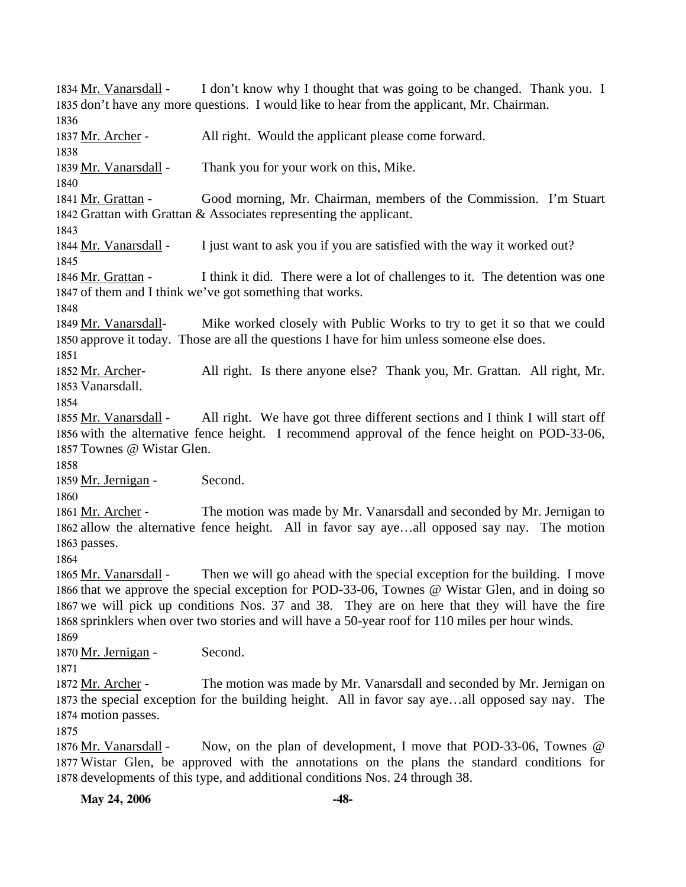I don't know why I thought that was going to be changed. Thank you. I 1835 don't have any more questions. I would like to hear from the applicant, Mr. Chairman. 1834 Mr. Vanarsdall -1836 1837 Mr. Archer - All right. Would the applicant please come forward. 1838 1839 Mr. Vanarsdall - Thank you for your work on this, Mike. 1840 Good morning, Mr. Chairman, members of the Commission. I'm Stuart 1842 Grattan with Grattan  $&$  Associates representing the applicant. 1841 Mr. Grattan -1843 1844 Mr. Vanarsdall - I just want to ask you if you are satisfied with the way it worked out? 1845 I think it did. There were a lot of challenges to it. The detention was one 1847 of them and I think we've got something that works. 1846 Mr. Grattan -1848 Mike worked closely with Public Works to try to get it so that we could 1850 approve it today. Those are all the questions I have for him unless someone else does. 1849 Mr. Vanarsdall-1851 All right. Is there anyone else? Thank you, Mr. Grattan. All right, Mr. 1853 Vanarsdall. 1852 Mr. Archer-1854 All right. We have got three different sections and I think I will start off 1856 with the alternative fence height. I recommend approval of the fence height on POD-33-06, 1857 Townes @ Wistar Glen. 1855 Mr. Vanarsdall -1858 1859 Mr. Jernigan - Second. 1860 The motion was made by Mr. Vanarsdall and seconded by Mr. Jernigan to 1862 allow the alternative fence height. All in favor say aye...all opposed say nay. The motion 1863 passes. 1861 Mr. Archer -1864 Then we will go ahead with the special exception for the building. I move 1866 that we approve the special exception for POD-33-06, Townes @ Wistar Glen, and in doing so 1867 we will pick up conditions Nos. 37 and 38. They are on here that they will have the fire 1868 sprinklers when over two stories and will have a 50-year roof for 110 miles per hour winds. 1865 Mr. Vanarsdall -1869 1870 Mr. Jernigan - Second. 1871 The motion was made by Mr. Vanarsdall and seconded by Mr. Jernigan on 1873 the special exception for the building height. All in favor say aye...all opposed say nay. The 1874 motion passes. 1872 Mr. Archer -1875 Now, on the plan of development, I move that POD-33-06, Townes  $@$ Wistar Glen, be approved with the annotations on the plans the standard conditions for 1877 1878 developments of this type, and additional conditions Nos. 24 through 38. 1876 Mr. Vanarsdall -

**May 24, 2006 -48-**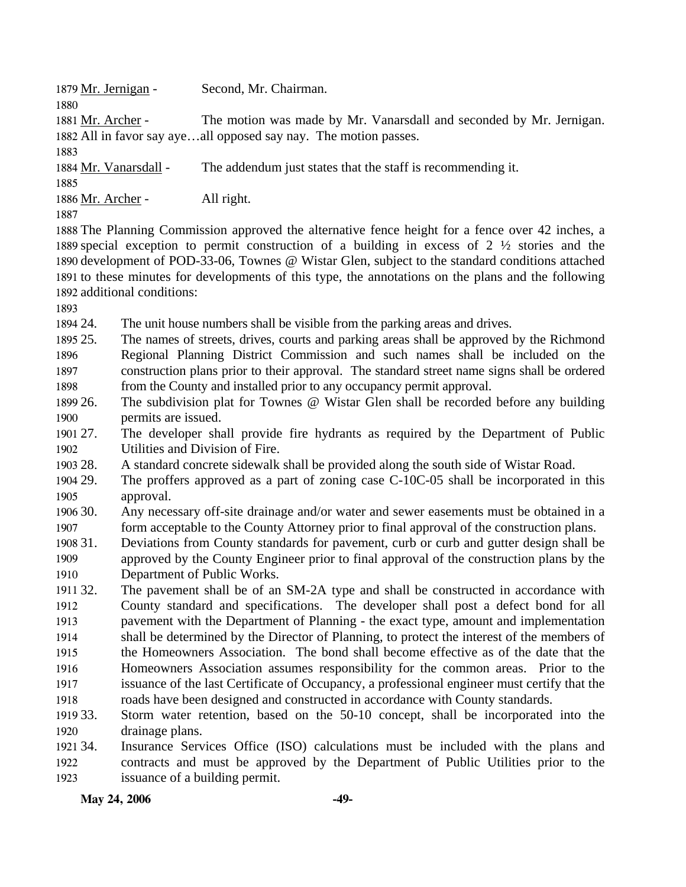| 1879 Mr. Jernigan -         | Second, Mr. Chairman.                                                                                    |
|-----------------------------|----------------------------------------------------------------------------------------------------------|
| 1880                        |                                                                                                          |
| 1881 Mr. Archer -           | The motion was made by Mr. Vanarsdall and seconded by Mr. Jernigan.                                      |
|                             | 1882 All in favor say ayeall opposed say nay. The motion passes.                                         |
| 1883                        |                                                                                                          |
| 1884 Mr. Vanarsdall -       | The addendum just states that the staff is recommending it.                                              |
| 1885                        |                                                                                                          |
| 1886 Mr. Archer -           | All right.                                                                                               |
| 1887                        |                                                                                                          |
|                             | 1888 The Planning Commission approved the alternative fence height for a fence over 42 inches, a         |
|                             | 1889 special exception to permit construction of a building in excess of 2 $\frac{1}{2}$ stories and the |
|                             | 1890 development of POD-33-06, Townes @ Wistar Glen, subject to the standard conditions attached         |
|                             | 1891 to these minutes for developments of this type, the annotations on the plans and the following      |
| 1892 additional conditions: |                                                                                                          |
| 1893                        |                                                                                                          |
| 1894 24.                    | The unit house numbers shall be visible from the parking areas and drives.                               |
| $100 - 25$                  |                                                                                                          |

1895 25. 1896 1897 1898 The names of streets, drives, courts and parking areas shall be approved by the Richmond Regional Planning District Commission and such names shall be included on the construction plans prior to their approval. The standard street name signs shall be ordered from the County and installed prior to any occupancy permit approval.

1899 26. 1900 The subdivision plat for Townes @ Wistar Glen shall be recorded before any building permits are issued.

1901 27. 1902 27. The developer shall provide fire hydrants as required by the Department of Public Utilities and Division of Fire.

1903 2.8 28. A standard concrete sidewalk shall be provided along the south side of Wistar Road.

1904 29. 1905 The proffers approved as a part of zoning case  $C-10C-05$  shall be incorporated in this approval.

1906 30. 1907 Any necessary off-site drainage and/or water and sewer easements must be obtained in a form acceptable to the County Attorney prior to final approval of the construction plans.

1908 31. 1909 1910 31. Deviations from County standards for pavement, curb or curb and gutter design shall be approved by the County Engineer prior to final approval of the construction plans by the Department of Public Works.

1911 32. 1912 1913 1914 1915 1916 1917 1918 The pavement shall be of an SM-2A type and shall be constructed in accordance with County standard and specifications. The developer shall post a defect bond for all pavement with the Department of Planning - the exact type, amount and implementation shall be determined by the Director of Planning, to protect the interest of the members of the Homeowners Association. The bond shall become effective as of the date that the Homeowners Association assumes responsibility for the common areas. Prior to the issuance of the last Certificate of Occupancy, a professional engineer must certify that the roads have been designed and constructed in accordance with County standards.

1919 33. 1920 Storm water retention, based on the 50-10 concept, shall be incorporated into the drainage plans.

1921 34. 1922 1923 Insurance Services Office (ISO) calculations must be included with the plans and contracts and must be approved by the Department of Public Utilities prior to the issuance of a building permit.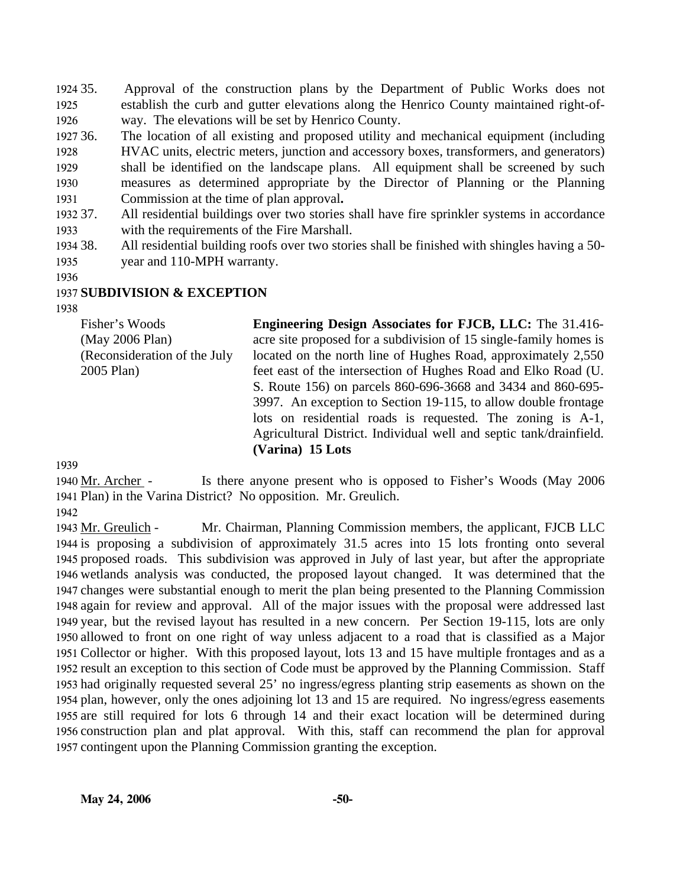1924 35. 1925 1926 Approval of the construction plans by the Department of Public Works does not establish the curb and gutter elevations along the Henrico County maintained right-ofway. The elevations will be set by Henrico County.

1927 36. 1928 1929 1930 1931 The location of all existing and proposed utility and mechanical equipment (including HVAC units, electric meters, junction and accessory boxes, transformers, and generators) shall be identified on the landscape plans. All equipment shall be screened by such measures as determined appropriate by the Director of Planning or the Planning Commission at the time of plan approval**.**

1932 37. 1933 All residential buildings over two stories shall have fire sprinkler systems in accordance with the requirements of the Fire Marshall.

- 1934 38. 1935 All residential building roofs over two stories shall be finished with shingles having a 50year and 110-MPH warranty.
- 1936

### 1937 **SUBDIVISION & EXCEPTION**

1938

Fisher's Woods (May 2006 Plan) (Reconsideration of the July 2005 Plan)

**Engineering Design Associates for FJCB, LLC:** The 31.416 acre site proposed for a subdivision of 15 single-family homes is located on the north line of Hughes Road, approximately 2,550 feet east of the intersection of Hughes Road and Elko Road (U. S. Route 156) on parcels 860-696-3668 and 3434 and 860-695- 3997. An exception to Section 19-115, to allow double frontage lots on residential roads is requested. The zoning is A-1, Agricultural District. Individual well and septic tank/drainfield. **(Varina) 15 Lots** 

1939

Is there anyone present who is opposed to Fisher's Woods (May 2006) 1941 Plan) in the Varina District? No opposition. Mr. Greulich. 1940 Mr. Archer -

1942

Mr. Chairman, Planning Commission members, the applicant, FJCB LLC 1944 is proposing a subdivision of approximately 31.5 acres into 15 lots fronting onto several 1945 proposed roads. This subdivision was approved in July of last year, but after the appropriate 1946 wetlands analysis was conducted, the proposed layout changed. It was determined that the 1947 changes were substantial enough to merit the plan being presented to the Planning Commission 1948 again for review and approval. All of the major issues with the proposal were addressed last 1949 year, but the revised layout has resulted in a new concern. Per Section 19-115, lots are only 1950 allowed to front on one right of way unless adjacent to a road that is classified as a Major 1951 Collector or higher. With this proposed layout, lots 13 and 15 have multiple frontages and as a 1952 result an exception to this section of Code must be approved by the Planning Commission. Staff 1953 had originally requested several 25' no ingress/egress planting strip easements as shown on the 1954 plan, however, only the ones adjoining lot 13 and 15 are required. No ingress/egress easements 1955 are still required for lots 6 through 14 and their exact location will be determined during 1956 construction plan and plat approval. With this, staff can recommend the plan for approval 1957 contingent upon the Planning Commission granting the exception. 1943 Mr. Greulich -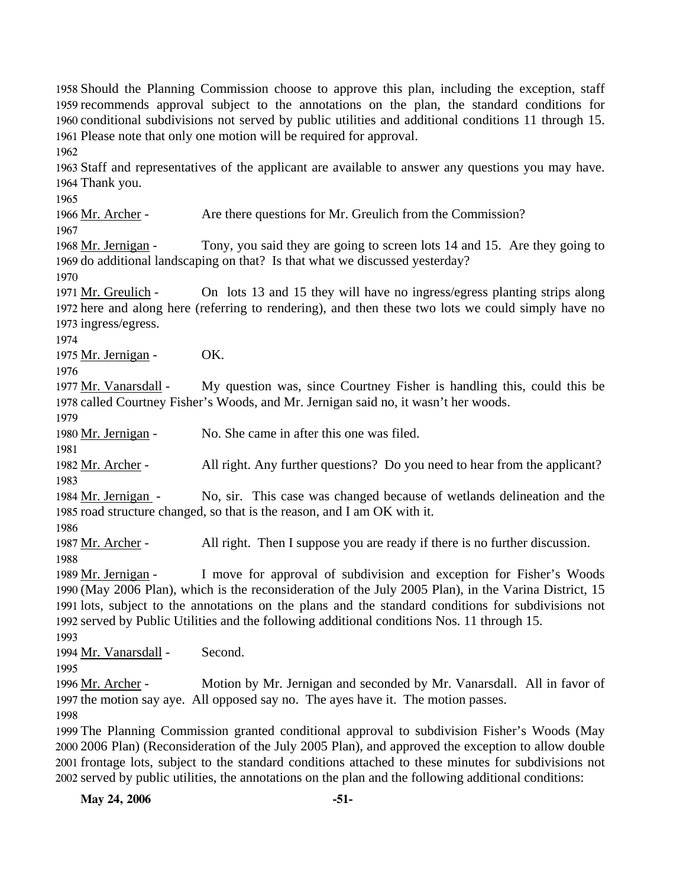1958 Should the Planning Commission choose to approve this plan, including the exception, staff 1959 recommends approval subject to the annotations on the plan, the standard conditions for 1960 conditional subdivisions not served by public utilities and additional conditions 11 through 15. 1961 Please note that only one motion will be required for approval. 1962 1963 Staff and representatives of the applicant are available to answer any questions you may have. 1964 Thank you. 1965 1966 Mr. Archer - Are there questions for Mr. Greulich from the Commission? 1967 Tony, you said they are going to screen lots 14 and 15. Are they going to 1969 do additional landscaping on that? Is that what we discussed yesterday? 1968 Mr. Jernigan -1970 On lots 13 and 15 they will have no ingress/egress planting strips along 1972 here and along here (referring to rendering), and then these two lots we could simply have no 1973 ingress/egress. 1971 Mr. Greulich -1974 1975 Mr. Jernigan - OK. 1976 My question was, since Courtney Fisher is handling this, could this be 1978 called Courtney Fisher's Woods, and Mr. Jernigan said no, it wasn't her woods. 1977 Mr. Vanarsdall -1979 1980 Mr. Jernigan - No. She came in after this one was filed. 1981 1982 Mr. Archer - All right. Any further questions? Do you need to hear from the applicant? 1983 No, sir. This case was changed because of wetlands delineation and the 1985 road structure changed, so that is the reason, and I am OK with it. 1984 Mr. Jernigan -1986 1987 Mr. Archer - All right. Then I suppose you are ready if there is no further discussion. 1988 I move for approval of subdivision and exception for Fisher's Woods (May 2006 Plan), which is the reconsideration of the July 2005 Plan), in the Varina District, 15 1990 1991 lots, subject to the annotations on the plans and the standard conditions for subdivisions not 1992 served by Public Utilities and the following additional conditions Nos. 11 through 15. 1989 Mr. Jernigan -1993 1994 Mr. Vanarsdall - Second. 1995 Motion by Mr. Jernigan and seconded by Mr. Vanarsdall. All in favor of 1997 the motion say aye. All opposed say no. The ayes have it. The motion passes. 1996 Mr. Archer -1998 1999 The Planning Commission granted conditional approval to subdivision Fisher's Woods (May 2000 2006 Plan) (Reconsideration of the July 2005 Plan), and approved the exception to allow double 2001 frontage lots, subject to the standard conditions attached to these minutes for subdivisions not 2002 served by public utilities, the annotations on the plan and the following additional conditions:

**May 24, 2006 -51-**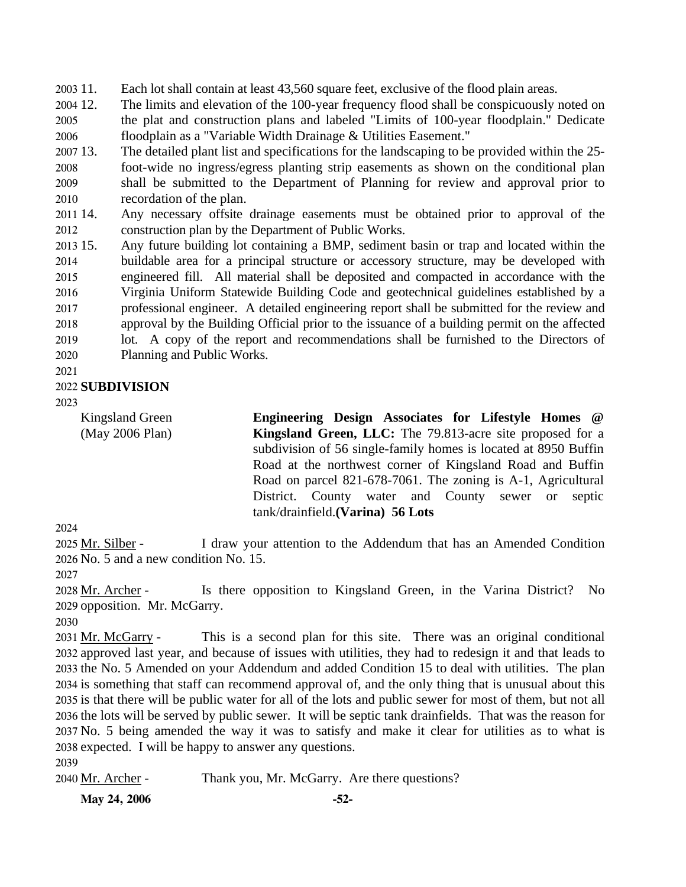$2003$  11. Each lot shall contain at least 43,560 square feet, exclusive of the flood plain areas.

2004 12. 2005 2006 The limits and elevation of the 100-year frequency flood shall be conspicuously noted on the plat and construction plans and labeled "Limits of 100-year floodplain." Dedicate floodplain as a "Variable Width Drainage & Utilities Easement."

- 2007 13. 2008 2009 2010 The detailed plant list and specifications for the landscaping to be provided within the 25foot-wide no ingress/egress planting strip easements as shown on the conditional plan shall be submitted to the Department of Planning for review and approval prior to recordation of the plan.
- 2011 14. 2012 Any necessary offsite drainage easements must be obtained prior to approval of the construction plan by the Department of Public Works.
- $2013$  15. 2014 2015 2016 2017 2018 2019 2020 Any future building lot containing a BMP, sediment basin or trap and located within the buildable area for a principal structure or accessory structure, may be developed with engineered fill. All material shall be deposited and compacted in accordance with the Virginia Uniform Statewide Building Code and geotechnical guidelines established by a professional engineer. A detailed engineering report shall be submitted for the review and approval by the Building Official prior to the issuance of a building permit on the affected lot. A copy of the report and recommendations shall be furnished to the Directors of Planning and Public Works.
- 2021

### 2022 **SUBDIVISION**

2023

Kingsland Green (May 2006 Plan) **Engineering Design Associates for Lifestyle Homes @ Kingsland Green, LLC:** The 79.813-acre site proposed for a subdivision of 56 single-family homes is located at 8950 Buffin Road at the northwest corner of Kingsland Road and Buffin Road on parcel 821-678-7061. The zoning is A-1, Agricultural District. County water and County sewer or septic tank/drainfield.**(Varina) 56 Lots** 

2024

I draw your attention to the Addendum that has an Amended Condition 2026 No. 5 and a new condition No. 15. 2025 Mr. Silber -

2027

Is there opposition to Kingsland Green, in the Varina District? No 2029 opposition. Mr. McGarry. 2028 Mr. Archer -

2030

This is a second plan for this site. There was an original conditional 2032 approved last year, and because of issues with utilities, they had to redesign it and that leads to 2033 the No. 5 Amended on your Addendum and added Condition 15 to deal with utilities. The plan 2034 is something that staff can recommend approval of, and the only thing that is unusual about this 2035 is that there will be public water for all of the lots and public sewer for most of them, but not all 2036 the lots will be served by public sewer. It will be septic tank drainfields. That was the reason for 2037 No. 5 being amended the way it was to satisfy and make it clear for utilities as to what is 2038 expected. I will be happy to answer any questions. 2031 Mr. McGarry -

2039

2040 Mr. Archer - Thank you, Mr. McGarry. Are there questions?

**May 24, 2006 -52-**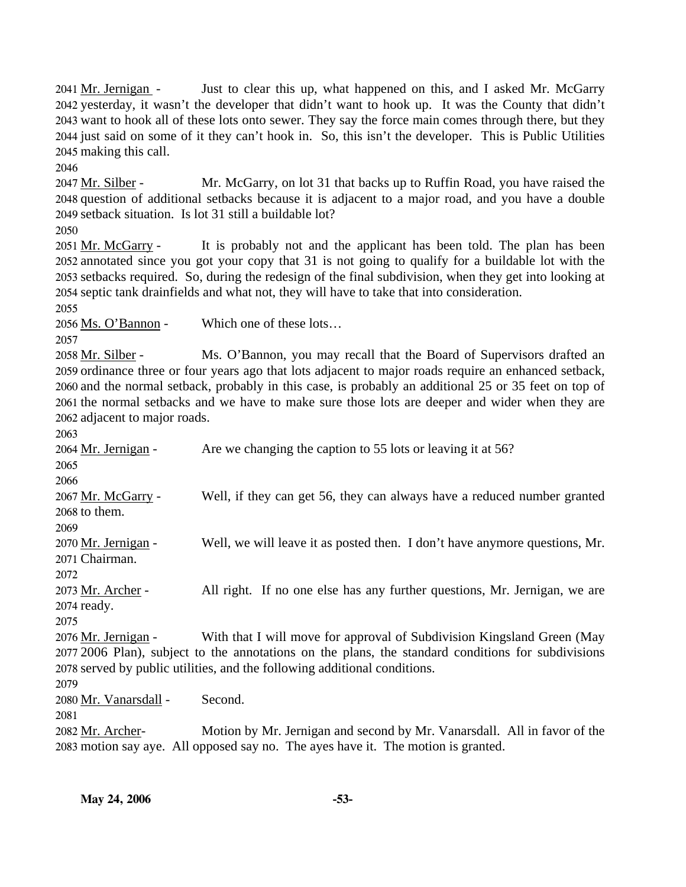Just to clear this up, what happened on this, and I asked Mr. McGarry 2042 yesterday, it wasn't the developer that didn't want to hook up. It was the County that didn't 2043 want to hook all of these lots onto sewer. They say the force main comes through there, but they 2044 just said on some of it they can't hook in. So, this isn't the developer. This is Public Utilities 2045 making this call. 2041 Mr. Jernigan -

2046

Mr. McGarry, on lot 31 that backs up to Ruffin Road, you have raised the 2048 question of additional setbacks because it is adjacent to a major road, and you have a double 2049 setback situation. Is lot 31 still a buildable lot? 2047 Mr. Silber -

2050

It is probably not and the applicant has been told. The plan has been 2052 annotated since you got your copy that 31 is not going to qualify for a buildable lot with the 2053 setbacks required. So, during the redesign of the final subdivision, when they get into looking at 2054 septic tank drainfields and what not, they will have to take that into consideration. 2051 Mr. McGarry -

2055

2056 Ms. O'Bannon - Which one of these lots…

2057

Ms. O'Bannon, you may recall that the Board of Supervisors drafted an 2059 ordinance three or four years ago that lots adjacent to major roads require an enhanced setback, 2060 and the normal setback, probably in this case, is probably an additional 25 or 35 feet on top of 2061 the normal setbacks and we have to make sure those lots are deeper and wider when they are 2062 adjacent to major roads. 2058 Mr. Silber -

2063

2064 Mr. Jernigan - Are we changing the caption to 55 lots or leaving it at 56? 2065 2066 Well, if they can get 56, they can always have a reduced number granted  $2068$  to them. 2067 Mr. McGarry -2069 Well, we will leave it as posted then. I don't have anymore questions, Mr. 2071 Chairman. 2070 Mr. Jernigan -2072 All right. If no one else has any further questions, Mr. Jernigan, we are 2074 ready. 2073 Mr. Archer -2075 With that I will move for approval of Subdivision Kingsland Green (May 2076 Mr. Jernigan -

2007 2006 Plan), subject to the annotations on the plans, the standard conditions for subdivisions 2078 served by public utilities, and the following additional conditions. 2079

2080 Mr. Vanarsdall - Second.

2081

Motion by Mr. Jernigan and second by Mr. Vanarsdall. All in favor of the 2083 motion say aye. All opposed say no. The ayes have it. The motion is granted. 2082 Mr. Archer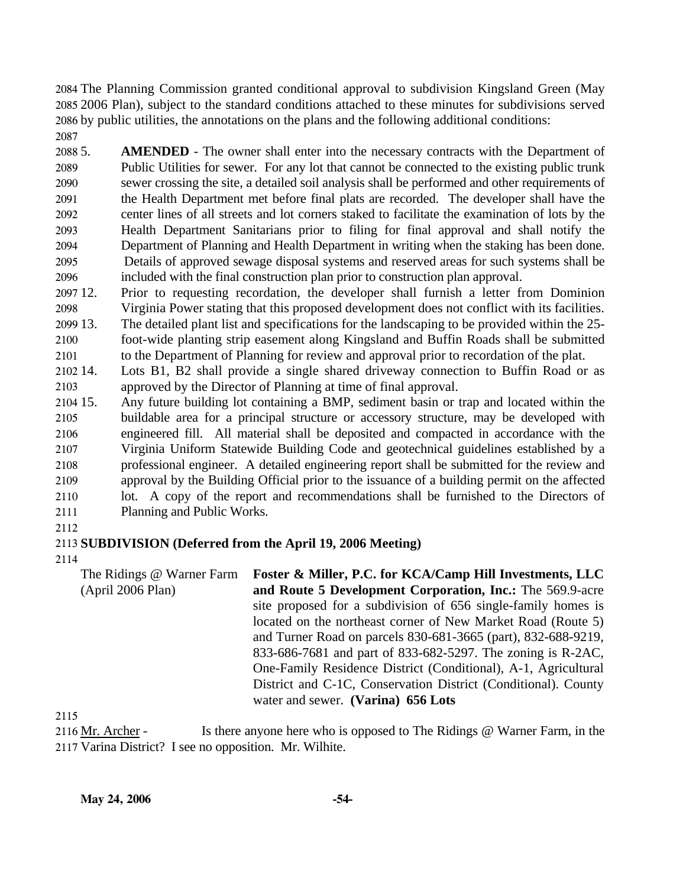2084 The Planning Commission granted conditional approval to subdivision Kingsland Green (May 2085 2006 Plan), subject to the standard conditions attached to these minutes for subdivisions served 2086 by public utilities, the annotations on the plans and the following additional conditions:

2087

2088 5. 2089 2090 2091 2092 2093 2094 2095 2096 **AMENDED** - The owner shall enter into the necessary contracts with the Department of Public Utilities for sewer. For any lot that cannot be connected to the existing public trunk sewer crossing the site, a detailed soil analysis shall be performed and other requirements of the Health Department met before final plats are recorded. The developer shall have the center lines of all streets and lot corners staked to facilitate the examination of lots by the Health Department Sanitarians prior to filing for final approval and shall notify the Department of Planning and Health Department in writing when the staking has been done. Details of approved sewage disposal systems and reserved areas for such systems shall be included with the final construction plan prior to construction plan approval.

2097 12. 2098 12. Prior to requesting recordation, the developer shall furnish a letter from Dominion Virginia Power stating that this proposed development does not conflict with its facilities.

2099 13. The detailed plant list and specifications for the landscaping to be provided within the 25-

2100 2101 foot-wide planting strip easement along Kingsland and Buffin Roads shall be submitted to the Department of Planning for review and approval prior to recordation of the plat.

2102 14. 2103 Lots B1, B2 shall provide a single shared driveway connection to Buffin Road or as approved by the Director of Planning at time of final approval.

2104 15. 2105 2106 2107 2108 2109 2110 2111 15. Any future building lot containing a BMP, sediment basin or trap and located within the buildable area for a principal structure or accessory structure, may be developed with engineered fill. All material shall be deposited and compacted in accordance with the Virginia Uniform Statewide Building Code and geotechnical guidelines established by a professional engineer. A detailed engineering report shall be submitted for the review and approval by the Building Official prior to the issuance of a building permit on the affected lot. A copy of the report and recommendations shall be furnished to the Directors of Planning and Public Works.

2112

# 2113 **SUBDIVISION (Deferred from the April 19, 2006 Meeting)**

2114

The Ridings @ Warner Farm (April 2006 Plan) **Foster & Miller, P.C. for KCA/Camp Hill Investments, LLC and Route 5 Development Corporation, Inc.:** The 569.9-acre site proposed for a subdivision of 656 single-family homes is located on the northeast corner of New Market Road (Route 5) and Turner Road on parcels 830-681-3665 (part), 832-688-9219, 833-686-7681 and part of 833-682-5297. The zoning is R-2AC, One-Family Residence District (Conditional), A-1, Agricultural District and C-1C, Conservation District (Conditional). County water and sewer. **(Varina) 656 Lots** 

2115

Is there anyone here who is opposed to The Ridings  $@$  Warner Farm, in the 2117 Varina District? I see no opposition. Mr. Wilhite. 2116 Mr. Archer -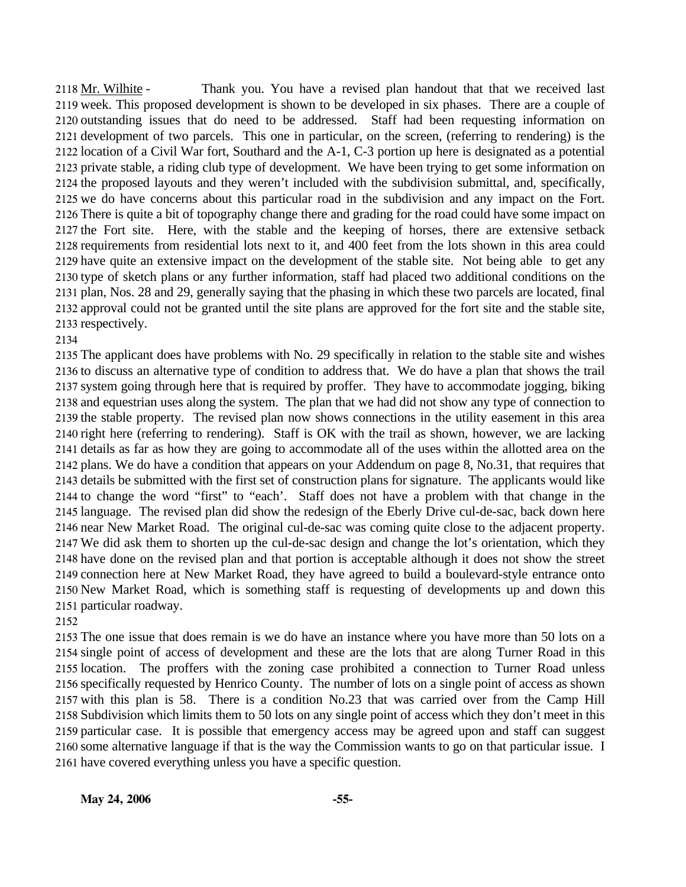Thank you. You have a revised plan handout that that we received last 2119 week. This proposed development is shown to be developed in six phases. There are a couple of 2120 outstanding issues that do need to be addressed. Staff had been requesting information on 2121 development of two parcels. This one in particular, on the screen, (referring to rendering) is the 2122 location of a Civil War fort, Southard and the A-1, C-3 portion up here is designated as a potential 2123 private stable, a riding club type of development. We have been trying to get some information on 2124 the proposed layouts and they weren't included with the subdivision submittal, and, specifically, 2125 we do have concerns about this particular road in the subdivision and any impact on the Fort. 2126 There is quite a bit of topography change there and grading for the road could have some impact on 2127 the Fort site. Here, with the stable and the keeping of horses, there are extensive setback 2128 requirements from residential lots next to it, and 400 feet from the lots shown in this area could 2129 have quite an extensive impact on the development of the stable site. Not being able to get any 2130 type of sketch plans or any further information, staff had placed two additional conditions on the 2131 plan, Nos. 28 and 29, generally saying that the phasing in which these two parcels are located, final 2132 approval could not be granted until the site plans are approved for the fort site and the stable site, 2133 respectively. 2118 Mr. Wilhite -

 The applicant does have problems with No. 29 specifically in relation to the stable site and wishes to discuss an alternative type of condition to address that. We do have a plan that shows the trail system going through here that is required by proffer. They have to accommodate jogging, biking and equestrian uses along the system. The plan that we had did not show any type of connection to the stable property. The revised plan now shows connections in the utility easement in this area right here (referring to rendering). Staff is OK with the trail as shown, however, we are lacking details as far as how they are going to accommodate all of the uses within the allotted area on the plans. We do have a condition that appears on your Addendum on page 8, No.31, that requires that details be submitted with the first set of construction plans for signature. The applicants would like to change the word "first" to "each'. Staff does not have a problem with that change in the language. The revised plan did show the redesign of the Eberly Drive cul-de-sac, back down here near New Market Road. The original cul-de-sac was coming quite close to the adjacent property. We did ask them to shorten up the cul-de-sac design and change the lot's orientation, which they have done on the revised plan and that portion is acceptable although it does not show the street connection here at New Market Road, they have agreed to build a boulevard-style entrance onto New Market Road, which is something staff is requesting of developments up and down this particular roadway.

 The one issue that does remain is we do have an instance where you have more than 50 lots on a single point of access of development and these are the lots that are along Turner Road in this location. The proffers with the zoning case prohibited a connection to Turner Road unless specifically requested by Henrico County. The number of lots on a single point of access as shown with this plan is 58. There is a condition No.23 that was carried over from the Camp Hill Subdivision which limits them to 50 lots on any single point of access which they don't meet in this particular case. It is possible that emergency access may be agreed upon and staff can suggest some alternative language if that is the way the Commission wants to go on that particular issue. I have covered everything unless you have a specific question.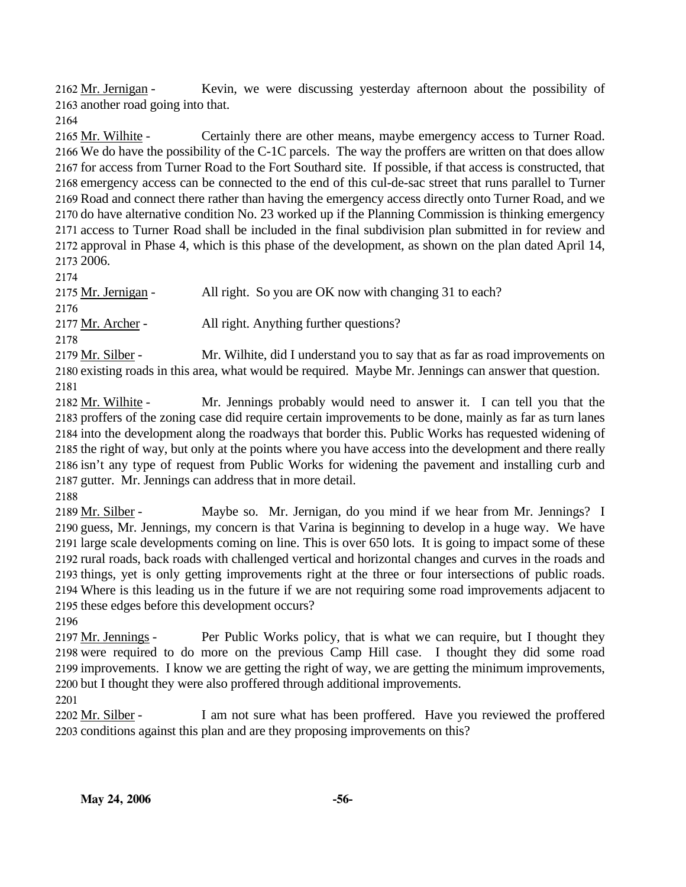Kevin, we were discussing yesterday afternoon about the possibility of 2163 another road going into that. 2162 Mr. Jernigan -

2164

Certainly there are other means, maybe emergency access to Turner Road. 2166 We do have the possibility of the C-1C parcels. The way the proffers are written on that does allow 2167 for access from Turner Road to the Fort Southard site. If possible, if that access is constructed, that 2168 emergency access can be connected to the end of this cul-de-sac street that runs parallel to Turner 2169 Road and connect there rather than having the emergency access directly onto Turner Road, and we 2170 do have alternative condition No. 23 worked up if the Planning Commission is thinking emergency 2171 access to Turner Road shall be included in the final subdivision plan submitted in for review and 2172 approval in Phase 4, which is this phase of the development, as shown on the plan dated April 14, 2006. 2173 2165 Mr. Wilhite -

2174

2175 Mr. Jernigan - All right. So you are OK now with changing 31 to each? 2176 2177 Mr. Archer - All right. Anything further questions? 2178 Mr. Wilhite, did I understand you to say that as far as road improvements on 2179 Mr. Silber -

2180 existing roads in this area, what would be required. Maybe Mr. Jennings can answer that question. 2181

Mr. Jennings probably would need to answer it. I can tell you that the 2183 proffers of the zoning case did require certain improvements to be done, mainly as far as turn lanes 2184 into the development along the roadways that border this. Public Works has requested widening of 2185 the right of way, but only at the points where you have access into the development and there really 2186 isn't any type of request from Public Works for widening the pavement and installing curb and 2187 gutter. Mr. Jennings can address that in more detail. 2182 Mr. Wilhite -

2188

Maybe so. Mr. Jernigan, do you mind if we hear from Mr. Jennings? I 2190 guess, Mr. Jennings, my concern is that Varina is beginning to develop in a huge way. We have 2191 large scale developments coming on line. This is over 650 lots. It is going to impact some of these 2192 rural roads, back roads with challenged vertical and horizontal changes and curves in the roads and 2193 things, yet is only getting improvements right at the three or four intersections of public roads. Where is this leading us in the future if we are not requiring some road improvements adjacent to 2194 2195 these edges before this development occurs? 2189 Mr. Silber -

2196

Per Public Works policy, that is what we can require, but I thought they 2198 were required to do more on the previous Camp Hill case. I thought they did some road 2199 improvements. I know we are getting the right of way, we are getting the minimum improvements, 2200 but I thought they were also proffered through additional improvements. 2197 Mr. Jennings -

2201

I am not sure what has been proffered. Have you reviewed the proffered 2203 conditions against this plan and are they proposing improvements on this? 2202 Mr. Silber -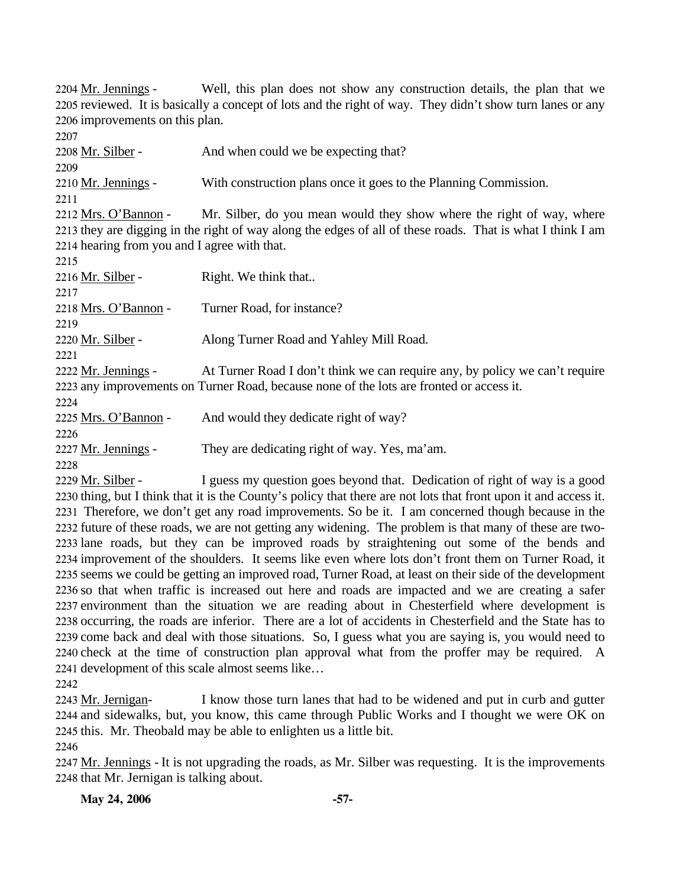Well, this plan does not show any construction details, the plan that we 2205 reviewed. It is basically a concept of lots and the right of way. They didn't show turn lanes or any 2206 improvements on this plan. 2204 Mr. Jennings -

2207 2208 Mr. Silber - And when could we be expecting that? 2209 2210 Mr. Jennings - With construction plans once it goes to the Planning Commission. 2211 Mr. Silber, do you mean would they show where the right of way, where 2213 they are digging in the right of way along the edges of all of these roads. That is what I think I am 2214 hearing from you and I agree with that. 2212 Mrs. O'Bannon -2215 2216 Mr. Silber - Right. We think that.. 2217 2218 Mrs. O'Bannon - Turner Road, for instance? 2219 2220 Mr. Silber - Along Turner Road and Yahley Mill Road. 2221 At Turner Road I don't think we can require any, by policy we can't require 2223 any improvements on Turner Road, because none of the lots are fronted or access it. 2222 Mr. Jennings -2224 2225 Mrs. O'Bannon - And would they dedicate right of way? 2226 2227 Mr. Jennings - They are dedicating right of way. Yes, ma'am. 2228

I guess my question goes beyond that. Dedication of right of way is a good 2230 thing, but I think that it is the County's policy that there are not lots that front upon it and access it. 2231 Therefore, we don't get any road improvements. So be it. I am concerned though because in the 2232 future of these roads, we are not getting any widening. The problem is that many of these are two-2233 lane roads, but they can be improved roads by straightening out some of the bends and 2234 improvement of the shoulders. It seems like even where lots don't front them on Turner Road, it 2235 seems we could be getting an improved road, Turner Road, at least on their side of the development 2236 so that when traffic is increased out here and roads are impacted and we are creating a safer 2237 environment than the situation we are reading about in Chesterfield where development is 2238 occurring, the roads are inferior. There are a lot of accidents in Chesterfield and the State has to 2239 come back and deal with those situations. So, I guess what you are saying is, you would need to 2240 check at the time of construction plan approval what from the proffer may be required. A 2241 development of this scale almost seems like... 2229 Mr. Silber -

2242

I know those turn lanes that had to be widened and put in curb and gutter 2244 and sidewalks, but, you know, this came through Public Works and I thought we were OK on 2245 this. Mr. Theobald may be able to enlighten us a little bit. 2243 Mr. Jernigan-

2246

2247 Mr. Jennings - It is not upgrading the roads, as Mr. Silber was requesting. It is the improvements 2248 that Mr. Jernigan is talking about.

**May 24, 2006 -57-**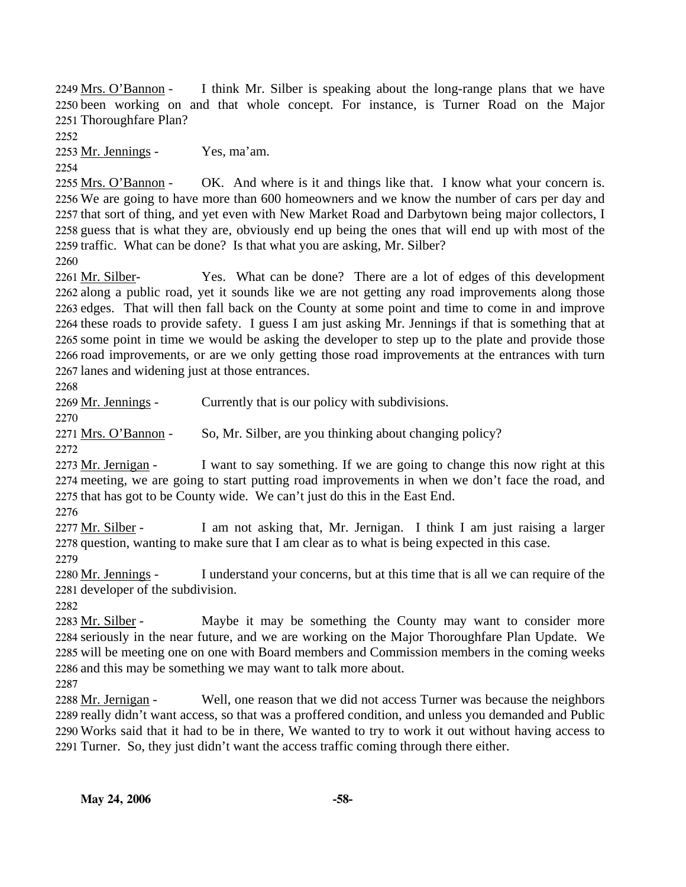I think Mr. Silber is speaking about the long-range plans that we have 2250 been working on and that whole concept. For instance, is Turner Road on the Major 2251 Thoroughfare Plan? 2249 Mrs. O'Bannon -

2252

2253 Mr. Jennings - Yes, ma'am.

2254 OK. And where is it and things like that. I know what your concern is. 2256 We are going to have more than 600 homeowners and we know the number of cars per day and 2257 that sort of thing, and yet even with New Market Road and Darbytown being major collectors, I 2258 guess that is what they are, obviously end up being the ones that will end up with most of the 2259 traffic. What can be done? Is that what you are asking, Mr. Silber? 2255 Mrs. O'Bannon -

2260

Yes. What can be done? There are a lot of edges of this development 2262 along a public road, yet it sounds like we are not getting any road improvements along those 2263 edges. That will then fall back on the County at some point and time to come in and improve 2264 these roads to provide safety. I guess I am just asking Mr. Jennings if that is something that at 2265 some point in time we would be asking the developer to step up to the plate and provide those 2266 road improvements, or are we only getting those road improvements at the entrances with turn 2267 lanes and widening just at those entrances. 2261 Mr. Silber-

2268

2269 Mr. Jennings - Currently that is our policy with subdivisions.

2270

2271 Mrs. O'Bannon - So, Mr. Silber, are you thinking about changing policy?

2272

I want to say something. If we are going to change this now right at this 2274 meeting, we are going to start putting road improvements in when we don't face the road, and 2275 that has got to be County wide. We can't just do this in the East End. 2273 Mr. Jernigan -

2276

I am not asking that, Mr. Jernigan. I think I am just raising a larger 2278 question, wanting to make sure that I am clear as to what is being expected in this case. 2277 Mr. Silber -2279

I understand your concerns, but at this time that is all we can require of the 2281 developer of the subdivision. 2280 Mr. Jennings -

2282

Maybe it may be something the County may want to consider more 2284 seriously in the near future, and we are working on the Major Thoroughfare Plan Update. We 2285 will be meeting one on one with Board members and Commission members in the coming weeks 2286 and this may be something we may want to talk more about. 2283 Mr. Silber -

2287

Well, one reason that we did not access Turner was because the neighbors 2289 really didn't want access, so that was a proffered condition, and unless you demanded and Public 2290 Works said that it had to be in there, We wanted to try to work it out without having access to 2291 Turner. So, they just didn't want the access traffic coming through there either. 2288 Mr. Jernigan -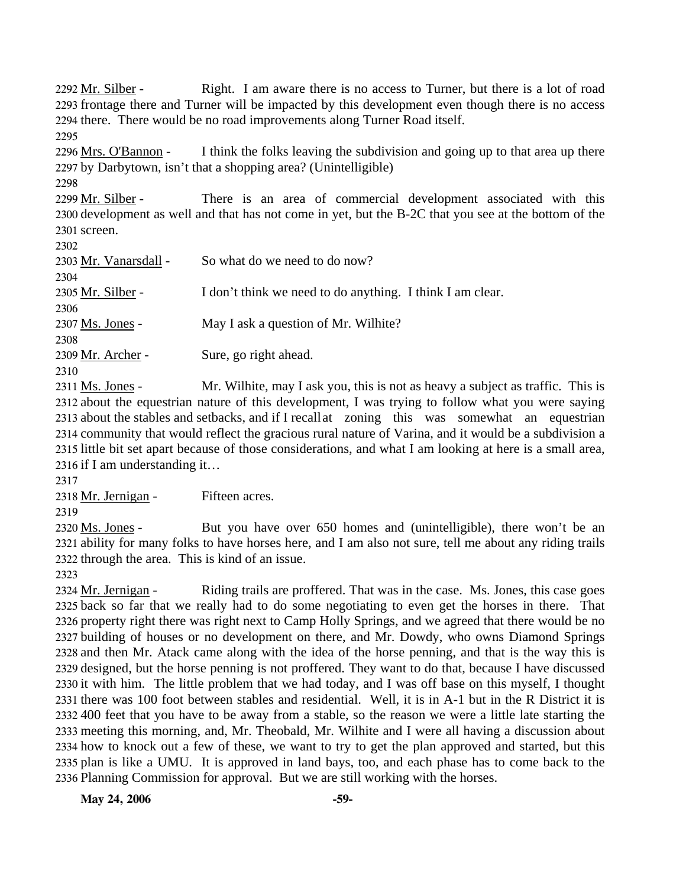Right. I am aware there is no access to Turner, but there is a lot of road 2293 frontage there and Turner will be impacted by this development even though there is no access 2294 there. There would be no road improvements along Turner Road itself. 2292 Mr. Silber -2295

I think the folks leaving the subdivision and going up to that area up there 2297 by Darbytown, isn't that a shopping area? (Unintelligible) 2296 Mrs. O'Bannon -

2298

There is an area of commercial development associated with this 2300 development as well and that has not come in yet, but the B-2C that you see at the bottom of the 2301 screen. 2299 Mr. Silber -

 $2202$ 

| ZJUZ                                           |                                                            |
|------------------------------------------------|------------------------------------------------------------|
| 2303 Mr. Vanarsdall -                          | So what do we need to do now?                              |
| 2304                                           |                                                            |
| 2305 Mr. Silber -                              | I don't think we need to do anything. I think I am clear.  |
| 2306                                           |                                                            |
| 2307 Ms. Jones -                               | May I ask a question of Mr. Wilhite?                       |
| 2308                                           |                                                            |
| 2309 Mr. Archer -                              | Sure, go right ahead.                                      |
| 2310                                           |                                                            |
| $2211 \text{ M} \cdot \text{L} \cdot \text{L}$ | Ma William and Look non-this is not as hoover a subject of |

Mr. Wilhite, may I ask you, this is not as heavy a subject as traffic. This is 2312 about the equestrian nature of this development, I was trying to follow what you were saying 2313 about the stables and setbacks, and if I recall at zoning this was somewhat an equestrian 2314 community that would reflect the gracious rural nature of Varina, and it would be a subdivision a 2315 little bit set apart because of those considerations, and what I am looking at here is a small area, 2316 if I am understanding it... 2311 Ms. Jones -

2317

2318 Mr. Jernigan - Fifteen acres.

2319

But you have over 650 homes and (unintelligible), there won't be an 2321 ability for many folks to have horses here, and I am also not sure, tell me about any riding trails 2322 through the area. This is kind of an issue. 2320 Ms. Jones -

2323

Riding trails are proffered. That was in the case. Ms. Jones, this case goes 2325 back so far that we really had to do some negotiating to even get the horses in there. That 2326 property right there was right next to Camp Holly Springs, and we agreed that there would be no 2327 building of houses or no development on there, and Mr. Dowdy, who owns Diamond Springs 2328 and then Mr. Atack came along with the idea of the horse penning, and that is the way this is 2329 designed, but the horse penning is not proffered. They want to do that, because I have discussed 2330 it with him. The little problem that we had today, and I was off base on this myself, I thought 2331 there was 100 foot between stables and residential. Well, it is in A-1 but in the R District it is 400 feet that you have to be away from a stable, so the reason we were a little late starting the 2332 2333 meeting this morning, and, Mr. Theobald, Mr. Wilhite and I were all having a discussion about 2334 how to knock out a few of these, we want to try to get the plan approved and started, but this 2335 plan is like a UMU. It is approved in land bays, too, and each phase has to come back to the 2336 Planning Commission for approval. But we are still working with the horses. 2324 Mr. Jernigan -

**May 24, 2006 -59-**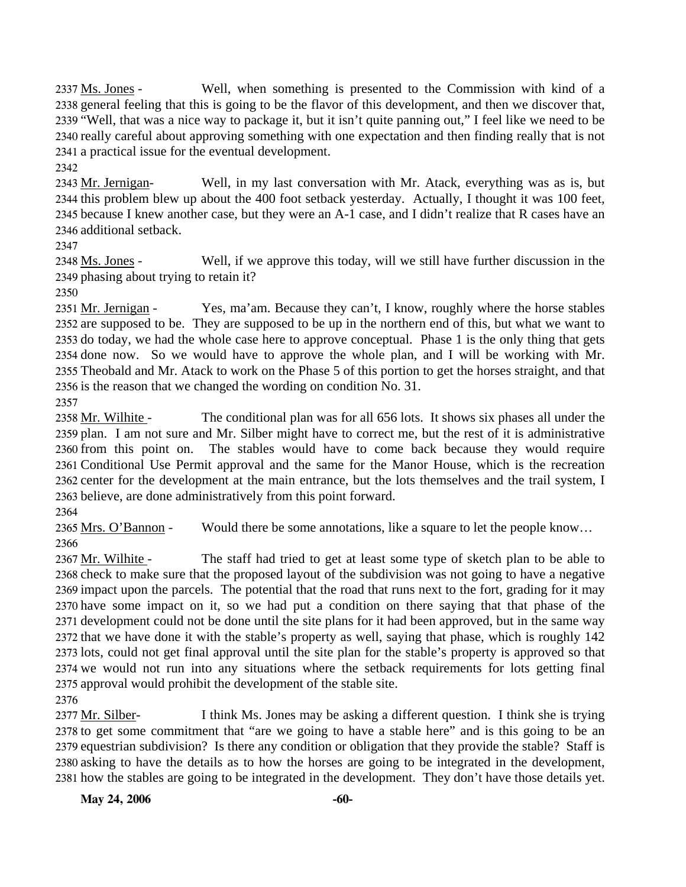Well, when something is presented to the Commission with kind of a 2338 general feeling that this is going to be the flavor of this development, and then we discover that, 2339 "Well, that was a nice way to package it, but it isn't quite panning out," I feel like we need to be 2340 really careful about approving something with one expectation and then finding really that is not 2341 a practical issue for the eventual development. 2337 Ms. Jones -

2342

Well, in my last conversation with Mr. Atack, everything was as is, but 2344 this problem blew up about the 400 foot setback yesterday. Actually, I thought it was 100 feet, 2345 because I knew another case, but they were an A-1 case, and I didn't realize that R cases have an 2346 additional setback. 2343 Mr. Jernigan-

2347

Well, if we approve this today, will we still have further discussion in the 2349 phasing about trying to retain it? 2348 Ms. Jones -

2350

Yes, ma'am. Because they can't, I know, roughly where the horse stables 2352 are supposed to be. They are supposed to be up in the northern end of this, but what we want to 2353 do today, we had the whole case here to approve conceptual. Phase 1 is the only thing that gets 2354 done now. So we would have to approve the whole plan, and I will be working with Mr. 2355 Theobald and Mr. Atack to work on the Phase 5 of this portion to get the horses straight, and that 2356 is the reason that we changed the wording on condition No.  $31$ . 2351 Mr. Jernigan -

2357

The conditional plan was for all 656 lots. It shows six phases all under the 2359 plan. I am not sure and Mr. Silber might have to correct me, but the rest of it is administrative The stables would have to come back because they would require 2361 Conditional Use Permit approval and the same for the Manor House, which is the recreation 2362 center for the development at the main entrance, but the lots themselves and the trail system, I 2363 believe, are done administratively from this point forward. 2358 Mr. Wilhite -2360 from this point on.

2364

2365 Mrs. O'Bannon - Would there be some annotations, like a square to let the people know...

2366

The staff had tried to get at least some type of sketch plan to be able to 2368 check to make sure that the proposed layout of the subdivision was not going to have a negative 2369 impact upon the parcels. The potential that the road that runs next to the fort, grading for it may 2370 have some impact on it, so we had put a condition on there saying that that phase of the 2371 development could not be done until the site plans for it had been approved, but in the same way 2372 that we have done it with the stable's property as well, saying that phase, which is roughly 142 2373 lots, could not get final approval until the site plan for the stable's property is approved so that 2374 we would not run into any situations where the setback requirements for lots getting final 2375 approval would prohibit the development of the stable site. 2367 Mr. Wilhite -

2376

I think Ms. Jones may be asking a different question. I think she is trying 2378 to get some commitment that "are we going to have a stable here" and is this going to be an 2379 equestrian subdivision? Is there any condition or obligation that they provide the stable? Staff is 2380 asking to have the details as to how the horses are going to be integrated in the development, 2381 how the stables are going to be integrated in the development. They don't have those details yet. 2377 Mr. Silber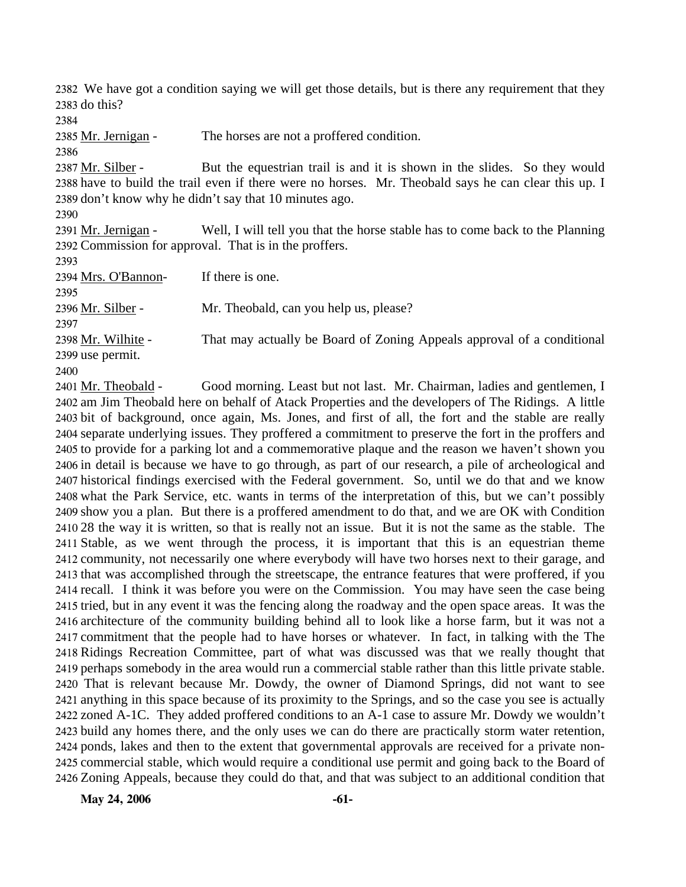2382 We have got a condition saying we will get those details, but is there any requirement that they 2383 do this?

2384

2385 Mr. Jernigan - The horses are not a proffered condition.

2386

But the equestrian trail is and it is shown in the slides. So they would 2388 have to build the trail even if there were no horses. Mr. Theobald says he can clear this up. I 2389 don't know why he didn't say that 10 minutes ago. 2387 Mr. Silber -

2390

Well, I will tell you that the horse stable has to come back to the Planning 2392 Commission for approval. That is in the proffers. 2391 Mr. Jernigan -

2393

2394 Mrs. O'Bannon- If there is one. 2395 2396 Mr. Silber - Mr. Theobald, can you help us, please? 2397 That may actually be Board of Zoning Appeals approval of a conditional 2399 use permit. 2398 Mr. Wilhite -

2400

Good morning. Least but not last. Mr. Chairman, ladies and gentlemen, I 2402 am Jim Theobald here on behalf of Atack Properties and the developers of The Ridings. A little 2403 bit of background, once again, Ms. Jones, and first of all, the fort and the stable are really 2404 separate underlying issues. They proffered a commitment to preserve the fort in the proffers and 2405 to provide for a parking lot and a commemorative plaque and the reason we haven't shown you 2406 in detail is because we have to go through, as part of our research, a pile of archeological and 2407 historical findings exercised with the Federal government. So, until we do that and we know 2408 what the Park Service, etc. wants in terms of the interpretation of this, but we can't possibly 2409 show you a plan. But there is a proffered amendment to do that, and we are OK with Condition 2410 28 the way it is written, so that is really not an issue. But it is not the same as the stable. The 2411 Stable, as we went through the process, it is important that this is an equestrian theme 2412 community, not necessarily one where everybody will have two horses next to their garage, and 2413 that was accomplished through the streetscape, the entrance features that were proffered, if you 2414 recall. I think it was before you were on the Commission. You may have seen the case being 2415 tried, but in any event it was the fencing along the roadway and the open space areas. It was the 2416 architecture of the community building behind all to look like a horse farm, but it was not a 2417 commitment that the people had to have horses or whatever. In fact, in talking with the The 2418 Ridings Recreation Committee, part of what was discussed was that we really thought that 2419 perhaps somebody in the area would run a commercial stable rather than this little private stable. 2420 That is relevant because Mr. Dowdy, the owner of Diamond Springs, did not want to see 2421 anything in this space because of its proximity to the Springs, and so the case you see is actually 2422 zoned A-1C. They added proffered conditions to an A-1 case to assure Mr. Dowdy we wouldn't 2423 build any homes there, and the only uses we can do there are practically storm water retention, 2424 ponds, lakes and then to the extent that governmental approvals are received for a private non-2425 commercial stable, which would require a conditional use permit and going back to the Board of 2426 Zoning Appeals, because they could do that, and that was subject to an additional condition that 2401 Mr. Theobald -

**May 24, 2006 -61-**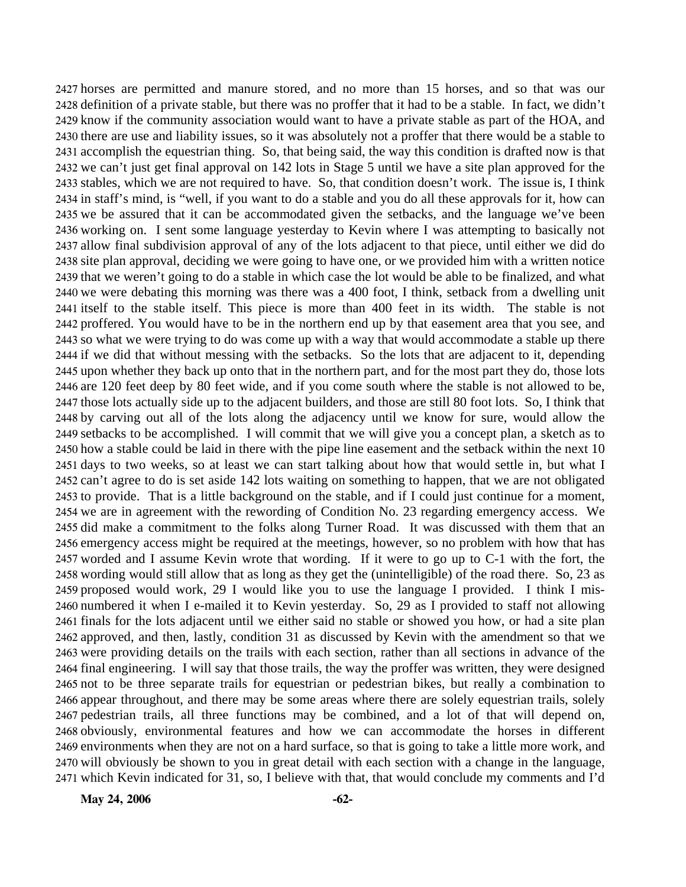horses are permitted and manure stored, and no more than 15 horses, and so that was our definition of a private stable, but there was no proffer that it had to be a stable. In fact, we didn't know if the community association would want to have a private stable as part of the HOA, and there are use and liability issues, so it was absolutely not a proffer that there would be a stable to accomplish the equestrian thing. So, that being said, the way this condition is drafted now is that we can't just get final approval on 142 lots in Stage 5 until we have a site plan approved for the stables, which we are not required to have. So, that condition doesn't work. The issue is, I think in staff's mind, is "well, if you want to do a stable and you do all these approvals for it, how can we be assured that it can be accommodated given the setbacks, and the language we've been working on. I sent some language yesterday to Kevin where I was attempting to basically not allow final subdivision approval of any of the lots adjacent to that piece, until either we did do site plan approval, deciding we were going to have one, or we provided him with a written notice that we weren't going to do a stable in which case the lot would be able to be finalized, and what we were debating this morning was there was a 400 foot, I think, setback from a dwelling unit itself to the stable itself. This piece is more than 400 feet in its width. The stable is not proffered. You would have to be in the northern end up by that easement area that you see, and so what we were trying to do was come up with a way that would accommodate a stable up there if we did that without messing with the setbacks. So the lots that are adjacent to it, depending upon whether they back up onto that in the northern part, and for the most part they do, those lots are 120 feet deep by 80 feet wide, and if you come south where the stable is not allowed to be, those lots actually side up to the adjacent builders, and those are still 80 foot lots. So, I think that by carving out all of the lots along the adjacency until we know for sure, would allow the setbacks to be accomplished. I will commit that we will give you a concept plan, a sketch as to how a stable could be laid in there with the pipe line easement and the setback within the next 10 days to two weeks, so at least we can start talking about how that would settle in, but what I can't agree to do is set aside 142 lots waiting on something to happen, that we are not obligated to provide. That is a little background on the stable, and if I could just continue for a moment, we are in agreement with the rewording of Condition No. 23 regarding emergency access. We did make a commitment to the folks along Turner Road. It was discussed with them that an emergency access might be required at the meetings, however, so no problem with how that has worded and I assume Kevin wrote that wording. If it were to go up to C-1 with the fort, the wording would still allow that as long as they get the (unintelligible) of the road there. So, 23 as proposed would work, 29 I would like you to use the language I provided. I think I mis- numbered it when I e-mailed it to Kevin yesterday. So, 29 as I provided to staff not allowing finals for the lots adjacent until we either said no stable or showed you how, or had a site plan approved, and then, lastly, condition 31 as discussed by Kevin with the amendment so that we were providing details on the trails with each section, rather than all sections in advance of the final engineering. I will say that those trails, the way the proffer was written, they were designed not to be three separate trails for equestrian or pedestrian bikes, but really a combination to appear throughout, and there may be some areas where there are solely equestrian trails, solely pedestrian trails, all three functions may be combined, and a lot of that will depend on, obviously, environmental features and how we can accommodate the horses in different environments when they are not on a hard surface, so that is going to take a little more work, and will obviously be shown to you in great detail with each section with a change in the language, which Kevin indicated for 31, so, I believe with that, that would conclude my comments and I'd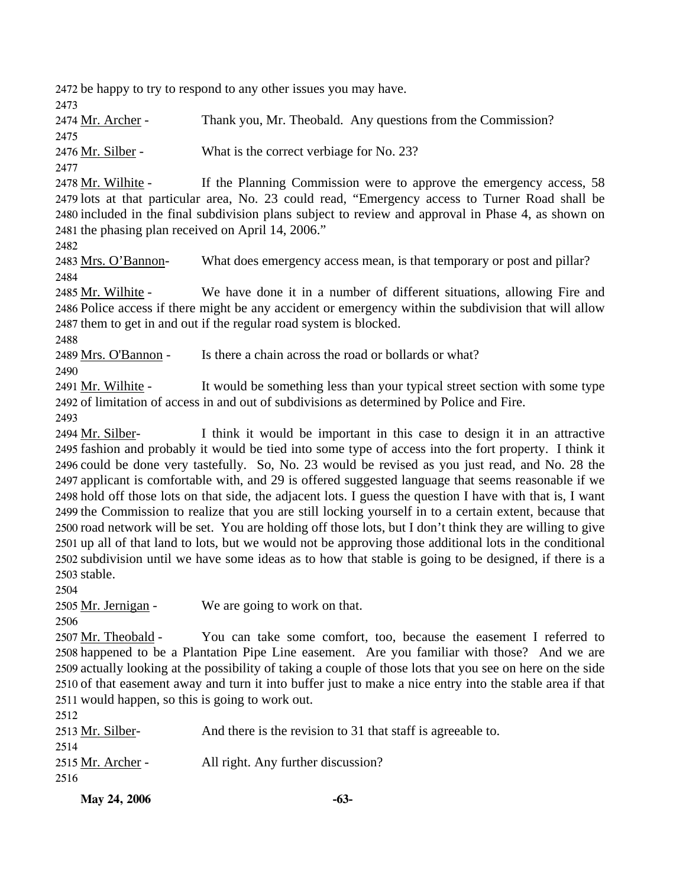2472 be happy to try to respond to any other issues you may have.

2473

2474 Mr. Archer - Thank you, Mr. Theobald. Any questions from the Commission? 2475 2476 Mr. Silber - What is the correct verbiage for No. 23?

2477

If the Planning Commission were to approve the emergency access, 58 2479 lots at that particular area, No. 23 could read, "Emergency access to Turner Road shall be 2480 included in the final subdivision plans subject to review and approval in Phase 4, as shown on 2481 the phasing plan received on April 14, 2006." 2478 Mr. Wilhite -

2482

2483 Mrs. O'Bannon- What does emergency access mean, is that temporary or post and pillar? 2484

We have done it in a number of different situations, allowing Fire and 2486 Police access if there might be any accident or emergency within the subdivision that will allow 2487 them to get in and out if the regular road system is blocked. 2485 Mr. Wilhite -

2488

2489 Mrs. O'Bannon - Is there a chain across the road or bollards or what?

2490

It would be something less than your typical street section with some type 2492 of limitation of access in and out of subdivisions as determined by Police and Fire. 2491 Mr. Wilhite -

2493

I think it would be important in this case to design it in an attractive 2495 fashion and probably it would be tied into some type of access into the fort property. I think it 2496 could be done very tastefully. So, No. 23 would be revised as you just read, and No. 28 the 2497 applicant is comfortable with, and 29 is offered suggested language that seems reasonable if we 2498 hold off those lots on that side, the adjacent lots. I guess the question I have with that is, I want 2499 the Commission to realize that you are still locking yourself in to a certain extent, because that 2500 road network will be set. You are holding off those lots, but I don't think they are willing to give 2501 up all of that land to lots, but we would not be approving those additional lots in the conditional 2502 subdivision until we have some ideas as to how that stable is going to be designed, if there is a 2503 stable. 2494 Mr. Silber-

2504

2505 Mr. Jernigan - We are going to work on that.

2506

You can take some comfort, too, because the easement I referred to 2507 Mr. Theobald -

2508 happened to be a Plantation Pipe Line easement. Are you familiar with those? And we are 2509 actually looking at the possibility of taking a couple of those lots that you see on here on the side 2510 of that easement away and turn it into buffer just to make a nice entry into the stable area if that 2511 would happen, so this is going to work out.

| 2512              |                                                             |
|-------------------|-------------------------------------------------------------|
| 2513 Mr. Silber-  | And there is the revision to 31 that staff is agreeable to. |
| 2514              |                                                             |
| 2515 Mr. Archer - | All right. Any further discussion?                          |
| 2516              |                                                             |
|                   |                                                             |

**May 24, 2006 -63-**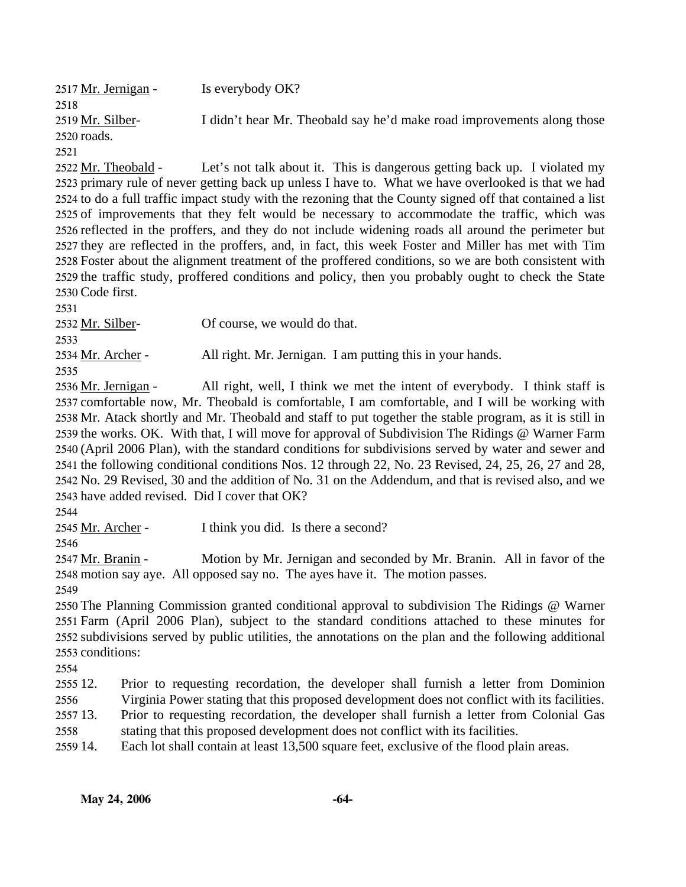| 2517 Mr. Jernigan -                                                                                     | Is everybody OK?                                                                                          |  |
|---------------------------------------------------------------------------------------------------------|-----------------------------------------------------------------------------------------------------------|--|
| 2518                                                                                                    |                                                                                                           |  |
| 2519 Mr. Silber-                                                                                        | I didn't hear Mr. Theobald say he'd make road improvements along those                                    |  |
| 2520 roads.                                                                                             |                                                                                                           |  |
| 2521                                                                                                    |                                                                                                           |  |
| 2522 Mr. Theobald -                                                                                     | Let's not talk about it. This is dangerous getting back up. I violated my                                 |  |
|                                                                                                         | 2523 primary rule of never getting back up unless I have to. What we have overlooked is that we had       |  |
|                                                                                                         | 2524 to do a full traffic impact study with the rezoning that the County signed off that contained a list |  |
|                                                                                                         | 2525 of improvements that they felt would be necessary to accommodate the traffic, which was              |  |
|                                                                                                         | 2526 reflected in the proffers, and they do not include widening roads all around the perimeter but       |  |
|                                                                                                         | 2527 they are reflected in the proffers, and, in fact, this week Foster and Miller has met with Tim       |  |
|                                                                                                         | 2528 Foster about the alignment treatment of the proffered conditions, so we are both consistent with     |  |
|                                                                                                         | 2529 the traffic study, proffered conditions and policy, then you probably ought to check the State       |  |
| 2530 Code first.                                                                                        |                                                                                                           |  |
| 2531                                                                                                    |                                                                                                           |  |
| 2532 Mr. Silber-                                                                                        | Of course, we would do that.                                                                              |  |
| 2533                                                                                                    |                                                                                                           |  |
| 2534 Mr. Archer -                                                                                       | All right. Mr. Jernigan. I am putting this in your hands.                                                 |  |
| 2535                                                                                                    |                                                                                                           |  |
| 2536 Mr. Jernigan -                                                                                     | All right, well, I think we met the intent of everybody. I think staff is                                 |  |
|                                                                                                         | 2537 comfortable now, Mr. Theobald is comfortable, I am comfortable, and I will be working with           |  |
| 2538 Mr. Atack shortly and Mr. Theobald and staff to put together the stable program, as it is still in |                                                                                                           |  |
| 2539 the works. OK. With that, I will move for approval of Subdivision The Ridings @ Warner Farm        |                                                                                                           |  |
| 2540 (April 2006 Plan), with the standard conditions for subdivisions served by water and sewer and     |                                                                                                           |  |
| 2541 the following conditional conditions Nos. 12 through 22, No. 23 Revised, 24, 25, 26, 27 and 28,    |                                                                                                           |  |
| 2542 No. 29 Revised, 30 and the addition of No. 31 on the Addendum, and that is revised also, and we    |                                                                                                           |  |
| 2543 have added revised. Did I cover that OK?                                                           |                                                                                                           |  |
| 2544                                                                                                    |                                                                                                           |  |
| 2545 Mr. Archer -                                                                                       | I think you did. Is there a second?                                                                       |  |
| 2546                                                                                                    |                                                                                                           |  |

Motion by Mr. Jernigan and seconded by Mr. Branin. All in favor of the 2548 motion say aye. All opposed say no. The ayes have it. The motion passes. 2547 Mr. Branin -

2549

 The Planning Commission granted conditional approval to subdivision The Ridings @ Warner Farm (April 2006 Plan), subject to the standard conditions attached to these minutes for subdivisions served by public utilities, the annotations on the plan and the following additional conditions:

2554

2555 12. Prior to requesting recordation, the developer shall furnish a letter from Dominion

2556 Virginia Power stating that this proposed development does not conflict with its facilities.

2557 13. 2558 Prior to requesting recordation, the developer shall furnish a letter from Colonial Gas stating that this proposed development does not conflict with its facilities.

2559 14. Each lot shall contain at least 13,500 square feet, exclusive of the flood plain areas.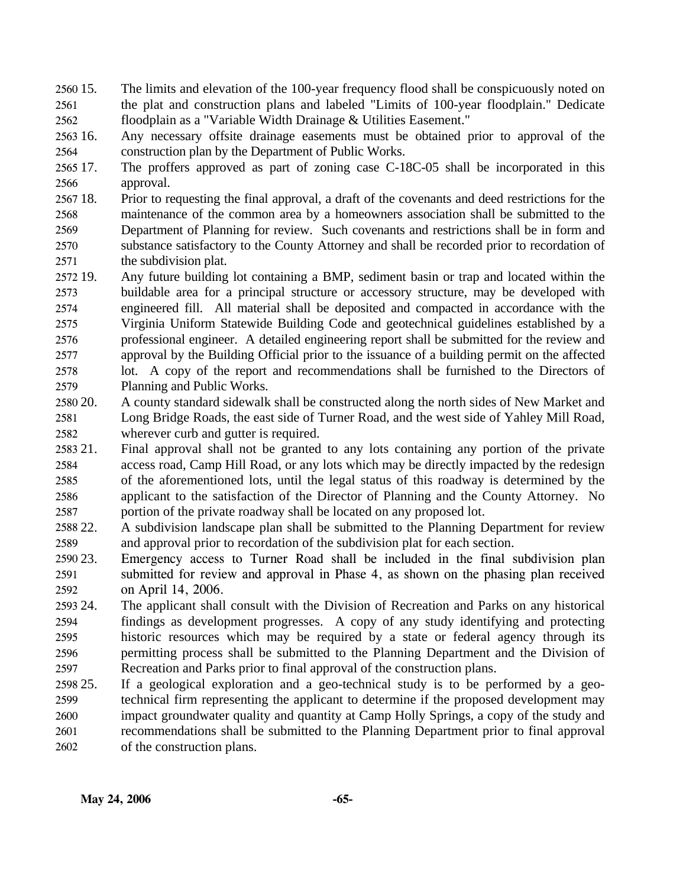- $256015$ . 2561 2562 The limits and elevation of the 100-year frequency flood shall be conspicuously noted on the plat and construction plans and labeled "Limits of 100-year floodplain." Dedicate floodplain as a "Variable Width Drainage & Utilities Easement."
- 2563 16. 2564 Any necessary offsite drainage easements must be obtained prior to approval of the construction plan by the Department of Public Works.
- 2565 17. 2566 The proffers approved as part of zoning case C-18C-05 shall be incorporated in this approval.
- 2567 18. 2568 2569 2570 2571 18. Prior to requesting the final approval, a draft of the covenants and deed restrictions for the maintenance of the common area by a homeowners association shall be submitted to the Department of Planning for review. Such covenants and restrictions shall be in form and substance satisfactory to the County Attorney and shall be recorded prior to recordation of the subdivision plat.
- 2572 19. 2573 2574 2575 2576 2577 2578 2579 Any future building lot containing a BMP, sediment basin or trap and located within the buildable area for a principal structure or accessory structure, may be developed with engineered fill. All material shall be deposited and compacted in accordance with the Virginia Uniform Statewide Building Code and geotechnical guidelines established by a professional engineer. A detailed engineering report shall be submitted for the review and approval by the Building Official prior to the issuance of a building permit on the affected lot. A copy of the report and recommendations shall be furnished to the Directors of Planning and Public Works.
- 2580 20. 2581 2582 20. A county standard sidewalk shall be constructed along the north sides of New Market and Long Bridge Roads, the east side of Turner Road, and the west side of Yahley Mill Road, wherever curb and gutter is required.
- 2583 21. 2584 2585 2586 2587 21. Final approval shall not be granted to any lots containing any portion of the private access road, Camp Hill Road, or any lots which may be directly impacted by the redesign of the aforementioned lots, until the legal status of this roadway is determined by the applicant to the satisfaction of the Director of Planning and the County Attorney. No portion of the private roadway shall be located on any proposed lot.
- 2588 22. 2589 22. A subdivision landscape plan shall be submitted to the Planning Department for review and approval prior to recordation of the subdivision plat for each section.
- 2590 23. 2591 2592 Emergency access to Turner Road shall be included in the final subdivision plan submitted for review and approval in Phase 4, as shown on the phasing plan received on April 14, 2006.
- 2593 24. 2594 2595 2596 2597 24. The applicant shall consult with the Division of Recreation and Parks on any historical findings as development progresses. A copy of any study identifying and protecting historic resources which may be required by a state or federal agency through its permitting process shall be submitted to the Planning Department and the Division of Recreation and Parks prior to final approval of the construction plans.
- 2598 25. 2599 2600 2601 2602 If a geological exploration and a geo-technical study is to be performed by a geotechnical firm representing the applicant to determine if the proposed development may impact groundwater quality and quantity at Camp Holly Springs, a copy of the study and recommendations shall be submitted to the Planning Department prior to final approval of the construction plans.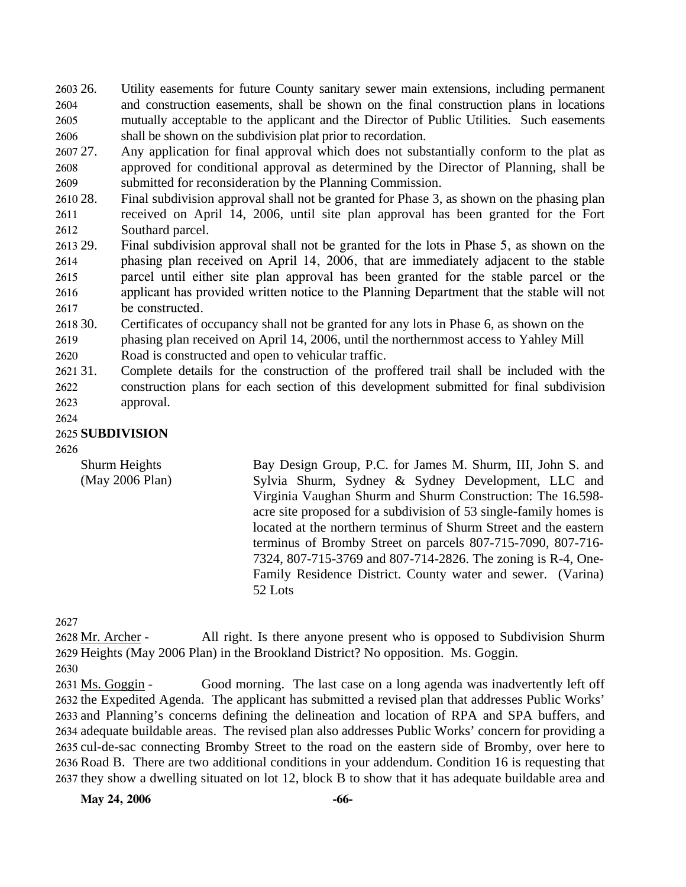2603 26. 2604 2605 2606 26. Utility easements for future County sanitary sewer main extensions, including permanent and construction easements, shall be shown on the final construction plans in locations mutually acceptable to the applicant and the Director of Public Utilities. Such easements shall be shown on the subdivision plat prior to recordation.

2607 27. 2608 2609 Any application for final approval which does not substantially conform to the plat as approved for conditional approval as determined by the Director of Planning, shall be submitted for reconsideration by the Planning Commission.

2610 28. 2611 2612 Final subdivision approval shall not be granted for Phase 3, as shown on the phasing plan received on April 14, 2006, until site plan approval has been granted for the Fort Southard parcel.

2613 29. 2614 2615 2616 2617 Final subdivision approval shall not be granted for the lots in Phase 5, as shown on the phasing plan received on April 14, 2006, that are immediately adjacent to the stable parcel until either site plan approval has been granted for the stable parcel or the applicant has provided written notice to the Planning Department that the stable will not be constructed.

2618 30. 2619 Certificates of occupancy shall not be granted for any lots in Phase 6, as shown on the phasing plan received on April 14, 2006, until the northernmost access to Yahley Mill

2620 Road is constructed and open to vehicular traffic.

2621 31. 2622 2623 31. Complete details for the construction of the proffered trail shall be included with the construction plans for each section of this development submitted for final subdivision approval.

2624

### 2625 **SUBDIVISION**

2626

Shurm Heights (May 2006 Plan) Bay Design Group, P.C. for James M. Shurm, III, John S. and Sylvia Shurm, Sydney & Sydney Development, LLC and Virginia Vaughan Shurm and Shurm Construction: The 16.598 acre site proposed for a subdivision of 53 single-family homes is located at the northern terminus of Shurm Street and the eastern terminus of Bromby Street on parcels 807-715-7090, 807-716- 7324, 807-715-3769 and 807-714-2826. The zoning is R-4, One-Family Residence District. County water and sewer. (Varina) 52 Lots

2627

All right. Is there anyone present who is opposed to Subdivision Shurm 2629 Heights (May 2006 Plan) in the Brookland District? No opposition. Ms. Goggin. 2628 Mr. Archer -

2630

Good morning. The last case on a long agenda was inadvertently left off 2632 the Expedited Agenda. The applicant has submitted a revised plan that addresses Public Works' 2633 and Planning's concerns defining the delineation and location of RPA and SPA buffers, and 2634 adequate buildable areas. The revised plan also addresses Public Works' concern for providing a 2635 cul-de-sac connecting Bromby Street to the road on the eastern side of Bromby, over here to 2636 Road B. There are two additional conditions in your addendum. Condition 16 is requesting that 2637 they show a dwelling situated on lot 12, block B to show that it has adequate buildable area and 2631 Ms. Goggin -

**May 24, 2006** -66-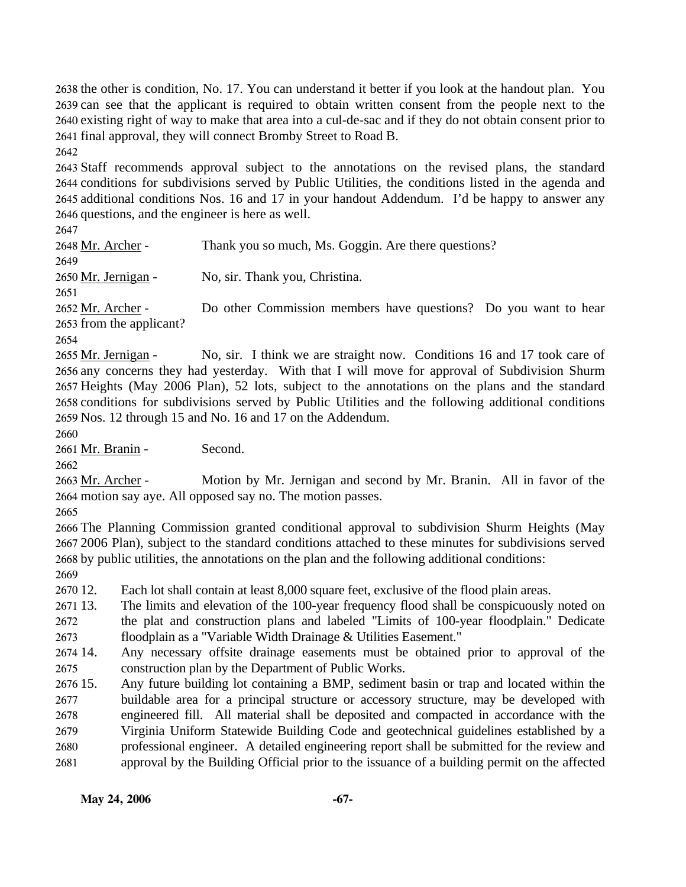the other is condition, No. 17. You can understand it better if you look at the handout plan. You can see that the applicant is required to obtain written consent from the people next to the existing right of way to make that area into a cul-de-sac and if they do not obtain consent prior to final approval, they will connect Bromby Street to Road B.

2642

 Staff recommends approval subject to the annotations on the revised plans, the standard conditions for subdivisions served by Public Utilities, the conditions listed in the agenda and additional conditions Nos. 16 and 17 in your handout Addendum. I'd be happy to answer any questions, and the engineer is here as well.

2647

2648 Mr. Archer - Thank you so much, Ms. Goggin. Are there questions? 2649 2650 Mr. Jernigan - No, sir. Thank you, Christina. 2651 Do other Commission members have questions? Do you want to hear 2653 from the applicant? 2652 Mr. Archer -2654

No, sir. I think we are straight now. Conditions 16 and 17 took care of 2656 any concerns they had yesterday. With that I will move for approval of Subdivision Shurm 2657 Heights (May 2006 Plan), 52 lots, subject to the annotations on the plans and the standard 2658 conditions for subdivisions served by Public Utilities and the following additional conditions 2659 Nos. 12 through 15 and No. 16 and 17 on the Addendum. 2655 Mr. Jernigan -

2660

2661 Mr. Branin - Second.

2662

Motion by Mr. Jernigan and second by Mr. Branin. All in favor of the 2664 motion say aye. All opposed say no. The motion passes. 2663 Mr. Archer -

2665

2666 The Planning Commission granted conditional approval to subdivision Shurm Heights (May 2667 2006 Plan), subject to the standard conditions attached to these minutes for subdivisions served 2668 by public utilities, the annotations on the plan and the following additional conditions:

2669

2670 12. Each lot shall contain at least 8,000 square feet, exclusive of the flood plain areas.

2671 13. 2672 2673 13. The limits and elevation of the 100-year frequency flood shall be conspicuously noted on the plat and construction plans and labeled "Limits of 100-year floodplain." Dedicate floodplain as a "Variable Width Drainage & Utilities Easement."

2674 14. 2675 Any necessary offsite drainage easements must be obtained prior to approval of the construction plan by the Department of Public Works.

2676 15. 2677 2678 2679 2680 2681 15. Any future building lot containing a BMP, sediment basin or trap and located within the buildable area for a principal structure or accessory structure, may be developed with engineered fill. All material shall be deposited and compacted in accordance with the Virginia Uniform Statewide Building Code and geotechnical guidelines established by a professional engineer. A detailed engineering report shall be submitted for the review and approval by the Building Official prior to the issuance of a building permit on the affected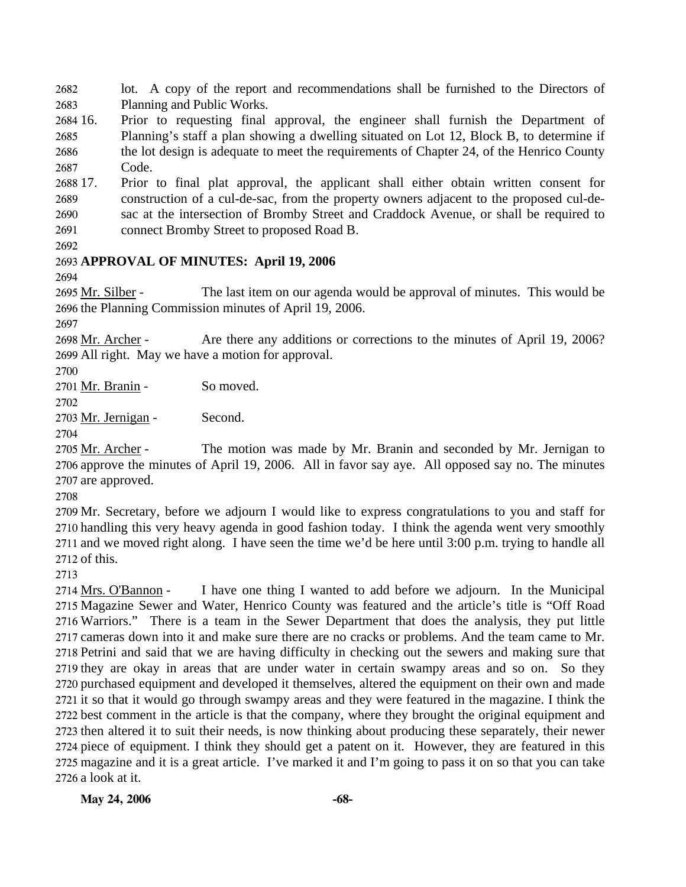2682 2683 lot. A copy of the report and recommendations shall be furnished to the Directors of Planning and Public Works.

2684 16. 2685 2686 2687 16. Prior to requesting final approval, the engineer shall furnish the Department of Planning's staff a plan showing a dwelling situated on Lot 12, Block B, to determine if the lot design is adequate to meet the requirements of Chapter 24, of the Henrico County Code.

2688 17. 2689 2690 2691 17. Prior to final plat approval, the applicant shall either obtain written consent for construction of a cul-de-sac, from the property owners adjacent to the proposed cul-desac at the intersection of Bromby Street and Craddock Avenue, or shall be required to connect Bromby Street to proposed Road B.

2692

## 2693 **APPROVAL OF MINUTES: April 19, 2006**

2694

The last item on our agenda would be approval of minutes. This would be 2696 the Planning Commission minutes of April 19, 2006. 2695 Mr. Silber -

2697

Are there any additions or corrections to the minutes of April 19, 2006? 2699 All right. May we have a motion for approval. 2698 Mr. Archer -

2700

2701 Mr. Branin - So moved.

2702

2703 Mr. Jernigan - Second.

2704

The motion was made by Mr. Branin and seconded by Mr. Jernigan to 2706 approve the minutes of April 19, 2006. All in favor say aye. All opposed say no. The minutes 2707 are approved. 2705 Mr. Archer -

2708

 Mr. Secretary, before we adjourn I would like to express congratulations to you and staff for handling this very heavy agenda in good fashion today. I think the agenda went very smoothly and we moved right along. I have seen the time we'd be here until 3:00 p.m. trying to handle all of this.

2713

I have one thing I wanted to add before we adjourn. In the Municipal 2715 Magazine Sewer and Water, Henrico County was featured and the article's title is "Off Road 2716 Warriors." There is a team in the Sewer Department that does the analysis, they put little 2717 cameras down into it and make sure there are no cracks or problems. And the team came to Mr. 2718 Petrini and said that we are having difficulty in checking out the sewers and making sure that 2719 they are okay in areas that are under water in certain swampy areas and so on. So they 2720 purchased equipment and developed it themselves, altered the equipment on their own and made 2721 it so that it would go through swampy areas and they were featured in the magazine. I think the 2722 best comment in the article is that the company, where they brought the original equipment and 2723 then altered it to suit their needs, is now thinking about producing these separately, their newer 2724 piece of equipment. I think they should get a patent on it. However, they are featured in this 2725 magazine and it is a great article. I've marked it and I'm going to pass it on so that you can take 2726 a look at it. 2714 Mrs. O'Bannon -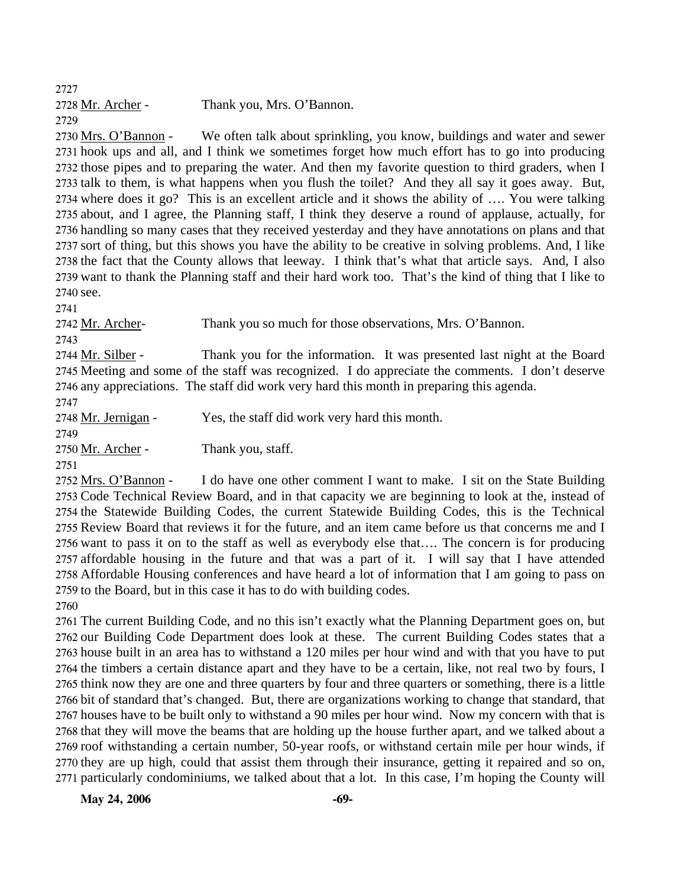2727

| 2728 Mr. Archer - | Thank you, Mrs. O'Bannon. |
|-------------------|---------------------------|
| 2729              |                           |

We often talk about sprinkling, you know, buildings and water and sewer 2731 hook ups and all, and I think we sometimes forget how much effort has to go into producing 2732 those pipes and to preparing the water. And then my favorite question to third graders, when I 2733 talk to them, is what happens when you flush the toilet? And they all say it goes away. But, 2734 where does it go? This is an excellent article and it shows the ability of .... You were talking 2735 about, and I agree, the Planning staff, I think they deserve a round of applause, actually, for 2736 handling so many cases that they received yesterday and they have annotations on plans and that 2737 sort of thing, but this shows you have the ability to be creative in solving problems. And, I like 2738 the fact that the County allows that leeway. I think that's what that article says. And, I also 2739 want to thank the Planning staff and their hard work too. That's the kind of thing that I like to 2740 see. 2730 Mrs. O'Bannon -

2741

2742 Mr. Archer- Thank you so much for those observations, Mrs. O'Bannon.

2743

Thank you for the information. It was presented last night at the Board 2745 Meeting and some of the staff was recognized. I do appreciate the comments. I don't deserve 2746 any appreciations. The staff did work very hard this month in preparing this agenda. 2744 Mr. Silber -

2747

2748 Mr. Jernigan - Yes, the staff did work very hard this month.

2749

2750 Mr. Archer - Thank you, staff.

2751

I do have one other comment I want to make. I sit on the State Building 2753 Code Technical Review Board, and in that capacity we are beginning to look at the, instead of 2754 the Statewide Building Codes, the current Statewide Building Codes, this is the Technical 2755 Review Board that reviews it for the future, and an item came before us that concerns me and I 2756 want to pass it on to the staff as well as everybody else that.... The concern is for producing 2757 affordable housing in the future and that was a part of it. I will say that I have attended 2758 Affordable Housing conferences and have heard a lot of information that I am going to pass on 2759 to the Board, but in this case it has to do with building codes. 2752 Mrs. O'Bannon -

2760

 The current Building Code, and no this isn't exactly what the Planning Department goes on, but our Building Code Department does look at these. The current Building Codes states that a house built in an area has to withstand a 120 miles per hour wind and with that you have to put the timbers a certain distance apart and they have to be a certain, like, not real two by fours, I think now they are one and three quarters by four and three quarters or something, there is a little bit of standard that's changed. But, there are organizations working to change that standard, that houses have to be built only to withstand a 90 miles per hour wind. Now my concern with that is that they will move the beams that are holding up the house further apart, and we talked about a roof withstanding a certain number, 50-year roofs, or withstand certain mile per hour winds, if they are up high, could that assist them through their insurance, getting it repaired and so on, particularly condominiums, we talked about that a lot. In this case, I'm hoping the County will

**May 24, 2006** -69-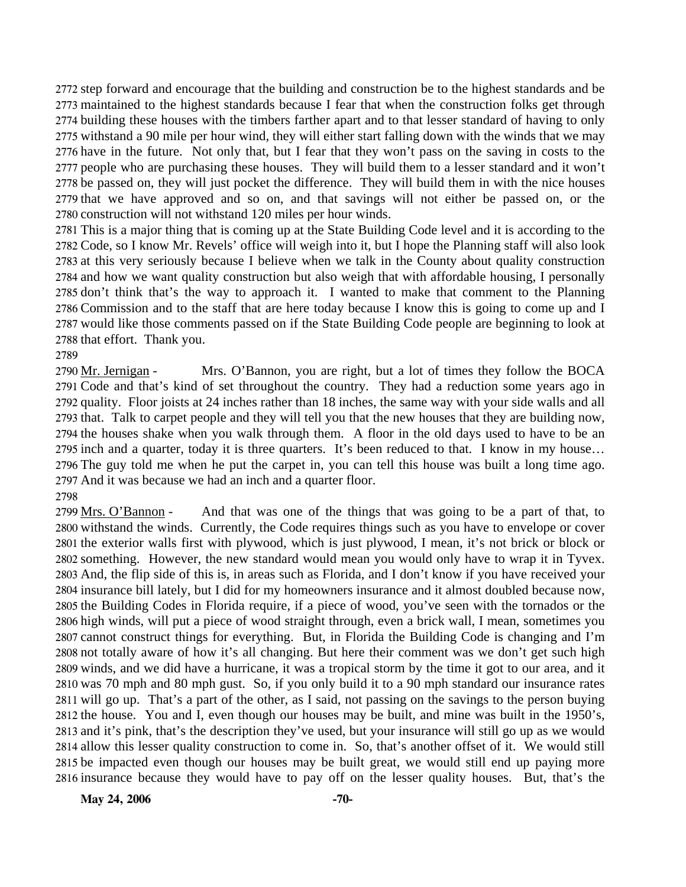step forward and encourage that the building and construction be to the highest standards and be maintained to the highest standards because I fear that when the construction folks get through building these houses with the timbers farther apart and to that lesser standard of having to only withstand a 90 mile per hour wind, they will either start falling down with the winds that we may have in the future. Not only that, but I fear that they won't pass on the saving in costs to the people who are purchasing these houses. They will build them to a lesser standard and it won't be passed on, they will just pocket the difference. They will build them in with the nice houses that we have approved and so on, and that savings will not either be passed on, or the construction will not withstand 120 miles per hour winds.

 This is a major thing that is coming up at the State Building Code level and it is according to the Code, so I know Mr. Revels' office will weigh into it, but I hope the Planning staff will also look at this very seriously because I believe when we talk in the County about quality construction and how we want quality construction but also weigh that with affordable housing, I personally don't think that's the way to approach it. I wanted to make that comment to the Planning Commission and to the staff that are here today because I know this is going to come up and I would like those comments passed on if the State Building Code people are beginning to look at that effort. Thank you.

2789

Mrs. O'Bannon, you are right, but a lot of times they follow the BOCA 2791 Code and that's kind of set throughout the country. They had a reduction some years ago in 2792 quality. Floor joists at 24 inches rather than 18 inches, the same way with your side walls and all 2793 that. Talk to carpet people and they will tell you that the new houses that they are building now, 2794 the houses shake when you walk through them. A floor in the old days used to have to be an 2795 inch and a quarter, today it is three quarters. It's been reduced to that. I know in my house... 2796 The guy told me when he put the carpet in, you can tell this house was built a long time ago. 2797 And it was because we had an inch and a quarter floor. 2790 Mr. Jernigan -

2798

And that was one of the things that was going to be a part of that, to 2800 withstand the winds. Currently, the Code requires things such as you have to envelope or cover 2801 the exterior walls first with plywood, which is just plywood, I mean, it's not brick or block or 2802 something. However, the new standard would mean you would only have to wrap it in Tyvex. 2803 And, the flip side of this is, in areas such as Florida, and I don't know if you have received your 2804 insurance bill lately, but I did for my homeowners insurance and it almost doubled because now, 2805 the Building Codes in Florida require, if a piece of wood, you've seen with the tornados or the 2806 high winds, will put a piece of wood straight through, even a brick wall, I mean, sometimes you 2807 cannot construct things for everything. But, in Florida the Building Code is changing and I'm 2808 not totally aware of how it's all changing. But here their comment was we don't get such high 2809 winds, and we did have a hurricane, it was a tropical storm by the time it got to our area, and it 2810 was 70 mph and 80 mph gust. So, if you only build it to a 90 mph standard our insurance rates 2811 will go up. That's a part of the other, as I said, not passing on the savings to the person buying 2812 the house. You and I, even though our houses may be built, and mine was built in the 1950's, 2813 and it's pink, that's the description they've used, but your insurance will still go up as we would 2814 allow this lesser quality construction to come in. So, that's another offset of it. We would still 2815 be impacted even though our houses may be built great, we would still end up paying more 2816 insurance because they would have to pay off on the lesser quality houses. But, that's the 2799 Mrs. O'Bannon -

**May 24, 2006** -70-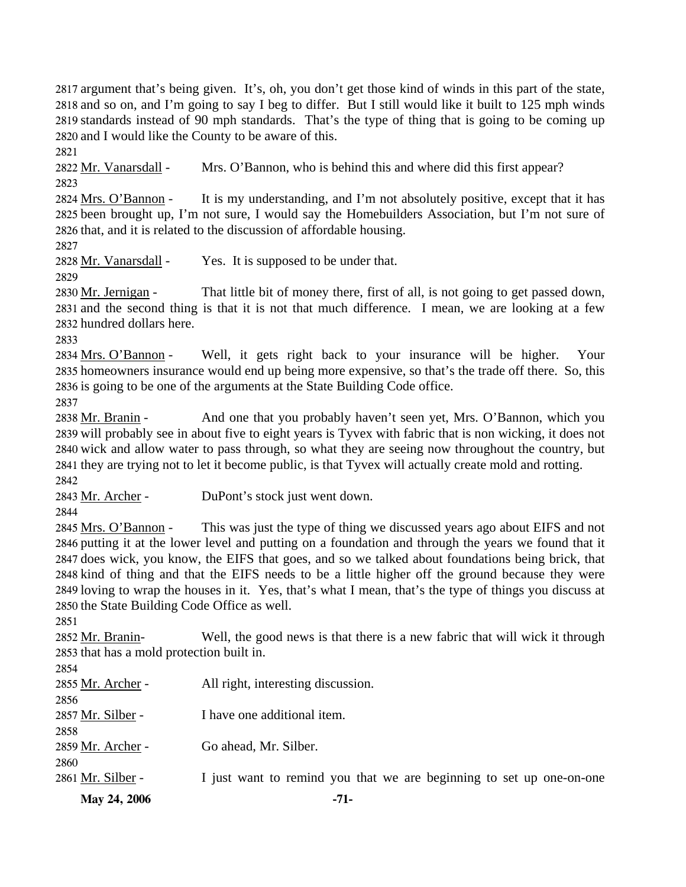argument that's being given. It's, oh, you don't get those kind of winds in this part of the state, and so on, and I'm going to say I beg to differ. But I still would like it built to 125 mph winds standards instead of 90 mph standards. That's the type of thing that is going to be coming up and I would like the County to be aware of this.

2821

2822 Mr. Vanarsdall - Mrs. O'Bannon, who is behind this and where did this first appear? 2823

It is my understanding, and I'm not absolutely positive, except that it has 2825 been brought up, I'm not sure, I would say the Homebuilders Association, but I'm not sure of 2826 that, and it is related to the discussion of affordable housing. 2824 Mrs. O'Bannon -

2827

2828 Mr. Vanarsdall - Yes. It is supposed to be under that.

2829

That little bit of money there, first of all, is not going to get passed down, 2831 and the second thing is that it is not that much difference. I mean, we are looking at a few 2832 hundred dollars here. 2830 Mr. Jernigan -

2833

Well, it gets right back to your insurance will be higher. Your 2835 homeowners insurance would end up being more expensive, so that's the trade off there. So, this 2836 is going to be one of the arguments at the State Building Code office. 2834 Mrs. O'Bannon -

2837

And one that you probably haven't seen yet, Mrs. O'Bannon, which you 2839 will probably see in about five to eight years is Tyvex with fabric that is non wicking, it does not 2840 wick and allow water to pass through, so what they are seeing now throughout the country, but 2841 they are trying not to let it become public, is that Tyvex will actually create mold and rotting. 2838 Mr. Branin -2842

2843 Mr. Archer - DuPont's stock just went down.

2844

This was just the type of thing we discussed years ago about EIFS and not 2846 putting it at the lower level and putting on a foundation and through the years we found that it 2847 does wick, you know, the EIFS that goes, and so we talked about foundations being brick, that 2848 kind of thing and that the EIFS needs to be a little higher off the ground because they were 2849 loving to wrap the houses in it. Yes, that's what I mean, that's the type of things you discuss at 2850 the State Building Code Office as well. 2845 Mrs. O'Bannon -

2851

Well, the good news is that there is a new fabric that will wick it through 2853 that has a mold protection built in. 2852 Mr. Branin-

| 2854              |                                                                      |
|-------------------|----------------------------------------------------------------------|
| 2855 Mr. Archer - | All right, interesting discussion.                                   |
| 2856              |                                                                      |
| 2857 Mr. Silber - | I have one additional item.                                          |
| 2858              |                                                                      |
| 2859 Mr. Archer - | Go ahead, Mr. Silber.                                                |
| 2860              |                                                                      |
| 2861 Mr. Silber - | I just want to remind you that we are beginning to set up one-on-one |
| May 24, 2006      | $-71-$                                                               |